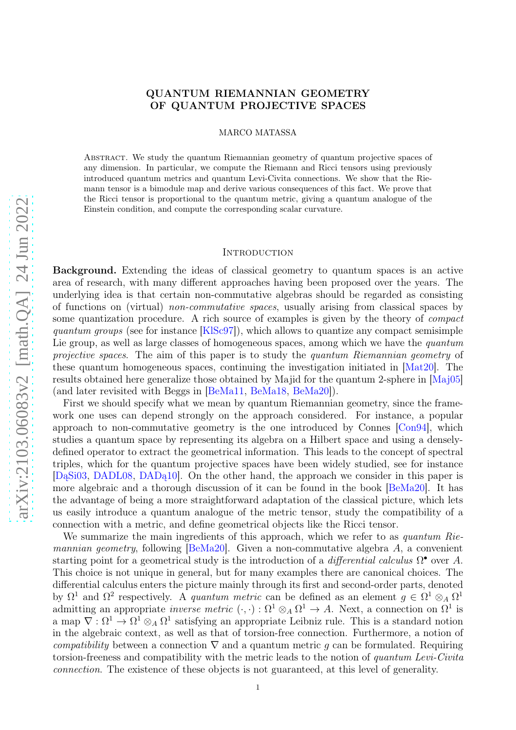# QUANTUM RIEMANNIAN GEOMETRY OF QUANTUM PROJECTIVE SPACES

MARCO MATASSA

Abstract. We study the quantum Riemannian geometry of quantum projective spaces of any dimension. In particular, we compute the Riemann and Ricci tensors using previously introduced quantum metrics and quantum Levi-Civita connections. We show that the Riemann tensor is a bimodule map and derive various consequences of this fact. We prove that the Ricci tensor is proportional to the quantum metric, giving a quantum analogue of the Einstein condition, and compute the corresponding scalar curvature.

### **INTRODUCTION**

Background. Extending the ideas of classical geometry to quantum spaces is an active area of research, with many different approaches having been proposed over the years. The underlying idea is that certain non-commutative algebras should be regarded as consisting of functions on (virtual) non-commutative spaces, usually arising from classical spaces by some quantization procedure. A rich source of examples is given by the theory of compact quantum groups (see for instance  $[KISc97]$ ), which allows to quantize any compact semisimple Lie group, as well as large classes of homogeneous spaces, among which we have the *quantum* projective spaces. The aim of this paper is to study the quantum Riemannian geometry of these quantum homogeneous spaces, continuing the investigation initiated in [\[Mat20\]](#page-31-1). The results obtained here generalize those obtained by Majid for the quantum 2-sphere in [\[Maj05\]](#page-31-2) (and later revisited with Beggs in [\[BeMa11,](#page-31-3) [BeMa18,](#page-31-4) [BeMa20\]](#page-31-5)).

First we should specify what we mean by quantum Riemannian geometry, since the framework one uses can depend strongly on the approach considered. For instance, a popular approach to non-commutative geometry is the one introduced by Connes [\[Con94\]](#page-31-6), which studies a quantum space by representing its algebra on a Hilbert space and using a denselydefined operator to extract the geometrical information. This leads to the concept of spectral triples, which for the quantum projective spaces have been widely studied, see for instance [\[DąSi03,](#page-31-7) [DADL08,](#page-31-8) [DADą10\]](#page-31-9). On the other hand, the approach we consider in this paper is more algebraic and a thorough discussion of it can be found in the book [\[BeMa20\]](#page-31-5). It has the advantage of being a more straightforward adaptation of the classical picture, which lets us easily introduce a quantum analogue of the metric tensor, study the compatibility of a connection with a metric, and define geometrical objects like the Ricci tensor.

We summarize the main ingredients of this approach, which we refer to as *quantum Rie-*mannian geometry, following [\[BeMa20\]](#page-31-5). Given a non-commutative algebra A, a convenient starting point for a geometrical study is the introduction of a *differential calculus*  $\Omega^{\bullet}$  over A. This choice is not unique in general, but for many examples there are canonical choices. The differential calculus enters the picture mainly through its first and second-order parts, denoted by  $\Omega^1$  and  $\Omega^2$  respectively. A quantum metric can be defined as an element  $g \in \Omega^1 \otimes_A \Omega^1$ admitting an appropriate *inverse metric*  $(\cdot, \cdot) : \Omega^1 \otimes_A \Omega^1 \to A$ . Next, a connection on  $\Omega^1$  is a map  $\nabla : \Omega^1 \to \Omega^1 \otimes_A \Omega^1$  satisfying an appropriate Leibniz rule. This is a standard notion in the algebraic context, as well as that of torsion-free connection. Furthermore, a notion of compatibility between a connection  $\nabla$  and a quantum metric g can be formulated. Requiring torsion-freeness and compatibility with the metric leads to the notion of quantum Levi-Civita connection. The existence of these objects is not guaranteed, at this level of generality.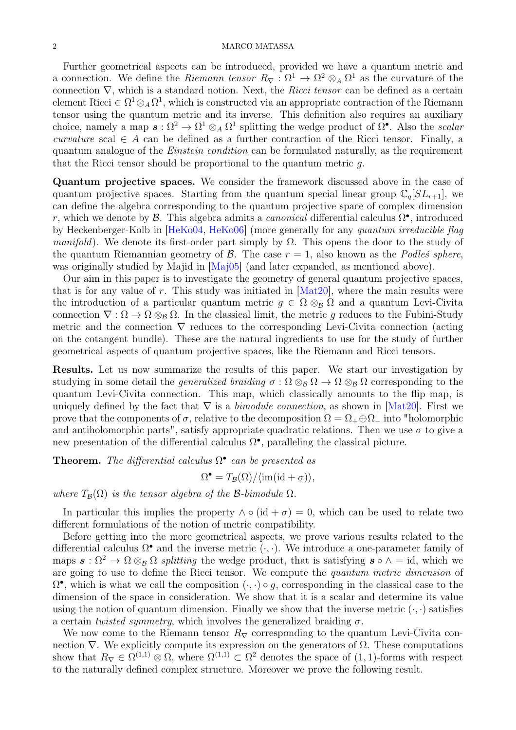#### 2 MARCO MATASSA

Further geometrical aspects can be introduced, provided we have a quantum metric and a connection. We define the *Riemann tensor*  $R_{\nabla} : \Omega^1 \to \Omega^2 \otimes_A \Omega^1$  as the curvature of the connection  $\nabla$ , which is a standard notion. Next, the Ricci tensor can be defined as a certain element Ricci  $\in \Omega^1 \otimes_A \Omega^1$ , which is constructed via an appropriate contraction of the Riemann tensor using the quantum metric and its inverse. This definition also requires an auxiliary choice, namely a map  $s: \Omega^2 \to \Omega^1 \otimes_A \Omega^1$  splitting the wedge product of  $\Omega^{\bullet}$ . Also the *scalar* curvature scal  $\in A$  can be defined as a further contraction of the Ricci tensor. Finally, a quantum analogue of the Einstein condition can be formulated naturally, as the requirement that the Ricci tensor should be proportional to the quantum metric  $q$ .

Quantum projective spaces. We consider the framework discussed above in the case of quantum projective spaces. Starting from the quantum special linear group  $\mathbb{C}_q[S_{r+1}]$ , we can define the algebra corresponding to the quantum projective space of complex dimension r, which we denote by  $\mathcal{B}$ . This algebra admits a *canonical* differential calculus  $\Omega^{\bullet}$ , introduced by Heckenberger-Kolb in [\[HeKo04,](#page-31-10) [HeKo06\]](#page-31-11) (more generally for any quantum irreducible flag manifold). We denote its first-order part simply by  $\Omega$ . This opens the door to the study of the quantum Riemannian geometry of  $\mathcal{B}$ . The case  $r = 1$ , also known as the *Podleś sphere*, was originally studied by Majid in [\[Maj05\]](#page-31-2) (and later expanded, as mentioned above).

Our aim in this paper is to investigate the geometry of general quantum projective spaces, that is for any value of r. This study was initiated in  $[Mat20]$ , where the main results were the introduction of a particular quantum metric  $q \in \Omega \otimes_B \Omega$  and a quantum Levi-Civita connection  $\nabla : \Omega \to \Omega \otimes_B \Omega$ . In the classical limit, the metric g reduces to the Fubini-Study metric and the connection ∇ reduces to the corresponding Levi-Civita connection (acting on the cotangent bundle). These are the natural ingredients to use for the study of further geometrical aspects of quantum projective spaces, like the Riemann and Ricci tensors.

Results. Let us now summarize the results of this paper. We start our investigation by studying in some detail the *generalized braiding*  $\sigma : \Omega \otimes_B \Omega \to \Omega \otimes_B \Omega$  corresponding to the quantum Levi-Civita connection. This map, which classically amounts to the flip map, is uniquely defined by the fact that  $\nabla$  is a *bimodule connection*, as shown in [\[Mat20\]](#page-31-1). First we prove that the components of  $\sigma$ , relative to the decomposition  $\Omega = \Omega_+ \oplus \Omega_-$  into "holomorphic and antiholomorphic parts", satisfy appropriate quadratic relations. Then we use  $\sigma$  to give a new presentation of the differential calculus  $\Omega^{\bullet}$ , paralleling the classical picture.

**Theorem.** The differential calculus  $\Omega^{\bullet}$  can be presented as

$$
\Omega^{\bullet} = T_{\mathcal{B}}(\Omega) / \langle \text{im}(\text{id} + \sigma) \rangle,
$$

where  $T_{\mathcal{B}}(\Omega)$  is the tensor algebra of the B-bimodule  $\Omega$ .

In particular this implies the property  $\wedge \circ (\mathrm{id} + \sigma) = 0$ , which can be used to relate two different formulations of the notion of metric compatibility.

Before getting into the more geometrical aspects, we prove various results related to the differential calculus  $\Omega^{\bullet}$  and the inverse metric  $(\cdot, \cdot)$ . We introduce a one-parameter family of maps  $\mathbf{s} : \Omega^2 \to \Omega \otimes_B \Omega$  splitting the wedge product, that is satisfying  $\mathbf{s} \circ \wedge = id$ , which we are going to use to define the Ricci tensor. We compute the *quantum metric dimension* of  $\Omega^{\bullet}$ , which is what we call the composition  $(\cdot, \cdot) \circ g$ , corresponding in the classical case to the dimension of the space in consideration. We show that it is a scalar and determine its value using the notion of quantum dimension. Finally we show that the inverse metric  $(\cdot, \cdot)$  satisfies a certain twisted symmetry, which involves the generalized braiding  $\sigma$ .

We now come to the Riemann tensor  $R_{\nabla}$  corresponding to the quantum Levi-Civita connection  $\nabla$ . We explicitly compute its expression on the generators of  $\Omega$ . These computations show that  $R_{\nabla} \in \Omega^{(1,1)} \otimes \Omega$ , where  $\Omega^{(1,1)} \subset \Omega^2$  denotes the space of  $(1,1)$ -forms with respect to the naturally defined complex structure. Moreover we prove the following result.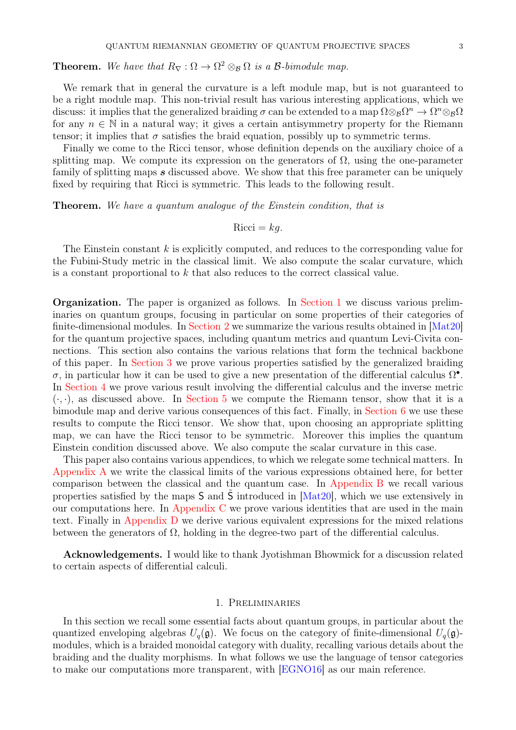**Theorem.** We have that  $R_{\nabla} : \Omega \to \Omega^2 \otimes_{\mathcal{B}} \Omega$  is a  $\mathcal{B}\text{-bimodule map}.$ 

We remark that in general the curvature is a left module map, but is not guaranteed to be a right module map. This non-trivial result has various interesting applications, which we discuss: it implies that the generalized braiding  $\sigma$  can be extended to a map  $\Omega \otimes_B \Omega^n \to \Omega^n \otimes_B \Omega$ for any  $n \in \mathbb{N}$  in a natural way; it gives a certain antisymmetry property for the Riemann tensor; it implies that  $\sigma$  satisfies the braid equation, possibly up to symmetric terms.

Finally we come to the Ricci tensor, whose definition depends on the auxiliary choice of a splitting map. We compute its expression on the generators of  $\Omega$ , using the one-parameter family of splitting maps s discussed above. We show that this free parameter can be uniquely fixed by requiring that Ricci is symmetric. This leads to the following result.

**Theorem.** We have a quantum analogue of the Einstein condition, that is

$$
Ricci = kg.
$$

The Einstein constant k is explicitly computed, and reduces to the corresponding value for the Fubini-Study metric in the classical limit. We also compute the scalar curvature, which is a constant proportional to  $k$  that also reduces to the correct classical value.

Organization. The paper is organized as follows. In [Section 1](#page-2-0) we discuss various preliminaries on quantum groups, focusing in particular on some properties of their categories of finite-dimensional modules. In [Section 2](#page-5-0) we summarize the various results obtained in [\[Mat20\]](#page-31-1) for the quantum projective spaces, including quantum metrics and quantum Levi-Civita connections. This section also contains the various relations that form the technical backbone of this paper. In [Section 3](#page-7-0) we prove various properties satisfied by the generalized braiding σ, in particular how it can be used to give a new presentation of the differential calculus  $Ω<sup>•</sup>$ . In [Section 4](#page-12-0) we prove various result involving the differential calculus and the inverse metric  $(\cdot, \cdot)$ , as discussed above. In [Section 5](#page-16-0) we compute the Riemann tensor, show that it is a bimodule map and derive various consequences of this fact. Finally, in [Section 6](#page-21-0) we use these results to compute the Ricci tensor. We show that, upon choosing an appropriate splitting map, we can have the Ricci tensor to be symmetric. Moreover this implies the quantum Einstein condition discussed above. We also compute the scalar curvature in this case.

This paper also contains various appendices, to which we relegate some technical matters. In [Appendix A](#page-27-0) we write the classical limits of the various expressions obtained here, for better comparison between the classical and the quantum case. In [Appendix B](#page-28-0) we recall various properties satisfied by the maps S and S introduced in [\[Mat20\]](#page-31-1), which we use extensively in our computations here. In [Appendix C](#page-28-1) we prove various identities that are used in the main text. Finally in [Appendix D](#page-30-0) we derive various equivalent expressions for the mixed relations between the generators of  $\Omega$ , holding in the degree-two part of the differential calculus.

Acknowledgements. I would like to thank Jyotishman Bhowmick for a discussion related to certain aspects of differential calculi.

### 1. Preliminaries

<span id="page-2-0"></span>In this section we recall some essential facts about quantum groups, in particular about the quantized enveloping algebras  $U_q(\mathfrak{g})$ . We focus on the category of finite-dimensional  $U_q(\mathfrak{g})$ modules, which is a braided monoidal category with duality, recalling various details about the braiding and the duality morphisms. In what follows we use the language of tensor categories to make our computations more transparent, with [\[EGNO16\]](#page-31-12) as our main reference.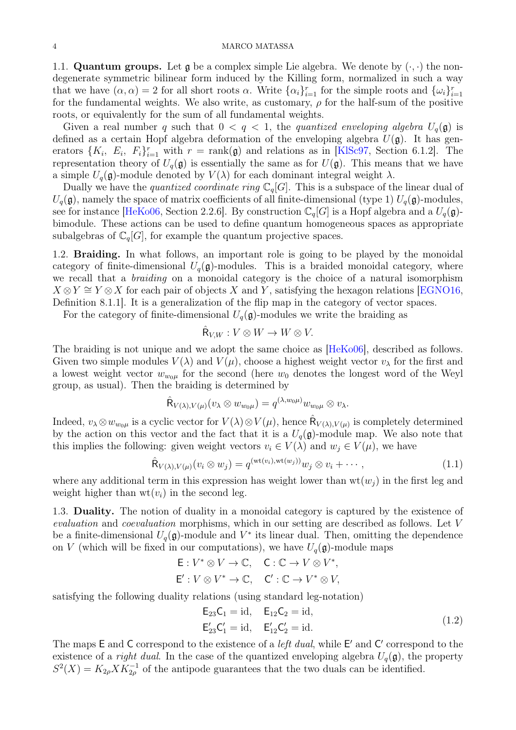1.1. **Quantum groups.** Let  $\mathfrak{g}$  be a complex simple Lie algebra. We denote by  $(\cdot, \cdot)$  the nondegenerate symmetric bilinear form induced by the Killing form, normalized in such a way that we have  $(\alpha, \alpha) = 2$  for all short roots  $\alpha$ . Write  $\{\alpha_i\}_{i=1}^r$  for the simple roots and  $\{\omega_i\}_{i=1}^r$ for the fundamental weights. We also write, as customary,  $\rho$  for the half-sum of the positive roots, or equivalently for the sum of all fundamental weights.

Given a real number q such that  $0 < q < 1$ , the quantized enveloping algebra  $U_q(\mathfrak{g})$  is defined as a certain Hopf algebra deformation of the enveloping algebra  $U(\mathfrak{g})$ . It has generators  $\{K_i, E_i, F_i\}_{i=1}^r$  with  $r = \text{rank}(\mathfrak{g})$  and relations as in [KISc97, Section 6.1.2]. The representation theory of  $U_q(\mathfrak{g})$  is essentially the same as for  $U(\mathfrak{g})$ . This means that we have a simple  $U_q(\mathfrak{g})$ -module denoted by  $V(\lambda)$  for each dominant integral weight  $\lambda$ .

Dually we have the *quantized coordinate ring*  $\mathbb{C}_q[G]$ . This is a subspace of the linear dual of  $U_q(\mathfrak{g})$ , namely the space of matrix coefficients of all finite-dimensional (type 1)  $U_q(\mathfrak{g})$ -modules, see for instance [\[HeKo06,](#page-31-11) Section 2.2.6]. By construction  $\mathbb{C}_q[G]$  is a Hopf algebra and a  $U_q(\mathfrak{g})$ bimodule. These actions can be used to define quantum homogeneous spaces as appropriate subalgebras of  $\mathbb{C}_q[G]$ , for example the quantum projective spaces.

1.2. Braiding. In what follows, an important role is going to be played by the monoidal category of finite-dimensional  $U_q(\mathfrak{g})$ -modules. This is a braided monoidal category, where we recall that a *braiding* on a monoidal category is the choice of a natural isomorphism  $X \otimes Y \cong Y \otimes X$  for each pair of objects X and Y, satisfying the hexagon relations [\[EGNO16,](#page-31-12) Definition 8.1.1]. It is a generalization of the flip map in the category of vector spaces.

For the category of finite-dimensional  $U_q(\mathfrak{g})$ -modules we write the braiding as

$$
\hat{\mathsf{R}}_{V,W}: V \otimes W \to W \otimes V.
$$

The braiding is not unique and we adopt the same choice as [\[HeKo06\]](#page-31-11), described as follows. Given two simple modules  $V(\lambda)$  and  $V(\mu)$ , choose a highest weight vector  $v_{\lambda}$  for the first and a lowest weight vector  $w_{w_0\mu}$  for the second (here  $w_0$  denotes the longest word of the Weyl group, as usual). Then the braiding is determined by

$$
\hat{\mathsf{R}}_{V(\lambda),V(\mu)}(v_{\lambda} \otimes w_{w_0\mu}) = q^{(\lambda,w_0\mu)} w_{w_0\mu} \otimes v_{\lambda}.
$$

Indeed,  $v_\lambda \otimes w_{w_0\mu}$  is a cyclic vector for  $V(\lambda) \otimes V(\mu)$ , hence  $\hat{\mathsf{R}}_{V(\lambda),V(\mu)}$  is completely determined by the action on this vector and the fact that it is a  $U_q(\mathfrak{g})$ -module map. We also note that this implies the following: given weight vectors  $v_i \in V(\lambda)$  and  $w_j \in V(\mu)$ , we have

<span id="page-3-0"></span>
$$
\hat{\mathsf{R}}_{V(\lambda),V(\mu)}(v_i \otimes w_j) = q^{(\mathrm{wt}(v_i),\mathrm{wt}(w_j))} w_j \otimes v_i + \cdots, \qquad (1.1)
$$

where any additional term in this expression has weight lower than  $wt(w_i)$  in the first leg and weight higher than  $wt(v_i)$  in the second leg.

1.3. Duality. The notion of duality in a monoidal category is captured by the existence of evaluation and coevaluation morphisms, which in our setting are described as follows. Let V be a finite-dimensional  $U_q(\mathfrak{g})$ -module and  $V^*$  its linear dual. Then, omitting the dependence on V (which will be fixed in our computations), we have  $U_q(\mathfrak{g})$ -module maps

$$
\begin{aligned} &\mathsf{E}: V^* \otimes V \to \mathbb{C}, \quad \mathsf{C}: \mathbb{C} \to V \otimes V^*, \\ &\mathsf{E}': V \otimes V^* \to \mathbb{C}, \quad \mathsf{C}': \mathbb{C} \to V^* \otimes V, \end{aligned}
$$

satisfying the following duality relations (using standard leg-notation)

<span id="page-3-1"></span>
$$
E_{23}C_1 = id, \t E_{12}C_2 = id,E'_{23}C'_1 = id, \t E'_{12}C'_2 = id.
$$
\n(1.2)

The maps  $E$  and  $C$  correspond to the existence of a *left dual*, while  $E'$  and  $C'$  correspond to the existence of a *right dual*. In the case of the quantized enveloping algebra  $U_q(\mathfrak{g})$ , the property  $S^2(X) = K_{2\rho} X K_{2\rho}^{-1}$  of the antipode guarantees that the two duals can be identified.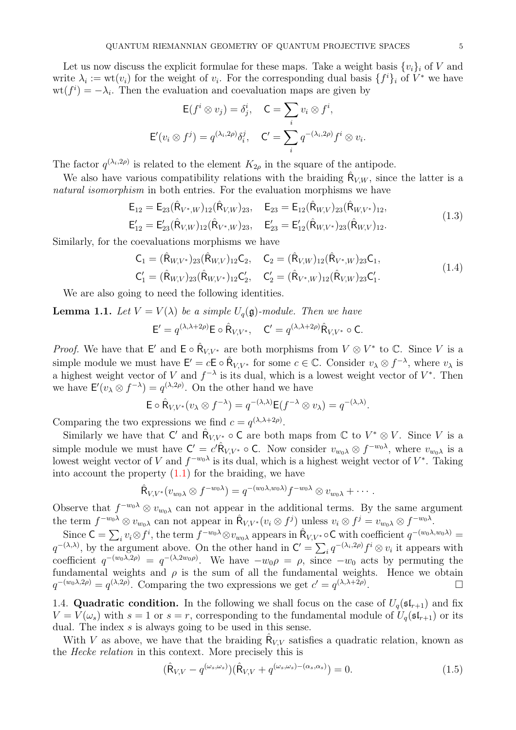Let us now discuss the explicit formulae for these maps. Take a weight basis  $\{v_i\}_i$  of V and write  $\lambda_i := \text{wt}(v_i)$  for the weight of  $v_i$ . For the corresponding dual basis  $\{f^i\}_i$  of  $V^*$  we have  $\operatorname{wt}(f^{i}) = -\lambda_{i}$ . Then the evaluation and coevaluation maps are given by

$$
\mathsf{E}(f^i \otimes v_j) = \delta^i_j, \quad \mathsf{C} = \sum_i v_i \otimes f^i,
$$

$$
\mathsf{E}'(v_i \otimes f^j) = q^{(\lambda_i, 2\rho)} \delta^j_i, \quad \mathsf{C}' = \sum_i q^{-(\lambda_i, 2\rho)} f^i \otimes v_i.
$$

The factor  $q^{(\lambda_i,2\rho)}$  is related to the element  $K_{2\rho}$  in the square of the antipode.

We also have various compatibility relations with the braiding  $R_{V,W}$ , since the latter is a natural isomorphism in both entries. For the evaluation morphisms we have

$$
\mathsf{E}_{12} = \mathsf{E}_{23}(\hat{\mathsf{R}}_{V^*,W})_{12}(\hat{\mathsf{R}}_{V,W})_{23}, \quad \mathsf{E}_{23} = \mathsf{E}_{12}(\hat{\mathsf{R}}_{W,V})_{23}(\hat{\mathsf{R}}_{W,V^*})_{12}, \n\mathsf{E}'_{12} = \mathsf{E}'_{23}(\hat{\mathsf{R}}_{V,W})_{12}(\hat{\mathsf{R}}_{V^*,W})_{23}, \quad \mathsf{E}'_{23} = \mathsf{E}'_{12}(\hat{\mathsf{R}}_{W,V^*})_{23}(\hat{\mathsf{R}}_{W,V})_{12}.
$$
\n(1.3)

Similarly, for the coevaluations morphisms we have

<span id="page-4-1"></span>
$$
C_1 = (\hat{R}_{W,V^*})_{23}(\hat{R}_{W,V})_{12}C_2, \quad C_2 = (\hat{R}_{V,W})_{12}(\hat{R}_{V^*,W})_{23}C_1, C'_1 = (\hat{R}_{W,V})_{23}(\hat{R}_{W,V^*})_{12}C'_2, \quad C'_2 = (\hat{R}_{V^*,W})_{12}(\hat{R}_{V,W})_{23}C'_1.
$$
\n(1.4)

<span id="page-4-0"></span>We are also going to need the following identities.

**Lemma 1.1.** Let  $V = V(\lambda)$  be a simple  $U_q(\mathfrak{g})$ -module. Then we have

$$
\mathsf{E}' = q^{(\lambda, \lambda + 2\rho)} \mathsf{E} \circ \hat{\mathsf{R}}_{V, V^*}, \quad \mathsf{C}' = q^{(\lambda, \lambda + 2\rho)} \hat{\mathsf{R}}_{V, V^*} \circ \mathsf{C}.
$$

*Proof.* We have that  $\mathsf{E}'$  and  $\mathsf{E} \circ \hat{\mathsf{R}}_{V,V^*}$  are both morphisms from  $V \otimes V^*$  to  $\mathbb{C}$ . Since V is a simple module we must have  $\mathsf{E}'=c\mathsf{E}\circ \hat{\mathsf{R}}_{V,V^*}$  for some  $c\in\mathbb{C}$ . Consider  $v_\lambda\otimes f^{-\lambda}$ , where  $v_\lambda$  is a highest weight vector of V and  $f^{-\lambda}$  is its dual, which is a lowest weight vector of  $V^*$ . Then we have  $\mathsf{E}'(v_\lambda \otimes f^{-\lambda}) = q^{(\lambda, 2\rho)}$ . On the other hand we have

$$
\mathsf{E} \circ \hat{\mathsf{R}}_{V,V^*}(v_\lambda \otimes f^{-\lambda}) = q^{-(\lambda,\lambda)} \mathsf{E}(f^{-\lambda} \otimes v_\lambda) = q^{-(\lambda,\lambda)}.
$$

Comparing the two expressions we find  $c = q^{(\lambda, \lambda + 2\rho)}$ .

Similarly we have that C' and  $\hat{\mathsf{R}}_{V,V^*} \circ \mathsf{C}$  are both maps from  $\mathbb{C}$  to  $V^* \otimes V$ . Since V is a simple module we must have  $C' = c' \hat{R}_{V,V^*} \circ C$ . Now consider  $v_{w_0\lambda} \otimes f^{-w_0\lambda}$ , where  $v_{w_0\lambda}$  is a lowest weight vector of V and  $f^{-w_0\lambda}$  is its dual, which is a highest weight vector of  $V^*$ . Taking into account the property  $(1.1)$  for the braiding, we have

$$
\hat{R}_{V,V^*}(v_{w_0\lambda}\otimes f^{-w_0\lambda})=q^{-(w_0\lambda,w_0\lambda)}f^{-w_0\lambda}\otimes v_{w_0\lambda}+\cdots.
$$

Observe that  $f^{-w_0\lambda} \otimes v_{w_0\lambda}$  can not appear in the additional terms. By the same argument the term  $f^{-w_0\lambda} \otimes v_{w_0\lambda}$  can not appear in  $\hat{\mathsf{R}}_{V,V^*}(v_i \otimes f^j)$  unless  $v_i \otimes f^j = v_{w_0\lambda} \otimes f^{-w_0\lambda}$ .

Since  $C = \sum_i v_i \otimes f^i$ , the term  $f^{-w_0 \lambda} \otimes v_{w_0 \lambda}$  appears in  $\hat{\mathsf{R}}_{V,V^*} \circ \mathsf{C}$  with coefficient  $q^{-(w_0 \lambda, w_0 \lambda)} =$  $q^{-(\lambda,\lambda)}$ , by the argument above. On the other hand in  $C' = \sum_i q^{-(\lambda_i,2\rho)} f^i \otimes v_i$  it appears with coefficient  $q^{-(w_0\lambda,2\rho)}=q^{-(\lambda,2w_0\rho)}$ . We have  $-w_0\rho=\rho$ , since  $-w_0$  acts by permuting the fundamental weights and  $\rho$  is the sum of all the fundamental weights. Hence we obtain  $q^{-(w_0\lambda,2\rho)}=q^{(\lambda,2\rho)}$ . Comparing the two expressions we get  $c'=q^{(\lambda,\lambda+2\rho)}$ .

1.4. **Quadratic condition.** In the following we shall focus on the case of  $U_q(\mathfrak{sl}_{r+1})$  and fix  $V = V(\omega_s)$  with  $s = 1$  or  $s = r$ , corresponding to the fundamental module of  $U_q(\mathfrak{sl}_{r+1})$  or its dual. The index s is always going to be used in this sense.

With V as above, we have that the braiding  $R_{V,V}$  satisfies a quadratic relation, known as the Hecke relation in this context. More precisely this is

<span id="page-4-2"></span>
$$
(\hat{\mathsf{R}}_{V,V} - q^{(\omega_s, \omega_s)}) (\hat{\mathsf{R}}_{V,V} + q^{(\omega_s, \omega_s) - (\alpha_s, \alpha_s)}) = 0.
$$
\n(1.5)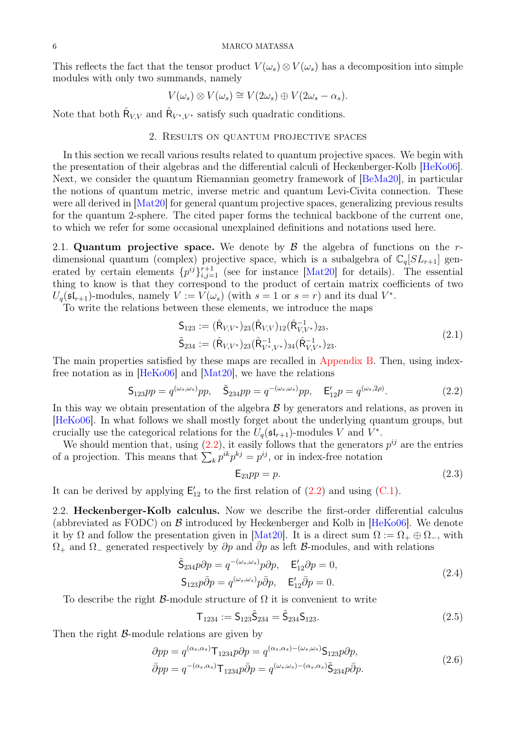This reflects the fact that the tensor product  $V(\omega_s) \otimes V(\omega_s)$  has a decomposition into simple modules with only two summands, namely

$$
V(\omega_s) \otimes V(\omega_s) \cong V(2\omega_s) \oplus V(2\omega_s - \alpha_s).
$$

<span id="page-5-0"></span>Note that both  $\hat{\mathsf{R}}_{V,V}$  and  $\hat{\mathsf{R}}_{V^*,V^*}$  satisfy such quadratic conditions.

# 2. Results on quantum projective spaces

In this section we recall various results related to quantum projective spaces. We begin with the presentation of their algebras and the differential calculi of Heckenberger-Kolb [\[HeKo06\]](#page-31-11). Next, we consider the quantum Riemannian geometry framework of [\[BeMa20\]](#page-31-5), in particular the notions of quantum metric, inverse metric and quantum Levi-Civita connection. These were all derived in [\[Mat20\]](#page-31-1) for general quantum projective spaces, generalizing previous results for the quantum 2-sphere. The cited paper forms the technical backbone of the current one, to which we refer for some occasional unexplained definitions and notations used here.

2.1. Quantum projective space. We denote by  $\beta$  the algebra of functions on the rdimensional quantum (complex) projective space, which is a subalgebra of  $\mathbb{C}_q[S_{r+1}]$  generated by certain elements  $\{p^{ij}\}_{i,j=1}^{r+1}$  (see for instance [\[Mat20\]](#page-31-1) for details). The essential thing to know is that they correspond to the product of certain matrix coefficients of two  $U_q(\mathfrak{sl}_{r+1})$ -modules, namely  $V := V(\omega_s)$  (with  $s = 1$  or  $s = r$ ) and its dual  $V^*$ .

To write the relations between these elements, we introduce the maps

$$
S_{123} := (\hat{R}_{V,V^*})_{23} (\hat{R}_{V,V})_{12} (\hat{R}_{V,V^*}^{-1})_{23},
$$
  
\n
$$
\tilde{S}_{234} := (\hat{R}_{V,V^*})_{23} (\hat{R}_{V^*,V^*}^{-1})_{34} (\hat{R}_{V,V^*}^{-1})_{23}.
$$
\n(2.1)

The main properties satisfied by these maps are recalled in [Appendix B.](#page-28-0) Then, using indexfree notation as in [\[HeKo06\]](#page-31-11) and [\[Mat20\]](#page-31-1), we have the relations

<span id="page-5-1"></span>
$$
S_{123}pp = q^{(\omega_s, \omega_s)}pp, \quad \tilde{S}_{234}pp = q^{-(\omega_s, \omega_s)}pp, \quad E'_{12}p = q^{(\omega_s, 2\rho)}.
$$
 (2.2)

In this way we obtain presentation of the algebra  $\beta$  by generators and relations, as proven in [\[HeKo06\]](#page-31-11). In what follows we shall mostly forget about the underlying quantum groups, but crucially use the categorical relations for the  $U_q(\mathfrak{sl}_{r+1})$ -modules V and  $V^*$ .

We should mention that, using  $(2.2)$ , it easily follows that the generators  $p^{ij}$  are the entries of a projection. This means that  $\sum_k p^{ik} p^{kj} = p^{ij}$ , or in index-free notation

$$
E_{23}pp = p.\t\t(2.3)
$$

It can be derived by applying  $E'_{12}$  to the first relation of  $(2.2)$  and using  $(C.1)$ .

2.2. Heckenberger-Kolb calculus. Now we describe the first-order differential calculus (abbreviated as FODC) on  $\beta$  introduced by Heckenberger and Kolb in [\[HeKo06\]](#page-31-11). We denote it by  $\Omega$  and follow the presentation given in [\[Mat20\]](#page-31-1). It is a direct sum  $\Omega := \Omega_+ \oplus \Omega_-,$  with  $\Omega_+$  and  $\Omega_-$  generated respectively by  $\partial p$  and  $\overline{\partial} p$  as left B-modules, and with relations

<span id="page-5-2"></span>
$$
\tilde{\mathsf{S}}_{234}p\partial p = q^{-(\omega_s,\omega_s)}p\partial p, \quad \mathsf{E}_{12}'\partial p = 0,
$$
\n
$$
\mathsf{S}_{123}p\bar{\partial}p = q^{(\omega_s,\omega_s)}p\bar{\partial}p, \quad \mathsf{E}_{12}'\bar{\partial}p = 0.
$$
\n(2.4)

To describe the right  $\beta$ -module structure of  $\Omega$  it is convenient to write

$$
T_{1234} := S_{123}\tilde{S}_{234} = \tilde{S}_{234}S_{123}.
$$
\n(2.5)

<span id="page-5-3"></span>Then the right  $\beta$ -module relations are given by

$$
\partial pp = q^{(\alpha_s, \alpha_s)} \mathsf{T}_{1234} p \partial p = q^{(\alpha_s, \alpha_s) - (\omega_s, \omega_s)} \mathsf{S}_{123} p \partial p,
$$
  
\n
$$
\bar{\partial} pp = q^{-(\alpha_s, \alpha_s)} \mathsf{T}_{1234} p \bar{\partial} p = q^{(\omega_s, \omega_s) - (\alpha_s, \alpha_s)} \tilde{\mathsf{S}}_{234} p \bar{\partial} p.
$$
\n(2.6)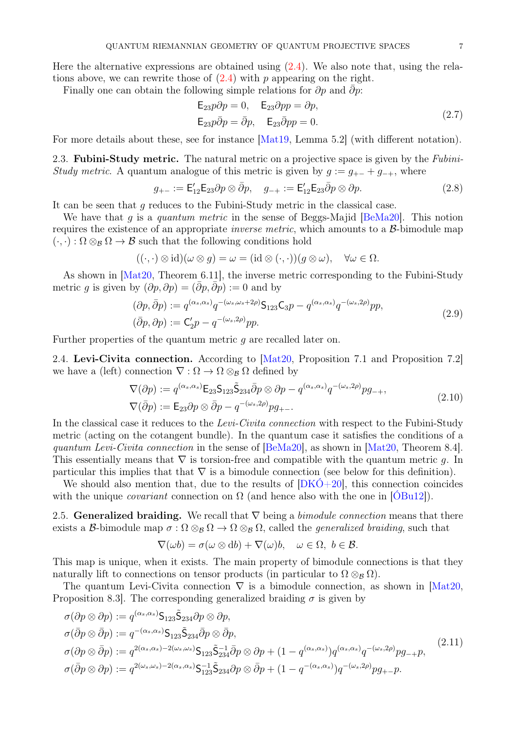Here the alternative expressions are obtained using  $(2.4)$ . We also note that, using the relations above, we can rewrite those of  $(2.4)$  with p appearing on the right.

Finally one can obtain the following simple relations for  $\partial p$  and  $\overline{\partial p}$ :

<span id="page-6-1"></span>
$$
\begin{aligned} \mathsf{E}_{23}p\partial p &= 0, \quad \mathsf{E}_{23}\partial pp &= \partial p, \\ \mathsf{E}_{23}p\bar{\partial}p &= \bar{\partial}p, \quad \mathsf{E}_{23}\bar{\partial}pp &= 0. \end{aligned} \tag{2.7}
$$

For more details about these, see for instance [\[Mat19,](#page-31-13) Lemma 5.2] (with different notation).

2.3. **Fubini-Study metric.** The natural metric on a projective space is given by the *Fubini*-Study metric. A quantum analogue of this metric is given by  $g := g_{+-} + g_{-+}$ , where

<span id="page-6-4"></span>
$$
g_{+-} := \mathsf{E}_{12}' \mathsf{E}_{23} \partial p \otimes \bar{\partial} p, \quad g_{-+} := \mathsf{E}_{12}' \mathsf{E}_{23} \bar{\partial} p \otimes \partial p. \tag{2.8}
$$

It can be seen that g reduces to the Fubini-Study metric in the classical case.

We have that q is a quantum metric in the sense of Beggs-Majid  $[BeMa20]$ . This notion requires the existence of an appropriate *inverse metric*, which amounts to a  $\beta$ -bimodule map  $(\cdot, \cdot) : \Omega \otimes_B \Omega \to \mathcal{B}$  such that the following conditions hold

$$
((\cdot,\cdot)\otimes id)(\omega\otimes g)=\omega=(id\otimes(\cdot,\cdot))(g\otimes\omega),\quad\forall\omega\in\Omega.
$$

As shown in [\[Mat20,](#page-31-1) Theorem 6.11], the inverse metric corresponding to the Fubini-Study metric g is given by  $(\partial p, \partial p) = (\partial p, \partial p) := 0$  and by

$$
(\partial p, \bar{\partial} p) := q^{(\alpha_s, \alpha_s)} q^{-(\omega_s, \omega_s + 2\rho)} \mathsf{S}_{123} \mathsf{C}_{3} p - q^{(\alpha_s, \alpha_s)} q^{-(\omega_s, 2\rho)} p p,
$$
  
\n
$$
(\bar{\partial} p, \partial p) := \mathsf{C}_{2}' p - q^{-(\omega_s, 2\rho)} p p.
$$
\n(2.9)

<span id="page-6-2"></span>Further properties of the quantum metric  $q$  are recalled later on.

2.4. Levi-Civita connection. According to [\[Mat20,](#page-31-1) Proposition 7.1 and Proposition 7.2] we have a (left) connection  $\nabla : \Omega \to \Omega \otimes_B \Omega$  defined by

$$
\nabla(\partial p) := q^{(\alpha_s, \alpha_s)} \mathsf{E}_{23} \mathsf{S}_{123} \tilde{\mathsf{S}}_{234} \bar{\partial} p \otimes \partial p - q^{(\alpha_s, \alpha_s)} q^{-(\omega_s, 2\rho)} p g_{-+},
$$
  
\n
$$
\nabla(\bar{\partial} p) := \mathsf{E}_{23} \partial p \otimes \bar{\partial} p - q^{-(\omega_s, 2\rho)} p g_{+-}.
$$
\n(2.10)

<span id="page-6-3"></span>In the classical case it reduces to the Levi-Civita connection with respect to the Fubini-Study metric (acting on the cotangent bundle). In the quantum case it satisfies the conditions of a quantum Levi-Civita connection in the sense of [\[BeMa20\]](#page-31-5), as shown in [\[Mat20,](#page-31-1) Theorem 8.4]. This essentially means that  $\nabla$  is torsion-free and compatible with the quantum metric q. In particular this implies that that  $\nabla$  is a bimodule connection (see below for this definition).

We should also mention that, due to the results of  $[DKO+20]$ , this connection coincides with the unique *covariant* connection on  $\Omega$  (and hence also with the one in [OBu12]).

2.5. Generalized braiding. We recall that  $\nabla$  being a *bimodule connection* means that there exists a B-bimodule map  $\sigma : \Omega \otimes_B \Omega \to \Omega \otimes_B \Omega$ , called the *generalized braiding*, such that

$$
\nabla(\omega b) = \sigma(\omega \otimes \mathrm{d}b) + \nabla(\omega)b, \quad \omega \in \Omega, \ b \in \mathcal{B}.
$$

This map is unique, when it exists. The main property of bimodule connections is that they naturally lift to connections on tensor products (in particular to  $\Omega \otimes_B \Omega$ ).

The quantum Levi-Civita connection  $\nabla$  is a bimodule connection, as shown in [\[Mat20,](#page-31-1) Proposition 8.3. The corresponding generalized braiding  $\sigma$  is given by

<span id="page-6-0"></span>
$$
\sigma(\partial p \otimes \partial p) := q^{(\alpha_s, \alpha_s)} \mathsf{S}_{123} \tilde{\mathsf{S}}_{234} \partial p \otimes \partial p,
$$
\n
$$
\sigma(\bar{\partial} p \otimes \bar{\partial} p) := q^{-(\alpha_s, \alpha_s)} \mathsf{S}_{123} \tilde{\mathsf{S}}_{234} \bar{\partial} p \otimes \bar{\partial} p,
$$
\n
$$
\sigma(\partial p \otimes \bar{\partial} p) := q^{2(\alpha_s, \alpha_s) - 2(\omega_s, \omega_s)} \mathsf{S}_{123} \tilde{\mathsf{S}}_{234}^{-1} \bar{\partial} p \otimes \partial p + (1 - q^{(\alpha_s, \alpha_s)}) q^{(\alpha_s, \alpha_s)} q^{-(\omega_s, 2\rho)} p g_{-+} p,
$$
\n
$$
\sigma(\bar{\partial} p \otimes \partial p) := q^{2(\omega_s, \omega_s) - 2(\alpha_s, \alpha_s)} \mathsf{S}_{123}^{-1} \tilde{\mathsf{S}}_{234} \partial p \otimes \bar{\partial} p + (1 - q^{-(\alpha_s, \alpha_s)}) q^{-(\omega_s, 2\rho)} p g_{+-} p.
$$
\n
$$
(2.11)
$$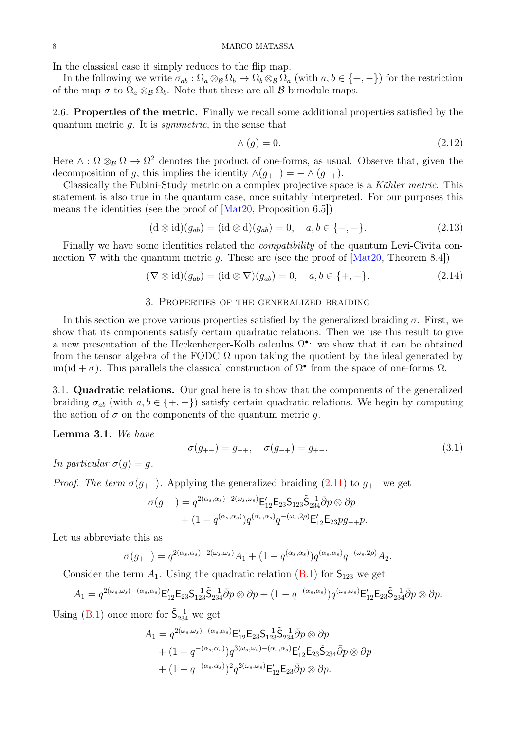### 8 MARCO MATASSA

In the classical case it simply reduces to the flip map.

In the following we write  $\sigma_{ab} : \Omega_a \otimes_B \Omega_b \to \Omega_b \otimes_B \Omega_a$  (with  $a, b \in \{+, -\}$ ) for the restriction of the map  $\sigma$  to  $\Omega_a \otimes_B \Omega_b$ . Note that these are all *B*-bimodule maps.

2.6. Properties of the metric. Finally we recall some additional properties satisfied by the quantum metric  $q$ . It is *symmetric*, in the sense that

<span id="page-7-4"></span>
$$
\wedge \left( g \right) = 0. \tag{2.12}
$$

Here  $\wedge$ :  $\Omega \otimes_B \Omega \to \Omega^2$  denotes the product of one-forms, as usual. Observe that, given the decomposition of g, this implies the identity  $\wedge (g_{+-}) = - \wedge (g_{-+})$ .

Classically the Fubini-Study metric on a complex projective space is a Kähler metric. This statement is also true in the quantum case, once suitably interpreted. For our purposes this means the identities (see the proof of [\[Mat20,](#page-31-1) Proposition 6.5])

<span id="page-7-2"></span>
$$
(\mathrm{d} \otimes \mathrm{id})(g_{ab}) = (\mathrm{id} \otimes \mathrm{d})(g_{ab}) = 0, \quad a, b \in \{+, -\}.
$$
 (2.13)

Finally we have some identities related the *compatibility* of the quantum Levi-Civita connection  $\nabla$  with the quantum metric g. These are (see the proof of  $|\text{Mat20}, \text{Theorem 8.4}|$ )

<span id="page-7-3"></span>
$$
(\nabla \otimes \mathrm{id})(g_{ab}) = (\mathrm{id} \otimes \nabla)(g_{ab}) = 0, \quad a, b \in \{+, -\}.
$$
 (2.14)

## 3. Properties of the generalized braiding

<span id="page-7-0"></span>In this section we prove various properties satisfied by the generalized braiding  $\sigma$ . First, we show that its components satisfy certain quadratic relations. Then we use this result to give a new presentation of the Heckenberger-Kolb calculus  $\Omega^{\bullet}$ : we show that it can be obtained from the tensor algebra of the FODC  $\Omega$  upon taking the quotient by the ideal generated by im(id +  $\sigma$ ). This parallels the classical construction of  $\Omega^{\bullet}$  from the space of one-forms  $\Omega$ .

3.1. Quadratic relations. Our goal here is to show that the components of the generalized braiding  $\sigma_{ab}$  (with  $a, b \in \{+, -\}$ ) satisfy certain quadratic relations. We begin by computing the action of  $\sigma$  on the components of the quantum metric g.

### Lemma 3.1. We have

<span id="page-7-1"></span>
$$
\sigma(g_{+-}) = g_{-+}, \quad \sigma(g_{-+}) = g_{+-}.
$$
\n(3.1)

In particular  $\sigma(g) = q$ .

*Proof.* The term 
$$
\sigma(g_{+-})
$$
. Applying the generalized braiding (2.11) to  $g_{+-}$  we get

$$
\sigma(g_{+-}) = q^{2(\alpha_s, \alpha_s)-2(\omega_s, \omega_s)} \mathsf{E}_{12}' \mathsf{E}_{23} \mathsf{S}_{123} \tilde{\mathsf{S}}_{234}^{-1} \bar{\partial} p \otimes \partial p + (1 - q^{(\alpha_s, \alpha_s)}) q^{(\alpha_s, \alpha_s)} q^{-(\omega_s, 2\rho)} \mathsf{E}_{12}' \mathsf{E}_{23} pg_{-+} p.
$$

Let us abbreviate this as

$$
\sigma(g_{+-}) = q^{2(\alpha_s, \alpha_s) - 2(\omega_s, \omega_s)} A_1 + (1 - q^{(\alpha_s, \alpha_s)}) q^{(\alpha_s, \alpha_s)} q^{-(\omega_s, 2\rho)} A_2.
$$

Consider the term  $A_1$ . Using the quadratic relation [\(B.1\)](#page-28-3) for  $S_{123}$  we get

$$
A_1 = q^{2(\omega_s, \omega_s) - (\alpha_s, \alpha_s)} \mathsf{E}_{12}' \mathsf{E}_{23} \mathsf{S}_{123}^{-1} \tilde{\mathsf{S}}_{234}^{-1} \bar{\partial} p \otimes \partial p + (1 - q^{-(\alpha_s, \alpha_s)}) q^{(\omega_s, \omega_s)} \mathsf{E}_{12}' \mathsf{E}_{23} \tilde{\mathsf{S}}_{234}^{-1} \bar{\partial} p \otimes \partial p.
$$

Using [\(B.1\)](#page-28-3) once more for  $\tilde{\mathsf{S}}^{-1}_{234}$  we get

$$
A_1 = q^{2(\omega_s, \omega_s) - (\alpha_s, \alpha_s)} \mathsf{E}_{12}' \mathsf{E}_{23} \mathsf{S}_{123}' \mathsf{S}_{234}^{-1} \bar{\partial} p \otimes \partial p
$$
  
+ 
$$
(1 - q^{-(\alpha_s, \alpha_s)}) q^{3(\omega_s, \omega_s) - (\alpha_s, \alpha_s)} \mathsf{E}_{12}' \mathsf{E}_{23} \tilde{\mathsf{S}}_{234} \bar{\partial} p \otimes \partial p
$$
  
+ 
$$
(1 - q^{-(\alpha_s, \alpha_s)})^2 q^{2(\omega_s, \omega_s)} \mathsf{E}_{12}' \mathsf{E}_{23} \bar{\partial} p \otimes \partial p.
$$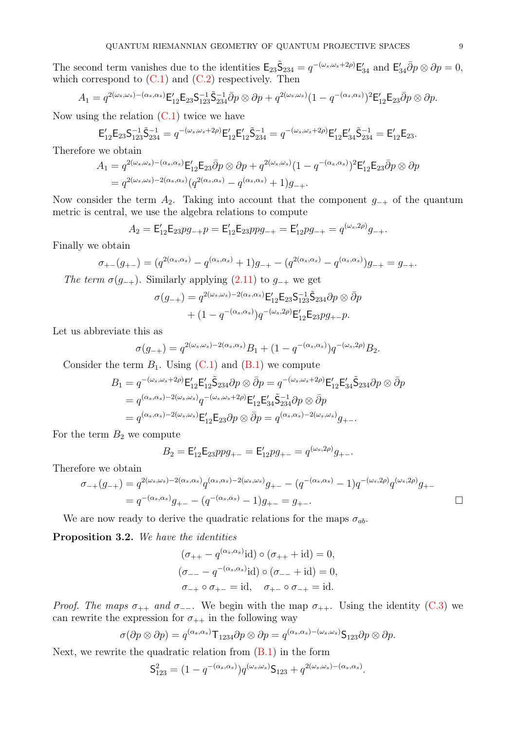The second term vanishes due to the identities  $\mathsf{E}_{23}\tilde{\mathsf{S}}_{234} = q^{-(\omega_s,\omega_s+2\rho)}\mathsf{E}_{34}'$  and  $\mathsf{E}_{34}$  $S_{34}\bar{\partial}p\otimes \partial p=0,$ which correspond to  $(C.1)$  and  $(C.2)$  respectively. Then

$$
A_1 = q^{2(\omega_s, \omega_s) - (\alpha_s, \alpha_s)} \mathsf{E}_{12}' \mathsf{E}_{23} \mathsf{S}_{123}^{-1} \tilde{\mathsf{S}}_{234}^{-1} \bar{\partial} p \otimes \partial p + q^{2(\omega_s, \omega_s)} (1 - q^{-(\alpha_s, \alpha_s)})^2 \mathsf{E}_{12}' \mathsf{E}_{23} \bar{\partial} p \otimes \partial p.
$$

Now using the relation  $(C.1)$  twice we have

$$
\mathsf{E}^{\prime}_{12} \mathsf{E}_{23} \mathsf{S}^{-1}_{123} \widetilde{\mathsf{S}}^{-1}_{234} = q^{-(\omega_s, \omega_s + 2\rho)} \mathsf{E}^{\prime}_{12} \mathsf{E}^{\prime}_{12} \widetilde{\mathsf{S}}^{-1}_{234} = q^{-(\omega_s, \omega_s + 2\rho)} \mathsf{E}^{\prime}_{12} \mathsf{E}^{\prime}_{34} \widetilde{\mathsf{S}}^{-1}_{234} = \mathsf{E}^{\prime}_{12} \mathsf{E}_{23}.
$$

Therefore we obtain

$$
A_1 = q^{2(\omega_s, \omega_s) - (\alpha_s, \alpha_s)} \mathsf{E}_{12}' \mathsf{E}_{23} \bar{\partial} p \otimes \partial p + q^{2(\omega_s, \omega_s)} (1 - q^{-(\alpha_s, \alpha_s)})^2 \mathsf{E}_{12}' \mathsf{E}_{23} \bar{\partial} p \otimes \partial p
$$
  
= 
$$
q^{2(\omega_s, \omega_s) - 2(\alpha_s, \alpha_s)} (q^{2(\alpha_s, \alpha_s)} - q^{(\alpha_s, \alpha_s)} + 1) g_{-+}.
$$

Now consider the term  $A_2$ . Taking into account that the component  $g_{-+}$  of the quantum metric is central, we use the algebra relations to compute

$$
A_2 = \mathsf{E}_{12}'\mathsf{E}_{23}pg_{-+}p = \mathsf{E}_{12}'\mathsf{E}_{23}ppg_{-+} = \mathsf{E}_{12}'pg_{-+} = q^{(\omega_s, 2\rho)}g_{-+}.
$$

Finally we obtain

$$
\sigma_{+-}(g_{+-}) = (q^{2(\alpha_s, \alpha_s)} - q^{(\alpha_s, \alpha_s)} + 1)g_{-+} - (q^{2(\alpha_s, \alpha_s)} - q^{(\alpha_s, \alpha_s)})g_{-+} = g_{-+}.
$$

The term  $\sigma(g_{-+})$ . Similarly applying [\(2.11\)](#page-6-0) to  $g_{-+}$  we get

$$
\sigma(g_{-+}) = q^{2(\omega_s, \omega_s) - 2(\alpha_s, \alpha_s)} \mathsf{E}'_{12} \mathsf{E}_{23} \mathsf{S}_{123}^{-1} \tilde{\mathsf{S}}_{234} \partial p \otimes \bar{\partial} p + (1 - q^{-(\alpha_s, \alpha_s)}) q^{-(\omega_s, 2\rho)} \mathsf{E}'_{12} \mathsf{E}_{23} pg_{+-} p.
$$

Let us abbreviate this as

$$
\sigma(g_{-+}) = q^{2(\omega_s, \omega_s) - 2(\alpha_s, \alpha_s)} B_1 + (1 - q^{-(\alpha_s, \alpha_s)}) q^{-(\omega_s, 2\rho)} B_2.
$$

Consider the term  $B_1$ . Using  $(C.1)$  and  $(B.1)$  we compute

$$
B_1 = q^{-(\omega_s, \omega_s + 2\rho)} \mathsf{E}_{12}' \mathsf{E}_{12}' \mathsf{S}_{234} \partial p \otimes \bar{\partial} p = q^{-(\omega_s, \omega_s + 2\rho)} \mathsf{E}_{12}' \mathsf{E}_{34}' \mathsf{S}_{234} \partial p \otimes \bar{\partial} p
$$
  
=  $q^{(\alpha_s, \alpha_s) - 2(\omega_s, \omega_s)} q^{-(\omega_s, \omega_s + 2\rho)} \mathsf{E}_{12}' \mathsf{E}_{34}' \mathsf{S}_{234}^{-1} \partial p \otimes \bar{\partial} p$   
=  $q^{(\alpha_s, \alpha_s) - 2(\omega_s, \omega_s)} \mathsf{E}_{12}' \mathsf{E}_{23} \partial p \otimes \bar{\partial} p = q^{(\alpha_s, \alpha_s) - 2(\omega_s, \omega_s)} g_{+-}.$ 

For the term  $B_2$  we compute

$$
B_2 = \mathsf{E}_{12}'\mathsf{E}_{23}ppg_{+-} = \mathsf{E}_{12}'pg_{+-} = q^{(\omega_s, 2\rho)}g_{+-}.
$$

Therefore we obtain

$$
\sigma_{-+}(g_{-+}) = q^{2(\omega_s, \omega_s)-2(\alpha_s, \alpha_s)} q^{(\alpha_s, \alpha_s)-2(\omega_s, \omega_s)} g_{+-} - (q^{-(\alpha_s, \alpha_s)} - 1) q^{-(\omega_s, 2\rho)} q^{(\omega_s, 2\rho)} g_{+-}
$$
  
=  $q^{-(\alpha_s, \alpha_s)} g_{+-} - (q^{-(\alpha_s, \alpha_s)} - 1) g_{+-} = g_{+-}.$ 

<span id="page-8-0"></span>We are now ready to derive the quadratic relations for the maps  $\sigma_{ab}$ .

Proposition 3.2. We have the identities

$$
(\sigma_{++} - q^{(\alpha_s, \alpha_s)} \text{id}) \circ (\sigma_{++} + \text{id}) = 0,
$$
  
\n
$$
(\sigma_{--} - q^{-(\alpha_s, \alpha_s)} \text{id}) \circ (\sigma_{--} + \text{id}) = 0,
$$
  
\n
$$
\sigma_{-+} \circ \sigma_{+-} = \text{id}, \quad \sigma_{+-} \circ \sigma_{-+} = \text{id}.
$$

*Proof. The maps*  $\sigma_{++}$  *and*  $\sigma_{--}$ . We begin with the map  $\sigma_{++}$ . Using the identity [\(C.3\)](#page-29-0) we can rewrite the expression for  $\sigma_{++}$  in the following way

$$
\sigma(\partial p \otimes \partial p) = q^{(\alpha_s, \alpha_s)} \mathsf{T}_{1234} \partial p \otimes \partial p = q^{(\alpha_s, \alpha_s) - (\omega_s, \omega_s)} \mathsf{S}_{123} \partial p \otimes \partial p.
$$

Next, we rewrite the quadratic relation from  $(B.1)$  in the form

$$
S_{123}^2 = (1 - q^{-(\alpha_s, \alpha_s)}) q^{(\omega_s, \omega_s)} S_{123} + q^{2(\omega_s, \omega_s) - (\alpha_s, \alpha_s)}.
$$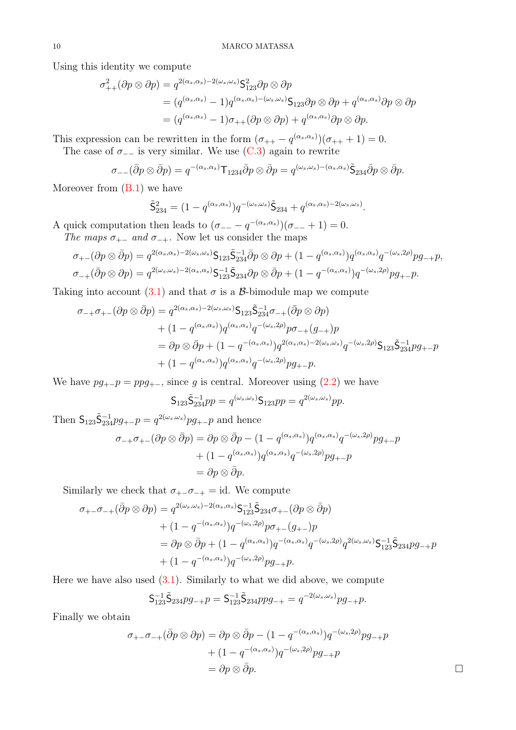Using this identity we compute

$$
\sigma_{++}^2(\partial p \otimes \partial p) = q^{2(\alpha_s, \alpha_s) - 2(\omega_s, \omega_s)} \mathsf{S}_{123}^2 \partial p \otimes \partial p
$$
  
=  $(q^{(\alpha_s, \alpha_s)} - 1)q^{(\alpha_s, \alpha_s) - (\omega_s, \omega_s)} \mathsf{S}_{123} \partial p \otimes \partial p + q^{(\alpha_s, \alpha_s)} \partial p \otimes \partial p$   
=  $(q^{(\alpha_s, \alpha_s)} - 1)\sigma_{++}(\partial p \otimes \partial p) + q^{(\alpha_s, \alpha_s)} \partial p \otimes \partial p.$ 

This expression can be rewritten in the form  $(\sigma_{++} - q^{(\alpha_s, \alpha_s)})(\sigma_{++} + 1) = 0$ .

The case of  $\sigma_{-}$  is very similar. We use [\(C.3\)](#page-29-0) again to rewrite

$$
\sigma_{--}(\bar{\partial}p\otimes \bar{\partial}p)=q^{-(\alpha_s,\alpha_s)}\mathsf{T}_{1234}\bar{\partial}p\otimes \bar{\partial}p=q^{(\omega_s,\omega_s)-(\alpha_s,\alpha_s)}\tilde{\mathsf{S}}_{234}\bar{\partial}p\otimes \bar{\partial}p.
$$

Moreover from [\(B.1\)](#page-28-3) we have

$$
\tilde{\mathsf{S}}_{234}^2 = (1 - q^{(\alpha_s, \alpha_s)}) q^{-(\omega_s, \omega_s)} \tilde{\mathsf{S}}_{234} + q^{(\alpha_s, \alpha_s) - 2(\omega_s, \omega_s)}.
$$

A quick computation then leads to  $(\sigma_{--} - q^{-(\alpha_s, \alpha_s)})(\sigma_{--} + 1) = 0$ . The maps  $\sigma_{+-}$  and  $\sigma_{-+}$ . Now let us consider the maps

$$
\sigma_{+-}(\partial p \otimes \bar{\partial} p) = q^{2(\alpha_s, \alpha_s) - 2(\omega_s, \omega_s)} \mathsf{S}_{123} \tilde{\mathsf{S}}_{234}^{-1} \bar{\partial} p \otimes \partial p + (1 - q^{(\alpha_s, \alpha_s)}) q^{(\alpha_s, \alpha_s)} q^{-(\omega_s, 2\rho)} p g_{-+} p,
$$
  

$$
\sigma_{-+}(\bar{\partial} p \otimes \partial p) = q^{2(\omega_s, \omega_s) - 2(\alpha_s, \alpha_s)} \mathsf{S}_{123}^{-1} \tilde{\mathsf{S}}_{234} \partial p \otimes \bar{\partial} p + (1 - q^{-(\alpha_s, \alpha_s)}) q^{-(\omega_s, 2\rho)} p g_{+-} p.
$$

Taking into account [\(3.1\)](#page-7-1) and that  $\sigma$  is a  $\beta$ -bimodule map we compute

$$
\sigma_{-+}\sigma_{+-}(\partial p \otimes \bar{\partial} p) = q^{2(\alpha_s, \alpha_s)-2(\omega_s, \omega_s)} \mathsf{S}_{123} \tilde{\mathsf{S}}_{234}^{-1} \sigma_{-+}(\bar{\partial} p \otimes \partial p)
$$
  
+ 
$$
(1-q^{(\alpha_s, \alpha_s)})q^{(\alpha_s, \alpha_s)}q^{-(\omega_s, 2\rho)}p\sigma_{-+}(g_{-+})p
$$
  
= 
$$
\partial p \otimes \bar{\partial} p + (1-q^{-(\alpha_s, \alpha_s)})q^{2(\alpha_s, \alpha_s)-2(\omega_s, \omega_s)}q^{-(\omega_s, 2\rho)} \mathsf{S}_{123} \tilde{\mathsf{S}}_{234}^{-1} p g_{+-}p
$$
  
+ 
$$
(1-q^{(\alpha_s, \alpha_s)})q^{(\alpha_s, \alpha_s)}q^{-(\omega_s, 2\rho)}p g_{+-}p.
$$

We have  $pg_{+-}p = ppg_{+-}$ , since g is central. Moreover using  $(2.2)$  we have

$$
\mathsf{S}_{123}\tilde{\mathsf{S}}_{234}^{-1}pp = q^{(\omega_s, \omega_s)}\mathsf{S}_{123}pp = q^{2(\omega_s, \omega_s)}pp.
$$

Then  $S_{123}\tilde{S}_{234}^{-1}pg_{+-}p = q^{2(\omega_s,\omega_s)}pg_{+-}p$  and hence

$$
\sigma_{-+}\sigma_{+-}(\partial p \otimes \bar{\partial} p) = \partial p \otimes \bar{\partial} p - (1 - q^{(\alpha_s, \alpha_s)}) q^{(\alpha_s, \alpha_s)} q^{-(\omega_s, 2\rho)} p g_{+-} p
$$

$$
+ (1 - q^{(\alpha_s, \alpha_s)}) q^{(\alpha_s, \alpha_s)} q^{-(\omega_s, 2\rho)} p g_{+-} p
$$

$$
= \partial p \otimes \bar{\partial} p.
$$

Similarly we check that  $\sigma_{+-}\sigma_{-+} = id$ . We compute

$$
\sigma_{+-}\sigma_{-+}(\bar{\partial}p\otimes\partial p) = q^{2(\omega_s,\omega_s)-2(\alpha_s,\alpha_s)}\mathsf{S}_{123}^{-1}\tilde{\mathsf{S}}_{234}\sigma_{+-}(\partial p\otimes\bar{\partial}p)
$$
  
+ 
$$
(1-q^{-(\alpha_s,\alpha_s)})q^{-(\omega_s,2\rho)}p\sigma_{+-}(g_{+-})p
$$
  
= 
$$
\partial p\otimes\bar{\partial}p + (1-q^{(\alpha_s,\alpha_s)})q^{-(\alpha_s,\alpha_s)}q^{-(\omega_s,2\rho)}q^{2(\omega_s,\omega_s)}\mathsf{S}_{123}^{-1}\tilde{\mathsf{S}}_{234}pg_{-+}p
$$
  
+ 
$$
(1-q^{-(\alpha_s,\alpha_s)})q^{-(\omega_s,2\rho)}pg_{-+}p.
$$

Here we have also used  $(3.1)$ . Similarly to what we did above, we compute

$$
\mathsf{S}_{123}^{-1}\tilde{\mathsf{S}}_{234}pg_{-+}p = \mathsf{S}_{123}^{-1}\tilde{\mathsf{S}}_{234}ppg_{-+} = q^{-2(\omega_s,\omega_s)}pg_{-+}p.
$$

Finally we obtain

$$
\sigma_{+-}\sigma_{-+}(\bar{\partial}p\otimes\partial p) = \partial p\otimes\bar{\partial}p - (1 - q^{-(\alpha_s,\alpha_s)})q^{-(\omega_s,2\rho)}pg_{-+}p
$$
  
+ 
$$
(1 - q^{-(\alpha_s,\alpha_s)})q^{-(\omega_s,2\rho)}pg_{-+}p
$$
  
= 
$$
\partial p\otimes\bar{\partial}p.
$$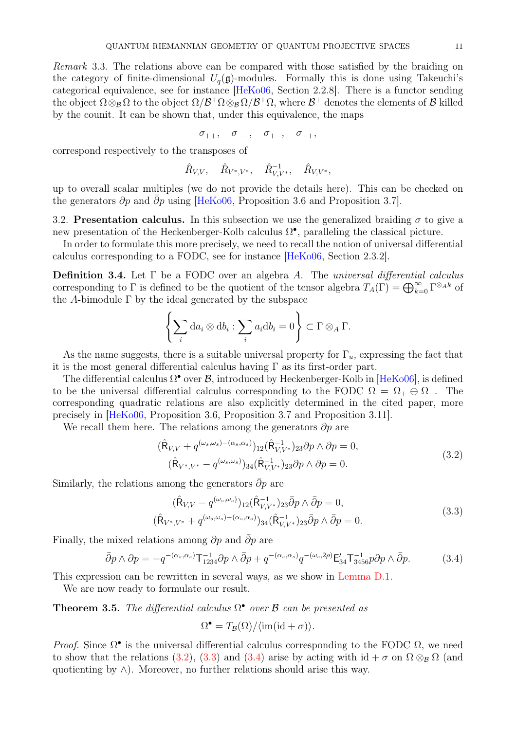Remark 3.3. The relations above can be compared with those satisfied by the braiding on the category of finite-dimensional  $U_q(\mathfrak{g})$ -modules. Formally this is done using Takeuchi's categorical equivalence, see for instance [\[HeKo06,](#page-31-11) Section 2.2.8]. There is a functor sending the object  $\Omega \otimes_B \Omega$  to the object  $\Omega/\mathcal{B}^+\Omega \otimes_B \Omega/\mathcal{B}^+\Omega$ , where  $\mathcal{B}^+$  denotes the elements of  $\mathcal{B}$  killed by the counit. It can be shown that, under this equivalence, the maps

$$
\sigma_{++},\quad \sigma_{--},\quad \sigma_{+-},\quad \sigma_{-+},
$$

correspond respectively to the transposes of

$$
\hat{R}_{V,V},\quad \hat{R}_{V^*,V^*},\quad \hat{R}_{V,V^*}^{-1},\quad \hat{R}_{V,V^*},
$$

up to overall scalar multiples (we do not provide the details here). This can be checked on the generators  $\partial p$  and  $\partial p$  using [\[HeKo06,](#page-31-11) Proposition 3.6 and Proposition 3.7].

3.2. Presentation calculus. In this subsection we use the generalized braiding  $\sigma$  to give a new presentation of the Heckenberger-Kolb calculus  $\Omega^{\bullet}$ , paralleling the classical picture.

In order to formulate this more precisely, we need to recall the notion of universal differential calculus corresponding to a FODC, see for instance [\[HeKo06,](#page-31-11) Section 2.3.2].

**Definition 3.4.** Let  $\Gamma$  be a FODC over an algebra A. The universal differential calculus corresponding to  $\Gamma$  is defined to be the quotient of the tensor algebra  $T_A(\Gamma) = \bigoplus_{k=0}^{\infty} \Gamma^{\otimes_A k}$  of the A-bimodule  $\Gamma$  by the ideal generated by the subspace

$$
\left\{\sum_i da_i \otimes db_i : \sum_i a_i db_i = 0\right\} \subset \Gamma \otimes_A \Gamma.
$$

As the name suggests, there is a suitable universal property for  $\Gamma_u$ , expressing the fact that it is the most general differential calculus having  $\Gamma$  as its first-order part.

The differential calculus  $\Omega^{\bullet}$  over  $\mathcal{B}$ , introduced by Heckenberger-Kolb in [\[HeKo06\]](#page-31-11), is defined to be the universal differential calculus corresponding to the FODC  $\Omega = \Omega_+ \oplus \Omega_-$ . The corresponding quadratic relations are also explicitly determined in the cited paper, more precisely in [\[HeKo06,](#page-31-11) Proposition 3.6, Proposition 3.7 and Proposition 3.11].

We recall them here. The relations among the generators  $\partial p$  are

<span id="page-10-0"></span>
$$
(\hat{\mathsf{R}}_{V,V} + q^{(\omega_s, \omega_s) - (\alpha_s, \alpha_s)})_{12} (\hat{\mathsf{R}}_{V,V^*}^{-1})_{23} \partial p \wedge \partial p = 0, (\hat{\mathsf{R}}_{V^*,V^*} - q^{(\omega_s, \omega_s)})_{34} (\hat{\mathsf{R}}_{V,V^*}^{-1})_{23} \partial p \wedge \partial p = 0.
$$
 (3.2)

Similarly, the relations among the generators  $\bar{\partial}p$  are

<span id="page-10-1"></span>
$$
(\hat{\mathsf{R}}_{V,V} - q^{(\omega_s, \omega_s)})_{12} (\hat{\mathsf{R}}_{V,V^*}^{-1})_{23} \bar{\partial} p \wedge \bar{\partial} p = 0,
$$
  

$$
(\hat{\mathsf{R}}_{V^*,V^*} + q^{(\omega_s, \omega_s) - (\alpha_s, \alpha_s)})_{34} (\hat{\mathsf{R}}_{V,V^*}^{-1})_{23} \bar{\partial} p \wedge \bar{\partial} p = 0.
$$
 (3.3)

Finally, the mixed relations among  $\partial p$  and  $\bar{\partial} p$  are

<span id="page-10-2"></span>
$$
\bar{\partial}p \wedge \partial p = -q^{-(\alpha_s, \alpha_s)} \mathsf{T}_{1234}^{-1} \partial p \wedge \bar{\partial}p + q^{-(\alpha_s, \alpha_s)} q^{-(\omega_s, 2\rho)} \mathsf{E}_{34}' \mathsf{T}_{3456}^{-1} p \partial p \wedge \bar{\partial}p. \tag{3.4}
$$

This expression can be rewritten in several ways, as we show in [Lemma D.1.](#page-30-1)

<span id="page-10-3"></span>We are now ready to formulate our result.

**Theorem 3.5.** The differential calculus  $\Omega^{\bullet}$  over  $\beta$  can be presented as

$$
\Omega^{\bullet} = T_{\mathcal{B}}(\Omega) / \langle \text{im}(\text{id} + \sigma) \rangle.
$$

*Proof.* Since  $\Omega^{\bullet}$  is the universal differential calculus corresponding to the FODC  $\Omega$ , we need to show that the relations [\(3.2\)](#page-10-0), [\(3.3\)](#page-10-1) and [\(3.4\)](#page-10-2) arise by acting with  $id + \sigma$  on  $\Omega \otimes_B \Omega$  (and quotienting by  $\wedge$ ). Moreover, no further relations should arise this way.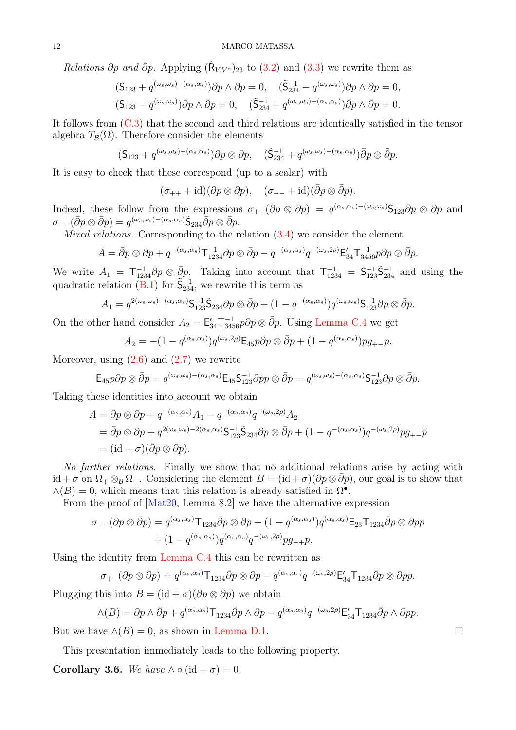Relations  $\partial p$  and  $\bar{\partial} p$ . Applying  $(\hat{\mathsf{R}}_{V,V^*})_{23}$  to [\(3.2\)](#page-10-0) and [\(3.3\)](#page-10-1) we rewrite them as

$$
\begin{aligned} & (\mathsf{S}_{123} + q^{(\omega_s, \omega_s) - (\alpha_s, \alpha_s)}) \partial p \wedge \partial p = 0, \quad (\tilde{\mathsf{S}}_{234}^{-1} - q^{(\omega_s, \omega_s)}) \partial p \wedge \partial p = 0, \\ & (\mathsf{S}_{123} - q^{(\omega_s, \omega_s)}) \bar{\partial} p \wedge \bar{\partial} p = 0, \quad (\tilde{\mathsf{S}}_{234}^{-1} + q^{(\omega_s, \omega_s) - (\alpha_s, \alpha_s)}) \bar{\partial} p \wedge \bar{\partial} p = 0. \end{aligned}
$$

It follows from [\(C.3\)](#page-29-0) that the second and third relations are identically satisfied in the tensor algebra  $T_{\mathcal{B}}(\Omega)$ . Therefore consider the elements

$$
(\mathsf{S}_{123} + q^{(\omega_s, \omega_s) - (\alpha_s, \alpha_s)}) \partial p \otimes \partial p, \quad (\tilde{\mathsf{S}}_{234}^{-1} + q^{(\omega_s, \omega_s) - (\alpha_s, \alpha_s)}) \bar{\partial} p \otimes \bar{\partial} p.
$$

It is easy to check that these correspond (up to a scalar) with

$$
(\sigma_{++} + id)(\partial p \otimes \partial p), \quad (\sigma_{--} + id)(\bar{\partial} p \otimes \bar{\partial} p).
$$

Indeed, these follow from the expressions  $\sigma_{++}(\partial p \otimes \partial p) = q^{(\alpha_s, \alpha_s) - (\omega_s, \omega_s)}$ S<sub>123</sub> $\partial p \otimes \partial p$  and  $\sigma_{--} (\bar{\partial} p \otimes \bar{\partial} p) = q^{(\omega_s, \omega_s)-(\alpha_s, \alpha_s)} \tilde{\mathsf{S}}_{234} \bar{\partial} p \otimes \bar{\partial} p.$ 

Mixed relations. Corresponding to the relation  $(3.4)$  we consider the element

$$
A = \overline{\partial}p \otimes \partial p + q^{-(\alpha_s, \alpha_s)} \mathsf{T}_{1234}^{-1} \partial p \otimes \overline{\partial}p - q^{-(\alpha_s, \alpha_s)} q^{-(\omega_s, 2\rho)} \mathsf{E}_{34}' \mathsf{T}_{3456}^{-1} p \partial p \otimes \overline{\partial}p.
$$

We write  $A_1 = \mathsf{T}_{1234}^{-1} \partial p \otimes \bar{\partial} p$ . Taking into account that  $\mathsf{T}_{1234}^{-1} = \mathsf{S}_{123}^{-1} \tilde{\mathsf{S}}_{234}^{-1}$  and using the quadratic relation [\(B.1\)](#page-28-3) for  $\tilde{\mathsf{S}}_{234}^{-1}$ , we rewrite this term as

$$
A_1 = q^{2(\omega_s, \omega_s) - (\alpha_s, \alpha_s)} \mathsf{S}_{123}^{-1} \tilde{\mathsf{S}}_{234} \partial p \otimes \bar{\partial} p + (1 - q^{-(\alpha_s, \alpha_s)}) q^{(\omega_s, \omega_s)} \mathsf{S}_{123}^{-1} \partial p \otimes \bar{\partial} p.
$$

On the other hand consider  $A_2 = \mathsf{E}_{34}' \mathsf{T}_{3456}^{-1} p \partial p \otimes \bar{\partial} p$ . Using [Lemma C.4](#page-29-1) we get

$$
A_2 = -(1 - q^{(\alpha_s, \alpha_s)}) q^{(\omega_s, 2\rho)} \mathsf{E}_{45} p \partial p \otimes \bar{\partial} p + (1 - q^{(\alpha_s, \alpha_s)}) p g_{+-} p.
$$

Moreover, using  $(2.6)$  and  $(2.7)$  we rewrite

$$
\mathsf{E}_{45}p\partial p\otimes \bar{\partial}p=q^{(\omega_s,\omega_s)-(\alpha_s,\alpha_s)}\mathsf{E}_{45}\mathsf{S}_{123}^{-1}\partial pp\otimes \bar{\partial}p=q^{(\omega_s,\omega_s)-(\alpha_s,\alpha_s)}\mathsf{S}_{123}^{-1}\partial p\otimes \bar{\partial}p.
$$

Taking these identities into account we obtain

$$
A = \bar{\partial}p \otimes \partial p + q^{-(\alpha_s, \alpha_s)} A_1 - q^{-(\alpha_s, \alpha_s)} q^{-(\omega_s, 2\rho)} A_2
$$
  
=  $\bar{\partial}p \otimes \partial p + q^{2(\omega_s, \omega_s)-2(\alpha_s, \alpha_s)} \mathsf{S}_{123}^{-1} \tilde{\mathsf{S}}_{234} \partial p \otimes \bar{\partial}p + (1 - q^{-(\alpha_s, \alpha_s)}) q^{-(\omega_s, 2\rho)} pg_{+-}p$   
=  $(id + \sigma)(\bar{\partial}p \otimes \partial p).$ 

No further relations. Finally we show that no additional relations arise by acting with id +  $\sigma$  on  $\Omega_+ \otimes_B \Omega_-$ . Considering the element  $B = (\mathrm{id} + \sigma)(\partial p \otimes \partial p)$ , our goal is to show that  $\wedge(B) = 0$ , which means that this relation is already satisfied in  $\Omega^{\bullet}$ .

From the proof of  $\left[\text{Mat20}, \text{Lemma } 8.2\right]$  we have the alternative expression

$$
\sigma_{+-}(\partial p \otimes \bar{\partial} p) = q^{(\alpha_s, \alpha_s)} \mathsf{T}_{1234} \bar{\partial} p \otimes \partial p - (1 - q^{(\alpha_s, \alpha_s)}) q^{(\alpha_s, \alpha_s)} \mathsf{E}_{23} \mathsf{T}_{1234} \bar{\partial} p \otimes \partial pp
$$

$$
+ (1 - q^{(\alpha_s, \alpha_s)}) q^{(\alpha_s, \alpha_s)} q^{-(\omega_s, 2\rho)} pg_{-+} p.
$$

Using the identity from [Lemma C.4](#page-29-1) this can be rewritten as

$$
\sigma_{+-}(\partial p \otimes \bar{\partial} p) = q^{(\alpha_s, \alpha_s)} \mathsf{T}_{1234} \bar{\partial} p \otimes \partial p - q^{(\alpha_s, \alpha_s)} q^{-(\omega_s, 2\rho)} \mathsf{E}_{34}' \mathsf{T}_{1234} \bar{\partial} p \otimes \partial pp.
$$

Plugging this into  $B = (\mathrm{id} + \sigma)(\partial p \otimes \overline{\partial} p)$  we obtain

$$
\wedge (B) = \partial p \wedge \bar{\partial} p + q^{(\alpha_s, \alpha_s)} \mathsf{T}_{1234} \bar{\partial} p \wedge \partial p - q^{(\alpha_s, \alpha_s)} q^{-(\omega_s, 2\rho)} \mathsf{E}_{34}' \mathsf{T}_{1234} \bar{\partial} p \wedge \partial pp.
$$

But we have  $\land$ (B) = 0, as shown in [Lemma D.1.](#page-30-1)

<span id="page-11-0"></span>This presentation immediately leads to the following property.

Corollary 3.6. We have  $\wedge \circ (\mathrm{id} + \sigma) = 0$ .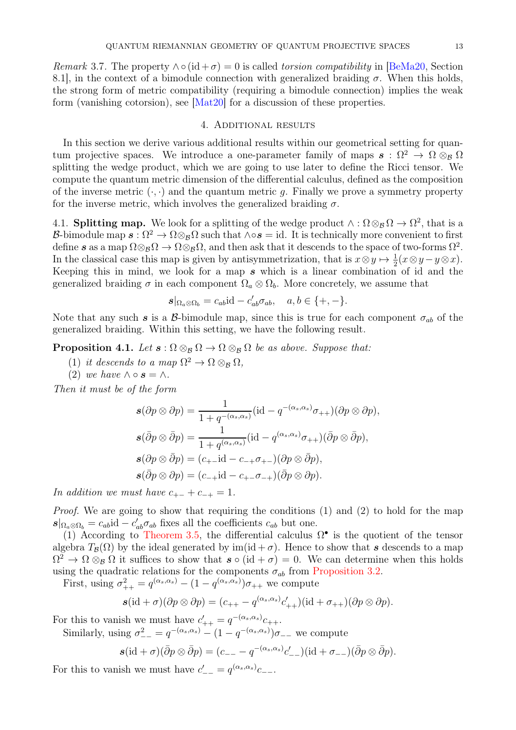Remark 3.7. The property  $\wedge \circ (\mathrm{id} + \sigma) = 0$  is called torsion compatibility in [\[BeMa20,](#page-31-5) Section 8.1, in the context of a bimodule connection with generalized braiding  $\sigma$ . When this holds, the strong form of metric compatibility (requiring a bimodule connection) implies the weak form (vanishing cotorsion), see [\[Mat20\]](#page-31-1) for a discussion of these properties.

## 4. Additional results

<span id="page-12-0"></span>In this section we derive various additional results within our geometrical setting for quantum projective spaces. We introduce a one-parameter family of maps  $\mathbf{s} : \Omega^2 \to \Omega \otimes_B \Omega$ splitting the wedge product, which we are going to use later to define the Ricci tensor. We compute the quantum metric dimension of the differential calculus, defined as the composition of the inverse metric  $(\cdot, \cdot)$  and the quantum metric g. Finally we prove a symmetry property for the inverse metric, which involves the generalized braiding  $\sigma$ .

4.1. **Splitting map.** We look for a splitting of the wedge product  $\wedge : \Omega \otimes_B \Omega \to \Omega^2$ , that is a B-bimodule map  $\mathbf{s}: \Omega^2 \to \Omega \otimes_{\mathcal{B}} \Omega$  such that  $\wedge \circ \mathbf{s} = id$ . It is technically more convenient to first define s as a map  $\Omega \otimes_B \Omega \to \Omega \otimes_B \Omega$ , and then ask that it descends to the space of two-forms  $\Omega^2$ . In the classical case this map is given by antisymmetrization, that is  $x \otimes y \mapsto \frac{1}{2}(x \otimes y - y \otimes x)$ . Keeping this in mind, we look for a map  $s$  which is a linear combination of id and the generalized braiding  $\sigma$  in each component  $\Omega_a \otimes \Omega_b$ . More concretely, we assume that

$$
\mathbf{s} |_{\Omega_a \otimes \Omega_b} = c_{ab} \mathrm{id} - c'_{ab} \sigma_{ab}, \quad a, b \in \{+, -\}.
$$

<span id="page-12-1"></span>Note that any such s is a B-bimodule map, since this is true for each component  $\sigma_{ab}$  of the generalized braiding. Within this setting, we have the following result.

**Proposition 4.1.** Let  $\mathbf{s} : \Omega \otimes_B \Omega \to \Omega \otimes_B \Omega$  be as above. Suppose that:

- (1) it descends to a map  $\Omega^2 \to \Omega \otimes_B \Omega$ ,
- (2) we have  $\wedge \circ s = \wedge$ .

Then it must be of the form

$$
\mathbf{s}(\partial p \otimes \partial p) = \frac{1}{1 + q^{-(\alpha_s, \alpha_s)}} (\text{id} - q^{-(\alpha_s, \alpha_s)} \sigma_{++}) (\partial p \otimes \partial p),
$$
  

$$
\mathbf{s}(\bar{\partial} p \otimes \bar{\partial} p) = \frac{1}{1 + q^{(\alpha_s, \alpha_s)}} (\text{id} - q^{(\alpha_s, \alpha_s)} \sigma_{++}) (\bar{\partial} p \otimes \bar{\partial} p),
$$
  

$$
\mathbf{s}(\partial p \otimes \bar{\partial} p) = (c_{+-} \text{id} - c_{-+} \sigma_{+-}) (\partial p \otimes \bar{\partial} p),
$$
  

$$
\mathbf{s}(\bar{\partial} p \otimes \partial p) = (c_{-+} \text{id} - c_{+-} \sigma_{-+}) (\bar{\partial} p \otimes \partial p).
$$

In addition we must have  $c_{+-} + c_{-+} = 1$ .

*Proof.* We are going to show that requiring the conditions  $(1)$  and  $(2)$  to hold for the map  $s|_{\Omega_a\otimes\Omega_b} = c_{ab}$ id –  $c'_{ab}\sigma_{ab}$  fixes all the coefficients  $c_{ab}$  but one.

(1) According to [Theorem 3.5,](#page-10-3) the differential calculus  $\Omega^{\bullet}$  is the quotient of the tensor algebra  $T_{\mathcal{B}}(\Omega)$  by the ideal generated by im(id +  $\sigma$ ). Hence to show that s descends to a map  $\Omega^2 \to \Omega \otimes_{\mathcal{B}} \Omega$  it suffices to show that  $s \circ (\mathrm{id} + \sigma) = 0$ . We can determine when this holds using the quadratic relations for the components  $\sigma_{ab}$  from [Proposition 3.2.](#page-8-0)

First, using  $\sigma_{++}^2 = q^{(\alpha_s, \alpha_s)} - (1 - q^{(\alpha_s, \alpha_s)}) \sigma_{++}$  we compute

$$
\mathbf{s}(\mathrm{id}+\sigma)(\partial p\otimes \partial p)=(c_{++}-q^{(\alpha_s,\alpha_s)}c'_{++})(\mathrm{id}+\sigma_{++})(\partial p\otimes \partial p).
$$

For this to vanish we must have  $c'_{++} = q^{-(\alpha_s, \alpha_s)} c_{++}$ .

Similarly, using  $\sigma_{--}^2 = q^{-(\alpha_s, \alpha_s)} - (1 - q^{-(\alpha_s, \alpha_s)})\sigma_{--}$  we compute

$$
\mathbf{s}(\mathrm{id}+\sigma)(\bar{\partial}p\otimes\bar{\partial}p)=(c_{--}-q^{-(\alpha_s,\alpha_s)}c'_{--})(\mathrm{id}+\sigma_{--})(\bar{\partial}p\otimes\bar{\partial}p).
$$

For this to vanish we must have  $c'_{--} = q^{(\alpha_s, \alpha_s)} c_{--}$ .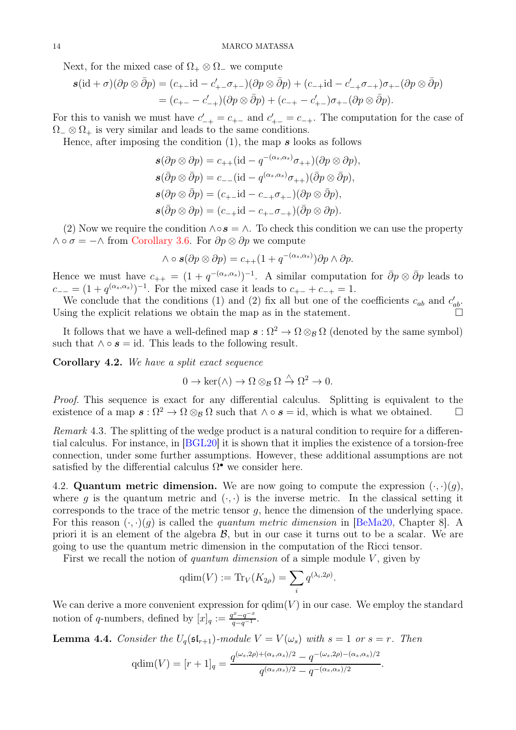Next, for the mixed case of  $\Omega_+ \otimes \Omega_-$  we compute

$$
\mathbf{s}(\mathrm{id} + \sigma)(\partial p \otimes \bar{\partial} p) = (c_{+-}\mathrm{id} - c'_{+-}\sigma_{+-})(\partial p \otimes \bar{\partial} p) + (c_{-+}\mathrm{id} - c'_{-+}\sigma_{-+})\sigma_{+-}(\partial p \otimes \bar{\partial} p)
$$
  
=  $(c_{+-} - c'_{-+})(\partial p \otimes \bar{\partial} p) + (c_{-+} - c'_{+-})\sigma_{+-}(\partial p \otimes \bar{\partial} p).$ 

For this to vanish we must have  $c'_{-+} = c_{+-}$  and  $c'_{+-} = c_{-+}$ . The computation for the case of  $\Omega_{-} \otimes \Omega_{+}$  is very similar and leads to the same conditions.

Hence, after imposing the condition  $(1)$ , the map s looks as follows

$$
\mathbf{s}(\partial p \otimes \partial p) = c_{++}(\mathrm{id} - q^{-(\alpha_s, \alpha_s)}\sigma_{++})(\partial p \otimes \partial p),
$$
  
\n
$$
\mathbf{s}(\bar{\partial} p \otimes \bar{\partial} p) = c_{--}(\mathrm{id} - q^{(\alpha_s, \alpha_s)}\sigma_{++})(\bar{\partial} p \otimes \bar{\partial} p),
$$
  
\n
$$
\mathbf{s}(\partial p \otimes \bar{\partial} p) = (c_{+-}\mathrm{id} - c_{-+}\sigma_{+-})(\partial p \otimes \bar{\partial} p),
$$
  
\n
$$
\mathbf{s}(\bar{\partial} p \otimes \partial p) = (c_{-+}\mathrm{id} - c_{+-}\sigma_{-+})(\bar{\partial} p \otimes \partial p).
$$

(2) Now we require the condition  $\wedge \circ s = \wedge$ . To check this condition we can use the property  $\wedge \circ \sigma = -\wedge$  from [Corollary 3.6.](#page-11-0) For  $\partial p \otimes \partial p$  we compute

$$
\wedge \circ \mathbf{s}(\partial p \otimes \partial p) = c_{++}(1 + q^{-(\alpha_s, \alpha_s)}) \partial p \wedge \partial p.
$$

Hence we must have  $c_{++} = (1 + q^{-(\alpha_s, \alpha_s)})^{-1}$ . A similar computation for  $\bar{\partial}p \otimes \bar{\partial}p$  leads to  $c_{--} = (1 + q^{(\alpha_s, \alpha_s)})^{-1}$ . For the mixed case it leads to  $c_{+-} + c_{-+} = 1$ .

We conclude that the conditions (1) and (2) fix all but one of the coefficients  $c_{ab}$  and  $c'_{ab}$ . Using the explicit relations we obtain the map as in the statement.

It follows that we have a well-defined map  $\mathbf{s} : \Omega^2 \to \Omega \otimes_{\mathcal{B}} \Omega$  (denoted by the same symbol) such that  $\wedge \circ s = id$ . This leads to the following result.

Corollary 4.2. We have a split exact sequence

$$
0 \to \ker(\wedge) \to \Omega \otimes_{\mathcal{B}} \Omega \stackrel{\wedge}{\to} \Omega^2 \to 0.
$$

Proof. This sequence is exact for any differential calculus. Splitting is equivalent to the existence of a map  $\mathbf{s} : \Omega^2 \to \Omega \otimes_{\mathcal{B}} \Omega$  such that  $\wedge \circ \mathbf{s} = id$ , which is what we obtained.  $\square$ 

Remark 4.3. The splitting of the wedge product is a natural condition to require for a differential calculus. For instance, in [\[BGL20\]](#page-31-16) it is shown that it implies the existence of a torsion-free connection, under some further assumptions. However, these additional assumptions are not satisfied by the differential calculus  $\Omega^{\bullet}$  we consider here.

4.2. Quantum metric dimension. We are now going to compute the expression  $(\cdot, \cdot)(g)$ , where q is the quantum metric and  $(\cdot, \cdot)$  is the inverse metric. In the classical setting it corresponds to the trace of the metric tensor  $q$ , hence the dimension of the underlying space. For this reason  $(\cdot, \cdot)(q)$  is called the *quantum metric dimension* in [\[BeMa20,](#page-31-5) Chapter 8]. A priori it is an element of the algebra  $\mathcal{B}$ , but in our case it turns out to be a scalar. We are going to use the quantum metric dimension in the computation of the Ricci tensor.

First we recall the notion of *quantum dimension* of a simple module  $V$ , given by

$$
\mathrm{qdim}(V) := \mathrm{Tr}_V(K_{2\rho}) = \sum_i q^{(\lambda_i, 2\rho)}.
$$

We can derive a more convenient expression for  $\dim(V)$  in our case. We employ the standard notion of q-numbers, defined by  $[x]_q := \frac{q^x - q^{-x}}{q - q^{-1}}$ .

<span id="page-13-0"></span>**Lemma 4.4.** Consider the  $U_q(\mathfrak{sl}_{r+1})$ -module  $V = V(\omega_s)$  with  $s = 1$  or  $s = r$ . Then

$$
qdim(V) = [r+1]_q = \frac{q^{(\omega_s, 2\rho) + (\alpha_s, \alpha_s)/2} - q^{-(\omega_s, 2\rho) - (\alpha_s, \alpha_s)/2}}{q^{(\alpha_s, \alpha_s)/2} - q^{-(\alpha_s, \alpha_s)/2}}.
$$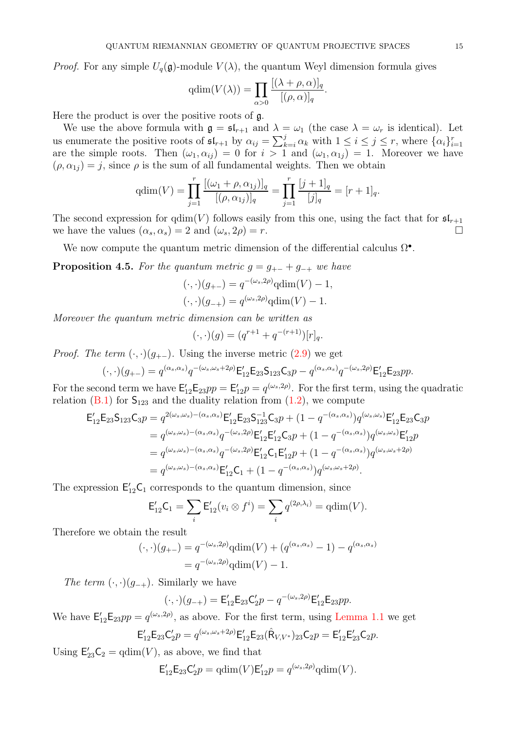*Proof.* For any simple  $U_q(\mathfrak{g})$ -module  $V(\lambda)$ , the quantum Weyl dimension formula gives

$$
\mathrm{qdim}(V(\lambda)) = \prod_{\alpha > 0} \frac{[(\lambda + \rho, \alpha)]_q}{[(\rho, \alpha)]_q}.
$$

Here the product is over the positive roots of g.

We use the above formula with  $\mathfrak{g} = \mathfrak{sl}_{r+1}$  and  $\lambda = \omega_1$  (the case  $\lambda = \omega_r$  is identical). Let us enumerate the positive roots of  $\mathfrak{sl}_{r+1}$  by  $\alpha_{ij} = \sum_{k=i}^{j} \alpha_k$  with  $1 \le i \le j \le r$ , where  $\{\alpha_i\}_{i=1}^r$  are the simple roots. Then  $(\omega_1, \alpha_{ij}) = 0$  for  $i > 1$  and  $(\omega_1, \alpha_{1j}) = 1$ . Moreover we have  $(\rho, \alpha_{1i}) = j$ , since  $\rho$  is the sum of all fundamental weights. Then we obtain

$$
qdim(V) = \prod_{j=1}^r \frac{[(\omega_1 + \rho, \alpha_{1j})]_q}{[(\rho, \alpha_{1j})]_q} = \prod_{j=1}^r \frac{[j+1]_q}{[j]_q} = [r+1]_q.
$$

The second expression for  $qdim(V)$  follows easily from this one, using the fact that for  $\mathfrak{sl}_{r+1}$ we have the values  $(\alpha_s, \alpha_s) = 2$  and  $(\omega_s, 2\rho) = r$ .

<span id="page-14-0"></span>We now compute the quantum metric dimension of the differential calculus  $\Omega^{\bullet}$ .

**Proposition 4.5.** For the quantum metric  $g = g_{+-} + g_{-+}$  we have

$$
(\cdot, \cdot)(g_{+-}) = q^{-(\omega_s, 2\rho)} \operatorname{qdim}(V) - 1,
$$
  

$$
(\cdot, \cdot)(g_{-+}) = q^{(\omega_s, 2\rho)} \operatorname{qdim}(V) - 1.
$$

Moreover the quantum metric dimension can be written as

$$
(\cdot, \cdot)(g) = (q^{r+1} + q^{-(r+1)})[r]_q.
$$

*Proof.* The term  $(\cdot, \cdot)(g_{+-})$ . Using the inverse metric  $(2.9)$  we get

$$
(\cdot, \cdot)(g_{+-}) = q^{(\alpha_s, \alpha_s)} q^{-(\omega_s, \omega_s + 2\rho)} \mathsf{E}_{12}' \mathsf{E}_{23} \mathsf{S}_{123} \mathsf{C}_{3} p - q^{(\alpha_s, \alpha_s)} q^{-(\omega_s, 2\rho)} \mathsf{E}_{12}' \mathsf{E}_{23} pp.
$$

For the second term we have  $\mathsf{E}_{12}'\mathsf{E}_{23}pp = \mathsf{E}_{12}'p = q^{(\omega_s,2\rho)}$ . For the first term, using the quadratic relation [\(B.1\)](#page-28-3) for  $S_{123}$  and the duality relation from [\(1.2\)](#page-3-1), we compute

$$
E'_{12}E_{23}S_{123}C_{3}p = q^{2(\omega_{s},\omega_{s})-(\alpha_{s},\alpha_{s})}E'_{12}E_{23}S_{123}^{-1}C_{3}p + (1-q^{-(\alpha_{s},\alpha_{s})})q^{(\omega_{s},\omega_{s})}E'_{12}E_{23}C_{3}p
$$
  
\n
$$
= q^{(\omega_{s},\omega_{s})-(\alpha_{s},\alpha_{s})}q^{-(\omega_{s},2\rho)}E'_{12}E'_{12}C_{3}p + (1-q^{-(\alpha_{s},\alpha_{s})})q^{(\omega_{s},\omega_{s})}E'_{12}p
$$
  
\n
$$
= q^{(\omega_{s},\omega_{s})-(\alpha_{s},\alpha_{s})}q^{-(\omega_{s},2\rho)}E'_{12}C_{1}E'_{12}p + (1-q^{-(\alpha_{s},\alpha_{s})})q^{(\omega_{s},\omega_{s}+2\rho)}
$$
  
\n
$$
= q^{(\omega_{s},\omega_{s})-(\alpha_{s},\alpha_{s})}E'_{12}C_{1} + (1-q^{-(\alpha_{s},\alpha_{s})})q^{(\omega_{s},\omega_{s}+2\rho)}.
$$

The expression  $E'_{12}C_1$  corresponds to the quantum dimension, since

$$
E'_{12}C_1 = \sum_i E'_{12}(v_i \otimes f^i) = \sum_i q^{(2\rho,\lambda_i)} = \text{qdim}(V).
$$

Therefore we obtain the result

$$
(\cdot, \cdot)(g_{+-}) = q^{-(\omega_s, 2\rho)} \text{qdim}(V) + (q^{(\alpha_s, \alpha_s)} - 1) - q^{(\alpha_s, \alpha_s)}
$$
  
=  $q^{-(\omega_s, 2\rho)} \text{qdim}(V) - 1.$ 

The term  $(\cdot, \cdot)(g_{-+})$ . Similarly we have

$$
(\cdot,\cdot)(g_{-+}) = \mathsf{E}_{12}'\mathsf{E}_{23}\mathsf{C}_{2}'p - q^{-(\omega_{s},2\rho)}\mathsf{E}_{12}'\mathsf{E}_{23}pp.
$$

We have  $\mathsf{E}^{\prime}_{12}\mathsf{E}_{23}pp=q^{(\omega_s,2\rho)}$ , as above. For the first term, using [Lemma 1.1](#page-4-0) we get

$$
\mathsf{E}_{12}'\mathsf{E}_{23}\mathsf{C}_{2}'p = q^{(\omega_{s}, \omega_{s}+2\rho)}\mathsf{E}_{12}'\mathsf{E}_{23}(\hat{\mathsf{R}}_{V,V^{*}})_{23}\mathsf{C}_{2}p = \mathsf{E}_{12}'\mathsf{E}_{23}'\mathsf{C}_{2}p.
$$

Using  $\mathsf{E}_{23}'\mathsf{C}_2 = \text{qdim}(V)$ , as above, we find that

$$
\mathsf{E}^{\prime}_{12} \mathsf{E}_{23} \mathsf{C}^{\prime}_{2} p = \operatorname{qdim}(V) \mathsf{E}^{\prime}_{12} p = q^{(\omega_s, 2\rho)} \operatorname{qdim}(V).
$$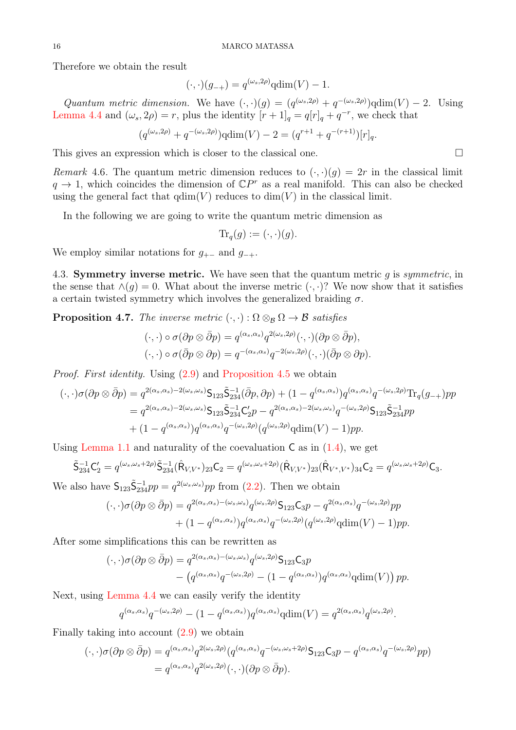Therefore we obtain the result

$$
(\cdot,\cdot)(g_{-+})=q^{(\omega_s,2\rho)}\mathrm{qdim}(V)-1.
$$

Quantum metric dimension. We have  $(\cdot, \cdot)(g) = (q^{(\omega_s, 2\rho)} + q^{-(\omega_s, 2\rho)})$  qdim $(V) - 2$ . Using [Lemma 4.4](#page-13-0) and  $(\omega_s, 2\rho) = r$ , plus the identity  $[r+1]_q = q[r]_q + q^{-r}$ , we check that

$$
(q^{(\omega_s,2\rho)} + q^{-(\omega_s,2\rho)})qdim(V) - 2 = (q^{r+1} + q^{-(r+1)})[r]_q.
$$

This gives an expression which is closer to the classical one.  $\Box$ 

Remark 4.6. The quantum metric dimension reduces to  $(\cdot, \cdot)(g) = 2r$  in the classical limit  $q \to 1$ , which coincides the dimension of  $\mathbb{C}P^r$  as a real manifold. This can also be checked using the general fact that  $\dim(V)$  reduces to  $\dim(V)$  in the classical limit.

In the following we are going to write the quantum metric dimension as

 $\text{Tr}_q(q) := (\cdot, \cdot)(q).$ 

We employ similar notations for  $g_{+-}$  and  $g_{-+}$ .

4.3. **Symmetry inverse metric.** We have seen that the quantum metric q is symmetric, in the sense that  $\wedge(q) = 0$ . What about the inverse metric  $(\cdot, \cdot)$ ? We now show that it satisfies a certain twisted symmetry which involves the generalized braiding  $\sigma$ .

<span id="page-15-0"></span>**Proposition 4.7.** The inverse metric  $(\cdot, \cdot) : \Omega \otimes_B \Omega \to \mathcal{B}$  satisfies

$$
(\cdot,\cdot)\circ\sigma(\partial p\otimes\bar{\partial}p)=q^{(\alpha_s,\alpha_s)}q^{2(\omega_s,2\rho)}(\cdot,\cdot)(\partial p\otimes\bar{\partial}p),(\cdot,\cdot)\circ\sigma(\bar{\partial}p\otimes\partial p)=q^{-(\alpha_s,\alpha_s)}q^{-2(\omega_s,2\rho)}(\cdot,\cdot)(\bar{\partial}p\otimes\partial p).
$$

Proof. First identity. Using [\(2.9\)](#page-6-2) and [Proposition 4.5](#page-14-0) we obtain

$$
(\cdot, \cdot) \sigma(\partial p \otimes \bar{\partial} p) = q^{2(\alpha_s, \alpha_s) - 2(\omega_s, \omega_s)} \mathsf{S}_{123} \tilde{\mathsf{S}}_{234}^{-1} (\bar{\partial} p, \partial p) + (1 - q^{(\alpha_s, \alpha_s)}) q^{(\alpha_s, \alpha_s)} q^{-(\omega_s, 2\rho)} \text{Tr}_q(g_{-+}) pp
$$
  
=  $q^{2(\alpha_s, \alpha_s) - 2(\omega_s, \omega_s)} \mathsf{S}_{123} \tilde{\mathsf{S}}_{234}^{-1} \mathsf{C}_2' p - q^{2(\alpha_s, \alpha_s) - 2(\omega_s, \omega_s)} q^{-(\omega_s, 2\rho)} \mathsf{S}_{123} \tilde{\mathsf{S}}_{234}^{-1} pp$   
+  $(1 - q^{(\alpha_s, \alpha_s)}) q^{(\alpha_s, \alpha_s)} q^{-(\omega_s, 2\rho)} (q^{(\omega_s, 2\rho)} \text{qdim}(V) - 1) pp.$ 

Using [Lemma 1.1](#page-4-0) and naturality of the coevaluation  $\mathsf{C}$  as in  $(1.4)$ , we get

$$
\tilde{\mathsf{S}}_{234}^{-1}\mathsf{C}_2' = q^{(\omega_s,\omega_s+2\rho)}\tilde{\mathsf{S}}_{234}^{-1}(\hat{\mathsf{R}}_{V,V^*})_{23}\mathsf{C}_2 = q^{(\omega_s,\omega_s+2\rho)}(\hat{\mathsf{R}}_{V,V^*})_{23}(\hat{\mathsf{R}}_{V^*,V^*})_{34}\mathsf{C}_2 = q^{(\omega_s,\omega_s+2\rho)}\mathsf{C}_3.
$$

We also have  $S_{123}\tilde{S}_{234}^{-1}pp = q^{2(\omega_s,\omega_s)}pp$  from [\(2.2\)](#page-5-1). Then we obtain

$$
(\cdot,\cdot)\sigma(\partial p \otimes \bar{\partial} p) = q^{2(\alpha_s,\alpha_s) - (\omega_s,\omega_s)} q^{(\omega_s,2\rho)} \mathsf{S}_{123} \mathsf{C}_{3} p - q^{2(\alpha_s,\alpha_s)} q^{-(\omega_s,2\rho)} pp + (1 - q^{(\alpha_s,\alpha_s)}) q^{(\alpha_s,\alpha_s)} q^{-(\omega_s,2\rho)} (q^{(\omega_s,2\rho)} \text{qdim}(V) - 1) pp.
$$

After some simplifications this can be rewritten as

$$
(\cdot,\cdot)\sigma(\partial p \otimes \bar{\partial} p) = q^{2(\alpha_s,\alpha_s) - (\omega_s,\omega_s)} q^{(\omega_s,2\rho)} \mathsf{S}_{123} \mathsf{C}_{3} p
$$

$$
- \left( q^{(\alpha_s,\alpha_s)} q^{-(\omega_s,2\rho)} - (1 - q^{(\alpha_s,\alpha_s)}) q^{(\alpha_s,\alpha_s)} \mathrm{qdim}(V) \right) pp.
$$

Next, using [Lemma 4.4](#page-13-0) we can easily verify the identity

$$
q^{(\alpha_s,\alpha_s)}q^{-(\omega_s,2\rho)}-(1-q^{(\alpha_s,\alpha_s)})q^{(\alpha_s,\alpha_s)}\text{qdim}(V)=q^{2(\alpha_s,\alpha_s)}q^{(\omega_s,2\rho)}.
$$

Finally taking into account  $(2.9)$  we obtain

$$
(\cdot,\cdot)\sigma(\partial p\otimes\bar{\partial}p) = q^{(\alpha_s,\alpha_s)}q^{2(\omega_s,2\rho)}(q^{(\alpha_s,\alpha_s)}q^{-(\omega_s,\omega_s+2\rho)}\mathsf{S}_{123}\mathsf{C}_{3}p - q^{(\alpha_s,\alpha_s)}q^{-(\omega_s,2\rho)}pp) = q^{(\alpha_s,\alpha_s)}q^{2(\omega_s,2\rho)}(\cdot,\cdot)(\partial p\otimes\bar{\partial}p).
$$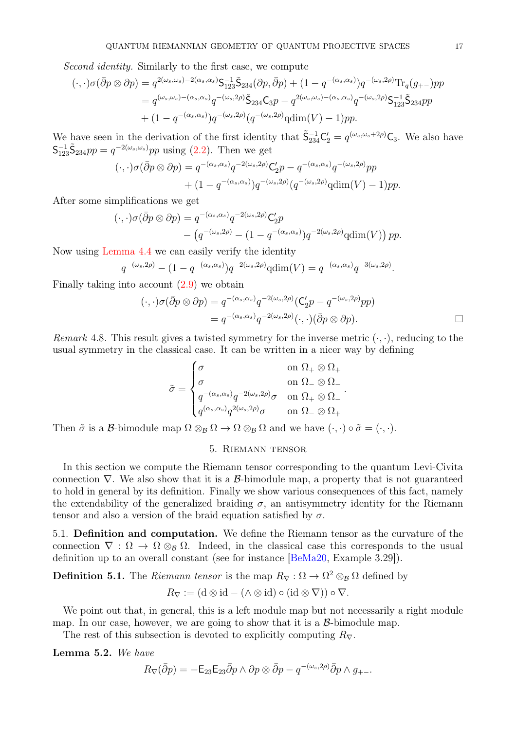Second identity. Similarly to the first case, we compute

$$
(\cdot,\cdot)\sigma(\bar{\partial}p\otimes\partial p) = q^{2(\omega_s,\omega_s)-2(\alpha_s,\alpha_s)}\mathsf{S}_{123}^{-1}\tilde{\mathsf{S}}_{234}(\partial p,\bar{\partial}p) + (1-q^{-(\alpha_s,\alpha_s)})q^{-(\omega_s,2\rho)}\mathrm{Tr}_q(g_{+-})pp
$$
  
\n
$$
= q^{(\omega_s,\omega_s)-(\alpha_s,\alpha_s)}q^{-(\omega_s,2\rho)}\tilde{\mathsf{S}}_{234}\mathsf{C}_{3}p - q^{2(\omega_s,\omega_s)-(\alpha_s,\alpha_s)}q^{-(\omega_s,2\rho)}\mathsf{S}_{123}^{-1}\tilde{\mathsf{S}}_{234}pp
$$
  
\n
$$
+ (1-q^{-(\alpha_s,\alpha_s)})q^{-(\omega_s,2\rho)}(q^{-(\omega_s,2\rho)}\mathrm{qdim}(V) - 1)pp.
$$

We have seen in the derivation of the first identity that  $\tilde{\mathsf{S}}_{234}^{-1}\mathsf{C}_2' = q^{(\omega_s,\omega_s+2\rho)}\mathsf{C}_3$ . We also have  $\mathsf{S}_{123}^{-1}\tilde{\mathsf{S}}_{234}pp = q^{-2(\omega_s,\omega_s)}pp$  using [\(2.2\)](#page-5-1). Then we get

$$
(\cdot,\cdot)\sigma(\bar{\partial}p\otimes\partial p) = q^{-(\alpha_s,\alpha_s)}q^{-2(\omega_s,2\rho)}C_2'p - q^{-(\alpha_s,\alpha_s)}q^{-(\omega_s,2\rho)}pp
$$

$$
+ (1-q^{-(\alpha_s,\alpha_s)})q^{-(\omega_s,2\rho)}(q^{-(\omega_s,2\rho)}q\text{dim}(V) - 1)pp.
$$

After some simplifications we get

$$
(\cdot,\cdot)\sigma(\bar{\partial}p\otimes\partial p) = q^{-(\alpha_s,\alpha_s)}q^{-2(\omega_s,2\rho)}C_2'p
$$
  
 
$$
- (q^{-(\omega_s,2\rho)} - (1-q^{-(\alpha_s,\alpha_s)})q^{-2(\omega_s,2\rho)}q\dim(V))\,pp.
$$

Now using [Lemma 4.4](#page-13-0) we can easily verify the identity

$$
q^{-(\omega_s, 2\rho)} - (1 - q^{-(\alpha_s, \alpha_s)}) q^{-2(\omega_s, 2\rho)} \text{qdim}(V) = q^{-(\alpha_s, \alpha_s)} q^{-3(\omega_s, 2\rho)}.
$$

Finally taking into account [\(2.9\)](#page-6-2) we obtain

$$
(\cdot, \cdot)\sigma(\bar{\partial}p \otimes \partial p) = q^{-(\alpha_s, \alpha_s)}q^{-2(\omega_s, 2\rho)}(\mathbf{C}'_2p - q^{-(\omega_s, 2\rho)}pp)
$$
  
=  $q^{-(\alpha_s, \alpha_s)}q^{-2(\omega_s, 2\rho)}(\cdot, \cdot)(\bar{\partial}p \otimes \partial p).$ 

.

Remark 4.8. This result gives a twisted symmetry for the inverse metric  $(\cdot, \cdot)$ , reducing to the usual symmetry in the classical case. It can be written in a nicer way by defining

$$
\tilde{\sigma} = \begin{cases}\n\sigma & \text{on } \Omega_+ \otimes \Omega_+ \\
\sigma & \text{on } \Omega_- \otimes \Omega_- \\
q^{-(\alpha_s, \alpha_s)} q^{-2(\omega_s, 2\rho)} \sigma & \text{on } \Omega_+ \otimes \Omega_- \\
q^{(\alpha_s, \alpha_s)} q^{2(\omega_s, 2\rho)} \sigma & \text{on } \Omega_- \otimes \Omega_+\n\end{cases}
$$

<span id="page-16-0"></span>Then  $\tilde{\sigma}$  is a B-bimodule map  $\Omega \otimes_{\mathcal{B}} \Omega \to \Omega \otimes_{\mathcal{B}} \Omega$  and we have  $(\cdot, \cdot) \circ \tilde{\sigma} = (\cdot, \cdot)$ .

## 5. Riemann tensor

In this section we compute the Riemann tensor corresponding to the quantum Levi-Civita connection  $\nabla$ . We also show that it is a B-bimodule map, a property that is not guaranteed to hold in general by its definition. Finally we show various consequences of this fact, namely the extendability of the generalized braiding  $\sigma$ , an antisymmetry identity for the Riemann tensor and also a version of the braid equation satisfied by  $\sigma$ .

5.1. Definition and computation. We define the Riemann tensor as the curvature of the connection  $\nabla : \Omega \to \Omega \otimes_B \Omega$ . Indeed, in the classical case this corresponds to the usual definition up to an overall constant (see for instance [\[BeMa20,](#page-31-5) Example 3.29]).

**Definition 5.1.** The Riemann tensor is the map  $R_{\nabla} : \Omega \to \Omega^2 \otimes_{\mathcal{B}} \Omega$  defined by

$$
R_{\nabla} := (\mathbf{d} \otimes \mathbf{id} - (\wedge \otimes \mathbf{id}) \circ (\mathbf{id} \otimes \nabla)) \circ \nabla.
$$

We point out that, in general, this is a left module map but not necessarily a right module map. In our case, however, we are going to show that it is a  $\beta$ -bimodule map.

<span id="page-16-1"></span>The rest of this subsection is devoted to explicitly computing  $R_{\nabla}$ .

Lemma 5.2. We have

$$
R_{\nabla}(\bar{\partial}p) = -\mathsf{E}_{23}\mathsf{E}_{23}\bar{\partial}p \wedge \partial p \otimes \bar{\partial}p - q^{-(\omega_s,2\rho)}\bar{\partial}p \wedge g_{+-}.
$$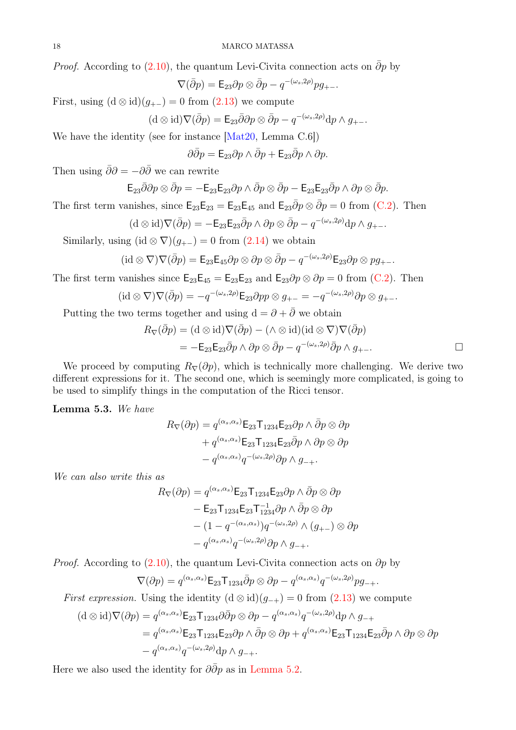*Proof.* According to  $(2.10)$ , the quantum Levi-Civita connection acts on  $\overline{\partial}p$  by

$$
\nabla(\bar{\partial}p) = \mathsf{E}_{23}\partial p \otimes \bar{\partial}p - q^{-(\omega_s,2\rho)}pg_{+-}.
$$

First, using  $(d \otimes id)(g_{+-}) = 0$  from  $(2.13)$  we compute

$$
(\mathrm{d} \otimes \mathrm{id}) \nabla (\bar{\partial} p) = \mathsf{E}_{23} \bar{\partial} \partial p \otimes \bar{\partial} p - q^{-(\omega_s, 2\rho)} \mathrm{d} p \wedge g_{+-}.
$$

We have the identity (see for instance [\[Mat20,](#page-31-1) Lemma C.6])

 $\partial \bar{\partial} p = \mathsf{E}_{23} \partial p \wedge \bar{\partial} p + \mathsf{E}_{23} \bar{\partial} p \wedge \partial p.$ 

Then using  $\bar{\partial}\partial = -\partial\bar{\partial}$  we can rewrite

$$
\mathsf{E}_{23}\bar{\partial}\partial p\otimes\bar{\partial} p=-\mathsf{E}_{23}\mathsf{E}_{23}\partial p\wedge\bar{\partial} p\otimes\bar{\partial} p-\mathsf{E}_{23}\mathsf{E}_{23}\bar{\partial} p\wedge\partial p\otimes\bar{\partial} p.
$$

The first term vanishes, since  $\mathsf{E}_{23}\mathsf{E}_{23} = \mathsf{E}_{23}\mathsf{E}_{45}$  and  $\mathsf{E}_{23}\bar{\partial}p \otimes \bar{\partial}p = 0$  from [\(C.2\)](#page-28-4). Then

$$
(\mathrm{d} \otimes \mathrm{id}) \nabla (\bar{\partial} p) = -\mathsf{E}_{23} \mathsf{E}_{23} \bar{\partial} p \wedge \partial p \otimes \bar{\partial} p - q^{-(\omega_s, 2\rho)} \mathrm{d} p \wedge g_{+-}.
$$

Similarly, using  $(id \otimes \nabla)(g_{+-}) = 0$  from  $(2.14)$  we obtain

$$
(\mathrm{id}\otimes\nabla)\nabla(\bar{\partial}p)=\mathsf{E}_{23}\mathsf{E}_{45}\partial p\otimes\partial p\otimes\bar{\partial}p-q^{-(\omega_s,2\rho)}\mathsf{E}_{23}\partial p\otimes pg_{+-}.
$$

The first term vanishes since  $\mathsf{E}_{23}\mathsf{E}_{45} = \mathsf{E}_{23}\mathsf{E}_{23}$  and  $\mathsf{E}_{23}\partial p \otimes \partial p = 0$  from [\(C.2\)](#page-28-4). Then

$$
(\mathrm{id} \otimes \nabla) \nabla (\bar{\partial} p) = -q^{-(\omega_s, 2\rho)} \mathsf{E}_{23} \partial pp \otimes g_{+-} = -q^{-(\omega_s, 2\rho)} \partial p \otimes g_{+-}.
$$

Putting the two terms together and using  $d = \partial + \partial$  we obtain

$$
R_{\nabla}(\overline{\partial}p) = (\mathbf{d} \otimes \mathbf{id})\nabla(\overline{\partial}p) - (\wedge \otimes \mathbf{id})(\mathbf{id} \otimes \nabla)\nabla(\overline{\partial}p)
$$
  
= 
$$
-\mathsf{E}_{23}\mathsf{E}_{23}\overline{\partial}p \wedge \partial p \otimes \overline{\partial}p - q^{-(\omega_s, 2\rho)}\overline{\partial}p \wedge g_{+-}.
$$

We proceed by computing  $R_{\nabla}(\partial p)$ , which is technically more challenging. We derive two different expressions for it. The second one, which is seemingly more complicated, is going to be used to simplify things in the computation of the Ricci tensor.

<span id="page-17-0"></span>Lemma 5.3. We have

$$
R_{\nabla}(\partial p) = q^{(\alpha_s, \alpha_s)} \mathsf{E}_{23} \mathsf{T}_{1234} \mathsf{E}_{23} \partial p \wedge \bar{\partial} p \otimes \partial p
$$

$$
+ q^{(\alpha_s, \alpha_s)} \mathsf{E}_{23} \mathsf{T}_{1234} \mathsf{E}_{23} \bar{\partial} p \wedge \partial p \otimes \partial p
$$

$$
- q^{(\alpha_s, \alpha_s)} q^{-(\omega_s, 2\rho)} \partial p \wedge g_{-+}.
$$

We can also write this as

$$
R_{\nabla}(\partial p) = q^{(\alpha_s, \alpha_s)} \mathsf{E}_{23} \mathsf{T}_{1234} \mathsf{E}_{23} \partial p \wedge \bar{\partial} p \otimes \partial p
$$
  
-  $\mathsf{E}_{23} \mathsf{T}_{1234} \mathsf{E}_{23} \mathsf{T}_{1234}^{-1} \partial p \wedge \bar{\partial} p \otimes \partial p$   
-  $(1 - q^{-(\alpha_s, \alpha_s)}) q^{-(\omega_s, 2\rho)} \wedge (g_{+-}) \otimes \partial p$   
-  $q^{(\alpha_s, \alpha_s)} q^{-(\omega_s, 2\rho)} \partial p \wedge g_{-+}.$ 

*Proof.* According to  $(2.10)$ , the quantum Levi-Civita connection acts on  $\partial p$  by

$$
\nabla(\partial p) = q^{(\alpha_s, \alpha_s)} \mathsf{E}_{23} \mathsf{T}_{1234} \bar{\partial} p \otimes \partial p - q^{(\alpha_s, \alpha_s)} q^{-(\omega_s, 2\rho)} p g_{-+}.
$$

First expression. Using the identity  $(d \otimes id)(g_{-+}) = 0$  from  $(2.13)$  we compute

$$
(d \otimes id)\nabla(\partial p) = q^{(\alpha_s, \alpha_s)} \mathsf{E}_{23} \mathsf{T}_{1234} \partial \bar{\partial} p \otimes \partial p - q^{(\alpha_s, \alpha_s)} q^{-(\omega_s, 2\rho)} dp \wedge g_{-+}
$$
  
=  $q^{(\alpha_s, \alpha_s)} \mathsf{E}_{23} \mathsf{T}_{1234} \mathsf{E}_{23} \partial p \wedge \bar{\partial} p \otimes \partial p + q^{(\alpha_s, \alpha_s)} \mathsf{E}_{23} \mathsf{T}_{1234} \mathsf{E}_{23} \bar{\partial} p \wedge \partial p \otimes \partial p$   
-  $q^{(\alpha_s, \alpha_s)} q^{-(\omega_s, 2\rho)} dp \wedge g_{-+}.$ 

Here we also used the identity for  $\partial \bar{\partial} p$  as in [Lemma 5.2.](#page-16-1)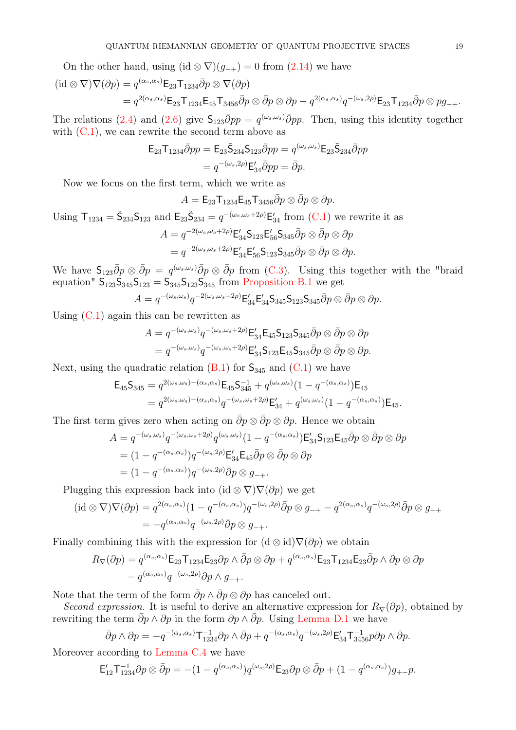On the other hand, using  $(id \otimes \nabla)(g_{-+}) = 0$  from  $(2.14)$  we have

$$
(\mathrm{id}\otimes\nabla)\nabla(\partial p) = q^{(\alpha_s,\alpha_s)}\mathsf{E}_{23}\mathsf{T}_{1234}\bar{\partial}p\otimes\nabla(\partial p)
$$
  
=  $q^{2(\alpha_s,\alpha_s)}\mathsf{E}_{23}\mathsf{T}_{1234}\mathsf{E}_{45}\mathsf{T}_{3456}\bar{\partial}p\otimes\bar{\partial}p\otimes\partial p - q^{2(\alpha_s,\alpha_s)}q^{-(\omega_s,2\rho)}\mathsf{E}_{23}\mathsf{T}_{1234}\bar{\partial}p\otimes pg_{-+}.$ 

The relations [\(2.4\)](#page-5-2) and [\(2.6\)](#page-5-3) give  $S_{123}\overline{\partial}pp = q^{(\omega_s,\omega_s)}\overline{\partial}pp$ . Then, using this identity together with  $(C.1)$ , we can rewrite the second term above as

$$
\mathsf{E}_{23}\mathsf{T}_{1234}\bar{\partial}pp = \mathsf{E}_{23}\tilde{\mathsf{S}}_{234}\mathsf{S}_{123}\bar{\partial}pp = q^{(\omega_s,\omega_s)}\mathsf{E}_{23}\tilde{\mathsf{S}}_{234}\bar{\partial}pp
$$

$$
= q^{-(\omega_s,2\rho)}\mathsf{E}_{34}'\bar{\partial}pp = \bar{\partial}p.
$$

Now we focus on the first term, which we write as

 $A = \mathsf{E}_{23}\mathsf{T}_{1234}\mathsf{E}_{45}\mathsf{T}_{3456}\bar{\partial}p\otimes \bar{\partial}p\otimes \partial p.$ 

Using 
$$
T_{1234} = \tilde{S}_{234} S_{123}
$$
 and  $E_{23} \tilde{S}_{234} = q^{-(\omega_s, \omega_s + 2\rho)} E'_{34}$  from (C.1) we rewrite it as  
\n
$$
A = q^{-2(\omega_s, \omega_s + 2\rho)} E'_{34} S_{123} E'_{56} S_{345} \overline{\partial} p \otimes \overline{\partial} p \otimes \partial p
$$
\n
$$
= q^{-2(\omega_s, \omega_s + 2\rho)} E'_{34} E'_{56} S_{123} S_{345} \overline{\partial} p \otimes \overline{\partial} p \otimes \partial p.
$$

We have  $\mathsf{S}_{123}\bar{\partial}p\otimes \bar{\partial}p = q^{(\omega_s,\omega_s)}\bar{\partial}p\otimes \bar{\partial}p$  from [\(C.3\)](#page-29-0). Using this together with the "braid equation"  $S_{123}S_{345}S_{123} = S_{345}S_{123}S_{345}$  from [Proposition B.1](#page-28-5) we get

$$
A = q^{-(\omega_s, \omega_s)} q^{-2(\omega_s, \omega_s + 2\rho)} \mathsf{E}_{34}' \mathsf{E}_{34}' \mathsf{S}_{345} \mathsf{S}_{123} \mathsf{S}_{345} \bar{\partial} p \otimes \bar{\partial} p \otimes \partial p.
$$

Using  $(C.1)$  again this can be rewritten as

$$
A = q^{-(\omega_s, \omega_s)} q^{-(\omega_s, \omega_s + 2\rho)} \mathsf{E}_{34}' \mathsf{E}_{45} \mathsf{S}_{123} \mathsf{S}_{345} \bar{\partial} p \otimes \bar{\partial} p \otimes \partial p
$$
  
=  $q^{-(\omega_s, \omega_s)} q^{-(\omega_s, \omega_s + 2\rho)} \mathsf{E}_{34}' \mathsf{S}_{123} \mathsf{E}_{45} \mathsf{S}_{345} \bar{\partial} p \otimes \bar{\partial} p \otimes \partial p.$ 

Next, using the quadratic relation  $(B.1)$  for  $S_{345}$  and  $(C.1)$  we have

$$
\mathsf{E}_{45}\mathsf{S}_{345} = q^{2(\omega_s,\omega_s) - (\alpha_s,\alpha_s)} \mathsf{E}_{45}\mathsf{S}_{345}^{-1} + q^{(\omega_s,\omega_s)}(1 - q^{-(\alpha_s,\alpha_s)}) \mathsf{E}_{45}
$$
  
=  $q^{2(\omega_s,\omega_s) - (\alpha_s,\alpha_s)} q^{-(\omega_s,\omega_s+2\rho)} \mathsf{E}_{34}' + q^{(\omega_s,\omega_s)}(1 - q^{-(\alpha_s,\alpha_s)}) \mathsf{E}_{45}.$ 

The first term gives zero when acting on  $\bar{\partial}p \otimes \bar{\partial}p \otimes \partial p$ . Hence we obtain

$$
A = q^{-(\omega_s, \omega_s)} q^{-(\omega_s, \omega_s + 2\rho)} q^{(\omega_s, \omega_s)} (1 - q^{-(\alpha_s, \alpha_s)}) \mathsf{E}_{34}' \mathsf{S}_{123} \mathsf{E}_{45} \bar{\partial} p \otimes \bar{\partial} p \otimes \partial p
$$
  
= 
$$
(1 - q^{-(\alpha_s, \alpha_s)}) q^{-(\omega_s, 2\rho)} \mathsf{E}_{34}' \mathsf{E}_{45} \bar{\partial} p \otimes \bar{\partial} p \otimes \partial p
$$
  
= 
$$
(1 - q^{-(\alpha_s, \alpha_s)}) q^{-(\omega_s, 2\rho)} \bar{\partial} p \otimes g_{-+}.
$$

Plugging this expression back into  $(id \otimes \nabla) \nabla(\partial p)$  we get

$$
(\mathrm{id}\otimes\nabla)\nabla(\partial p) = q^{2(\alpha_s,\alpha_s)}(1-q^{-(\alpha_s,\alpha_s)})q^{-(\omega_s,2\rho)}\bar{\partial}p\otimes g_{-+} - q^{2(\alpha_s,\alpha_s)}q^{-(\omega_s,2\rho)}\bar{\partial}p\otimes g_{-+}
$$
  
=  $-q^{(\alpha_s,\alpha_s)}q^{-(\omega_s,2\rho)}\bar{\partial}p\otimes g_{-+}.$ 

Finally combining this with the expression for  $(d \otimes id)\nabla(\partial p)$  we obtain

$$
R_{\nabla}(\partial p) = q^{(\alpha_s, \alpha_s)} \mathsf{E}_{23} \mathsf{T}_{1234} \mathsf{E}_{23} \partial p \wedge \bar{\partial} p \otimes \partial p + q^{(\alpha_s, \alpha_s)} \mathsf{E}_{23} \mathsf{T}_{1234} \mathsf{E}_{23} \bar{\partial} p \wedge \partial p \otimes \partial p
$$

$$
- q^{(\alpha_s, \alpha_s)} q^{-(\omega_s, 2\rho)} \partial p \wedge g_{-+}.
$$

Note that the term of the form  $\bar{\partial}p \wedge \bar{\partial}p \otimes \partial p$  has canceled out.

Second expression. It is useful to derive an alternative expression for  $R_{\nabla}(\partial p)$ , obtained by rewriting the term  $\bar{\partial}p \wedge \partial p$  in the form  $\partial p \wedge \bar{\partial}p$ . Using [Lemma D.1](#page-30-1) we have

$$
\bar{\partial}p \wedge \partial p = -q^{-(\alpha_s, \alpha_s)} \mathsf{T}_{1234}^{-1} \partial p \wedge \bar{\partial}p + q^{-(\alpha_s, \alpha_s)} q^{-(\omega_s, 2\rho)} \mathsf{E}_{34}' \mathsf{T}_{3456}^{-1} p \partial p \wedge \bar{\partial}p.
$$

Moreover according to [Lemma C.4](#page-29-1) we have

$$
\mathsf{E}_{12}'\mathsf{T}_{1234}^{-1}\partial p\otimes \bar{\partial} p = -(1-q^{(\alpha_s,\alpha_s)})q^{(\omega_s,2\rho)}\mathsf{E}_{23}\partial p\otimes \bar{\partial} p + (1-q^{(\alpha_s,\alpha_s)})g_{+-}p.
$$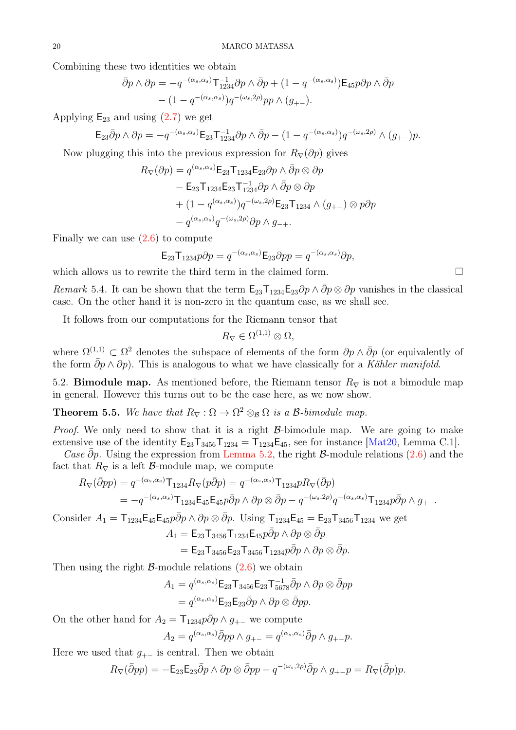Combining these two identities we obtain

$$
\bar{\partial}p \wedge \partial p = -q^{-(\alpha_s, \alpha_s)} \mathsf{T}_{1234}^{-1} \partial p \wedge \bar{\partial}p + (1 - q^{-(\alpha_s, \alpha_s)}) \mathsf{E}_{45} p \partial p \wedge \bar{\partial}p - (1 - q^{-(\alpha_s, \alpha_s)}) q^{-(\omega_s, 2\rho)} pp \wedge (g_{+-}).
$$

Applying  $E_{23}$  and using  $(2.7)$  we get

$$
\mathsf{E}_{23}\bar{\partial}p\wedge\partial p=-q^{-(\alpha_s,\alpha_s)}\mathsf{E}_{23}\mathsf{T}_{1234}^{-1}\partial p\wedge\bar{\partial}p-(1-q^{-(\alpha_s,\alpha_s)})q^{-(\omega_s,2\rho)}\wedge(g_{+-})p.
$$

Now plugging this into the previous expression for  $R_{\nabla}(\partial p)$  gives

$$
R_{\nabla}(\partial p) = q^{(\alpha_s, \alpha_s)} \mathsf{E}_{23} \mathsf{T}_{1234} \mathsf{E}_{23} \partial p \wedge \bar{\partial} p \otimes \partial p
$$
  
-  $\mathsf{E}_{23} \mathsf{T}_{1234} \mathsf{E}_{23} \mathsf{T}_{1234}^{-1} \partial p \wedge \bar{\partial} p \otimes \partial p$   
+  $(1 - q^{(\alpha_s, \alpha_s)}) q^{-(\omega_s, 2\rho)} \mathsf{E}_{23} \mathsf{T}_{1234} \wedge (g_{+-}) \otimes p \partial p$   
-  $q^{(\alpha_s, \alpha_s)} q^{-(\omega_s, 2\rho)} \partial p \wedge g_{-+}.$ 

Finally we can use  $(2.6)$  to compute

$$
\mathsf{E}_{23}\mathsf{T}_{1234}p\partial p = q^{-(\alpha_s,\alpha_s)}\mathsf{E}_{23}\partial pp = q^{-(\alpha_s,\alpha_s)}\partial p,
$$

which allows us to rewrite the third term in the claimed form.  $\Box$ 

Remark 5.4. It can be shown that the term  $\mathsf{E}_{23}\mathsf{T}_{1234}\mathsf{E}_{23}\partial p\wedge \partial p\otimes \partial p$  vanishes in the classical case. On the other hand it is non-zero in the quantum case, as we shall see.

It follows from our computations for the Riemann tensor that

$$
R_{\nabla} \in \Omega^{(1,1)} \otimes \Omega,
$$

where  $\Omega^{(1,1)} \subset \Omega^2$  denotes the subspace of elements of the form  $\partial p \wedge \bar{\partial} p$  (or equivalently of the form  $\bar{\partial}p \wedge \partial p$ . This is analogous to what we have classically for a Kähler manifold.

<span id="page-19-0"></span>5.2. **Bimodule map.** As mentioned before, the Riemann tensor  $R_{\nabla}$  is not a bimodule map in general. However this turns out to be the case here, as we now show.

**Theorem 5.5.** We have that  $R_{\nabla} : \Omega \to \Omega^2 \otimes_{\mathcal{B}} \Omega$  is a  $\mathcal{B}\text{-bimodule map}.$ 

*Proof.* We only need to show that it is a right  $\beta$ -bimodule map. We are going to make extensive use of the identity  $E_{23}T_{3456}T_{1234} = T_{1234}E_{45}$ , see for instance [\[Mat20,](#page-31-1) Lemma C.1].

Case  $\bar{\partial}p$ . Using the expression from [Lemma 5.2,](#page-16-1) the right B-module relations [\(2.6\)](#page-5-3) and the fact that  $R_{\nabla}$  is a left  $\beta$ -module map, we compute

$$
R_{\nabla}(\overline{\partial}pp) = q^{-(\alpha_s,\alpha_s)} \mathsf{T}_{1234} R_{\nabla}(p\overline{\partial}p) = q^{-(\alpha_s,\alpha_s)} \mathsf{T}_{1234} p R_{\nabla}(\overline{\partial}p)
$$
  
=  $-q^{-(\alpha_s,\alpha_s)} \mathsf{T}_{1234} \mathsf{E}_{45} \mathsf{E}_{45} p \overline{\partial}p \wedge \partial p \otimes \overline{\partial}p - q^{-(\omega_s,2\rho)} q^{-(\alpha_s,\alpha_s)} \mathsf{T}_{1234} p \overline{\partial}p \wedge g_{+-}.$ 

Consider  $A_1 = \mathsf{T}_{1234} \mathsf{E}_{45} \mathsf{E}_{45} p \bar{\partial} p \wedge \partial p \otimes \bar{\partial} p$ . Using  $\mathsf{T}_{1234} \mathsf{E}_{45} = \mathsf{E}_{23} \mathsf{T}_{3456} \mathsf{T}_{1234}$  we get

$$
A_1 = \mathsf{E}_{23} \mathsf{T}_{3456} \mathsf{T}_{1234} \mathsf{E}_{45} p \overline{\partial} p \wedge \partial p \otimes \overline{\partial} p
$$
  
=  $\mathsf{E}_{23} \mathsf{T}_{3456} \mathsf{E}_{23} \mathsf{T}_{3456} \mathsf{T}_{1234} p \overline{\partial} p \wedge \partial p \otimes \overline{\partial} p.$ 

Then using the right  $\beta$ -module relations  $(2.6)$  we obtain

$$
A_1 = q^{(\alpha_s, \alpha_s)} \mathsf{E}_{23} \mathsf{T}_{3456} \mathsf{E}_{23} \mathsf{T}_{5678}^{-1} \bar{\partial} p \wedge \partial p \otimes \bar{\partial} pp
$$
  
=  $q^{(\alpha_s, \alpha_s)} \mathsf{E}_{23} \mathsf{E}_{23} \bar{\partial} p \wedge \partial p \otimes \bar{\partial} pp.$ 

On the other hand for  $A_2 = \mathsf{T}_{1234} p \bar{\partial} p \wedge g_{+-}$  we compute

$$
A_2 = q^{(\alpha_s, \alpha_s)} \bar{\partial} p p \wedge g_{+-} = q^{(\alpha_s, \alpha_s)} \bar{\partial} p \wedge g_{+-} p.
$$

Here we used that  $g_{+-}$  is central. Then we obtain

$$
R_{\nabla}(\overline{\partial} pp) = -\mathsf{E}_{23}\mathsf{E}_{23}\overline{\partial} p \wedge \partial p \otimes \overline{\partial} pp - q^{-(\omega_s,2\rho)}\overline{\partial} p \wedge g_{+-}p = R_{\nabla}(\overline{\partial} p)p.
$$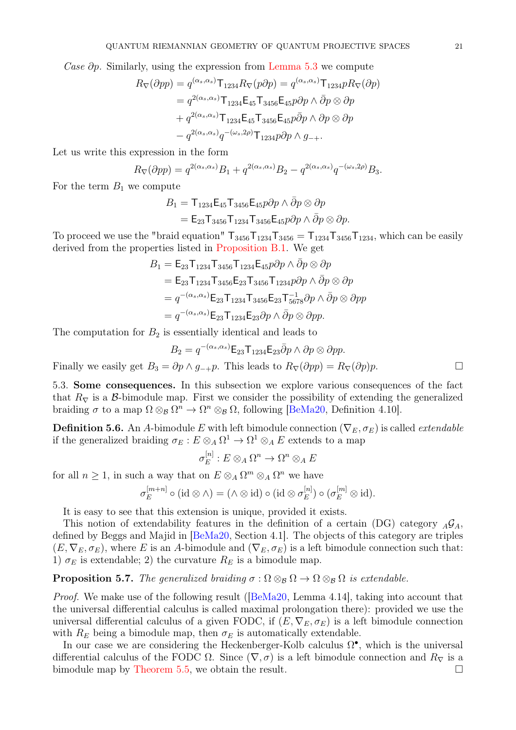Case  $\partial p$ . Similarly, using the expression from [Lemma 5.3](#page-17-0) we compute

$$
R_{\nabla}(\partial pp) = q^{(\alpha_s, \alpha_s)} \mathsf{T}_{1234} R_{\nabla}(p\partial p) = q^{(\alpha_s, \alpha_s)} \mathsf{T}_{1234} p R_{\nabla}(\partial p)
$$
  
=  $q^{2(\alpha_s, \alpha_s)} \mathsf{T}_{1234} \mathsf{E}_{45} \mathsf{T}_{3456} \mathsf{E}_{45} p\partial p \wedge \bar{\partial} p \otimes \partial p$   
+  $q^{2(\alpha_s, \alpha_s)} \mathsf{T}_{1234} \mathsf{E}_{45} \mathsf{T}_{3456} \mathsf{E}_{45} p\bar{\partial} p \wedge \partial p \otimes \partial p$   
-  $q^{2(\alpha_s, \alpha_s)} q^{-(\omega_s, 2\rho)} \mathsf{T}_{1234} p\partial p \wedge g_{-+}.$ 

Let us write this expression in the form

$$
R_{\nabla}(\partial pp) = q^{2(\alpha_s, \alpha_s)}B_1 + q^{2(\alpha_s, \alpha_s)}B_2 - q^{2(\alpha_s, \alpha_s)}q^{-(\omega_s, 2\rho)}B_3.
$$

For the term  $B_1$  we compute

$$
B_1 = \mathsf{T}_{1234} \mathsf{E}_{45} \mathsf{T}_{3456} \mathsf{E}_{45} p \partial p \wedge \bar{\partial} p \otimes \partial p
$$
  
=  $\mathsf{E}_{23} \mathsf{T}_{3456} \mathsf{T}_{1234} \mathsf{T}_{3456} \mathsf{E}_{45} p \partial p \wedge \bar{\partial} p \otimes \partial p.$ 

To proceed we use the "braid equation"  $T_{3456}T_{1234}T_{3456} = T_{1234}T_{3456}T_{1234}$ , which can be easily derived from the properties listed in [Proposition B.1.](#page-28-5) We get

$$
B_1 = \mathsf{E}_{23} \mathsf{T}_{1234} \mathsf{T}_{3456} \mathsf{T}_{1234} \mathsf{E}_{45} p \partial p \wedge \bar{\partial} p \otimes \partial p
$$
  
=  $\mathsf{E}_{23} \mathsf{T}_{1234} \mathsf{T}_{3456} \mathsf{E}_{23} \mathsf{T}_{3456} \mathsf{T}_{1234} p \partial p \wedge \bar{\partial} p \otimes \partial p$   
=  $q^{-(\alpha_s, \alpha_s)} \mathsf{E}_{23} \mathsf{T}_{1234} \mathsf{T}_{3456} \mathsf{E}_{23} \mathsf{T}_{5678}^{-1} \partial p \wedge \bar{\partial} p \otimes \partial pp$   
=  $q^{-(\alpha_s, \alpha_s)} \mathsf{E}_{23} \mathsf{T}_{1234} \mathsf{E}_{23} \partial p \wedge \bar{\partial} p \otimes \partial pp.$ 

The computation for  $B_2$  is essentially identical and leads to

$$
B_2 = q^{-(\alpha_s, \alpha_s)} \mathsf{E}_{23} \mathsf{T}_{1234} \mathsf{E}_{23} \bar{\partial} p \wedge \partial p \otimes \partial pp.
$$
  
Finally we easily get  $B_3 = \partial p \wedge g_{-+}p$ . This leads to  $R_{\nabla}(\partial pp) = R_{\nabla}(\partial p)p$ .

5.3. Some consequences. In this subsection we explore various consequences of the fact that  $R_{\nabla}$  is a B-bimodule map. First we consider the possibility of extending the generalized braiding  $\sigma$  to a map  $\Omega \otimes_{\mathcal{B}} \Omega^n \to \Omega^n \otimes_{\mathcal{B}} \Omega$ , following [\[BeMa20,](#page-31-5) Definition 4.10].

**Definition 5.6.** An A-bimodule E with left bimodule connection  $(\nabla_E, \sigma_E)$  is called *extendable* if the generalized braiding  $\sigma_E : E \otimes_A \Omega^1 \to \Omega^1 \otimes_A E$  extends to a map

$$
\sigma_E^{[n]}: E \otimes_A \Omega^n \to \Omega^n \otimes_A E
$$

for all  $n \geq 1$ , in such a way that on  $E \otimes_A \Omega^m \otimes_A \Omega^n$  we have

$$
\sigma_E^{[m+n]} \circ (\mathrm{id} \otimes \wedge) = (\wedge \otimes \mathrm{id}) \circ (\mathrm{id} \otimes \sigma_E^{[n]}) \circ (\sigma_E^{[m]} \otimes \mathrm{id}).
$$

It is easy to see that this extension is unique, provided it exists.

This notion of extendability features in the definition of a certain (DG) category  $_A\mathcal{G}_A$ , defined by Beggs and Majid in [\[BeMa20,](#page-31-5) Section 4.1]. The objects of this category are triples  $(E, \nabla_E, \sigma_E)$ , where E is an A-bimodule and  $(\nabla_E, \sigma_E)$  is a left bimodule connection such that: 1)  $\sigma_E$  is extendable; 2) the curvature  $R_E$  is a bimodule map.

<span id="page-20-0"></span>**Proposition 5.7.** The generalized braiding  $\sigma : \Omega \otimes_B \Omega \to \Omega \otimes_B \Omega$  is extendable.

Proof. We make use of the following result ([\[BeMa20,](#page-31-5) Lemma 4.14], taking into account that the universal differential calculus is called maximal prolongation there): provided we use the universal differential calculus of a given FODC, if  $(E, \nabla_E, \sigma_E)$  is a left bimodule connection with  $R_E$  being a bimodule map, then  $\sigma_E$  is automatically extendable.

In our case we are considering the Heckenberger-Kolb calculus  $\Omega^{\bullet}$ , which is the universal differential calculus of the FODC  $\Omega$ . Since  $(\nabla, \sigma)$  is a left bimodule connection and  $R_{\nabla}$  is a bimodule map by [Theorem 5.5,](#page-19-0) we obtain the result.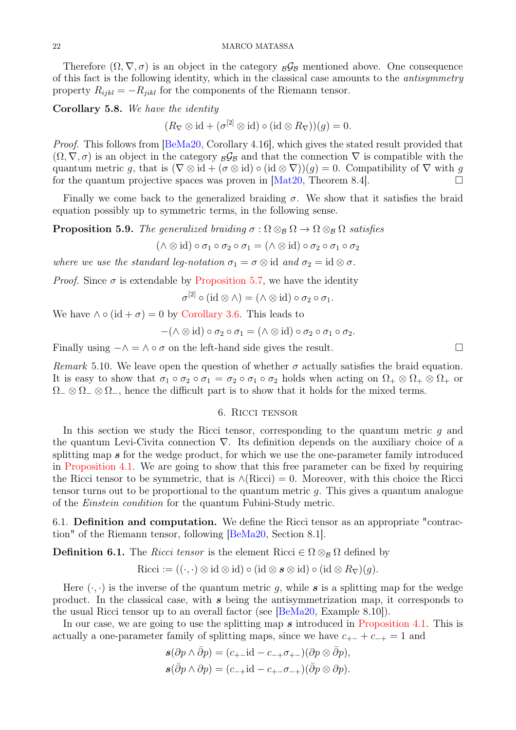Therefore  $(\Omega, \nabla, \sigma)$  is an object in the category  $\beta_{\beta}$  mentioned above. One consequence of this fact is the following identity, which in the classical case amounts to the antisymmetry property  $R_{ijkl} = -R_{jikl}$  for the components of the Riemann tensor.

Corollary 5.8. We have the identity

 $(R_{\nabla} \otimes id + (\sigma^{[2]} \otimes id) \circ (id \otimes R_{\nabla}))(g) = 0.$ 

*Proof.* This follows from [\[BeMa20,](#page-31-5) Corollary 4.16], which gives the stated result provided that  $(\Omega, \nabla, \sigma)$  is an object in the category  $\beta_B$  and that the connection  $\nabla$  is compatible with the quantum metric g, that is  $(\nabla \otimes id + (\sigma \otimes id) \circ (id \otimes \nabla))(g) = 0$ . Compatibility of  $\nabla$  with g for the quantum projective spaces was proven in [\[Mat20,](#page-31-1) Theorem 8.4].

Finally we come back to the generalized braiding  $\sigma$ . We show that it satisfies the braid equation possibly up to symmetric terms, in the following sense.

**Proposition 5.9.** The generalized braiding  $\sigma : \Omega \otimes_B \Omega \to \Omega \otimes_B \Omega$  satisfies

 $(\wedge \otimes id) \circ \sigma_1 \circ \sigma_2 \circ \sigma_1 = (\wedge \otimes id) \circ \sigma_2 \circ \sigma_1 \circ \sigma_2$ 

where we use the standard leg-notation  $\sigma_1 = \sigma \otimes \text{id}$  and  $\sigma_2 = \text{id} \otimes \sigma$ .

*Proof.* Since  $\sigma$  is extendable by [Proposition 5.7,](#page-20-0) we have the identity

 $\sigma^{[2]} \circ (\mathrm{id} \otimes \wedge) = (\wedge \otimes \mathrm{id}) \circ \sigma_2 \circ \sigma_1.$ 

We have  $\wedge \circ (\mathrm{id} + \sigma) = 0$  by [Corollary 3.6.](#page-11-0) This leads to

$$
-(\wedge \otimes id) \circ \sigma_2 \circ \sigma_1 = (\wedge \otimes id) \circ \sigma_2 \circ \sigma_1 \circ \sigma_2.
$$

Finally using  $-\wedge = \wedge \circ \sigma$  on the left-hand side gives the result.

Remark 5.10. We leave open the question of whether  $\sigma$  actually satisfies the braid equation. It is easy to show that  $\sigma_1 \circ \sigma_2 \circ \sigma_1 = \sigma_2 \circ \sigma_1 \circ \sigma_2$  holds when acting on  $\Omega_+ \otimes \Omega_+ \otimes \Omega_+$  or  $\Omega_-\otimes\Omega_-\otimes\Omega_-,$  hence the difficult part is to show that it holds for the mixed terms.

## 6. Ricci tensor

<span id="page-21-0"></span>In this section we study the Ricci tensor, corresponding to the quantum metric  $q$  and the quantum Levi-Civita connection ∇. Its definition depends on the auxiliary choice of a splitting map s for the wedge product, for which we use the one-parameter family introduced in [Proposition 4.1.](#page-12-1) We are going to show that this free parameter can be fixed by requiring the Ricci tensor to be symmetric, that is  $\land$ (Ricci) = 0. Moreover, with this choice the Ricci tensor turns out to be proportional to the quantum metric  $q$ . This gives a quantum analogue of the Einstein condition for the quantum Fubini-Study metric.

6.1. Definition and computation. We define the Ricci tensor as an appropriate "contraction" of the Riemann tensor, following [\[BeMa20,](#page-31-5) Section 8.1].

**Definition 6.1.** The *Ricci tensor* is the element Ricci  $\in \Omega \otimes_B \Omega$  defined by

Ricci := 
$$
((\cdot, \cdot) \otimes id \otimes id) \circ (id \otimes s \otimes id) \circ (id \otimes R_{\nabla})(g)
$$
.

Here  $(\cdot, \cdot)$  is the inverse of the quantum metric q, while s is a splitting map for the wedge product. In the classical case, with s being the antisymmetrization map, it corresponds to the usual Ricci tensor up to an overall factor (see [\[BeMa20,](#page-31-5) Example 8.10]).

In our case, we are going to use the splitting map s introduced in [Proposition 4.1.](#page-12-1) This is actually a one-parameter family of splitting maps, since we have  $c_{+-} + c_{-+} = 1$  and

$$
\mathbf{s}(\partial p \wedge \bar{\partial} p) = (c_{+-} \mathrm{id} - c_{-+} \sigma_{+-}) (\partial p \otimes \bar{\partial} p), \n\mathbf{s}(\bar{\partial} p \wedge \partial p) = (c_{-+} \mathrm{id} - c_{+-} \sigma_{-+}) (\bar{\partial} p \otimes \partial p).
$$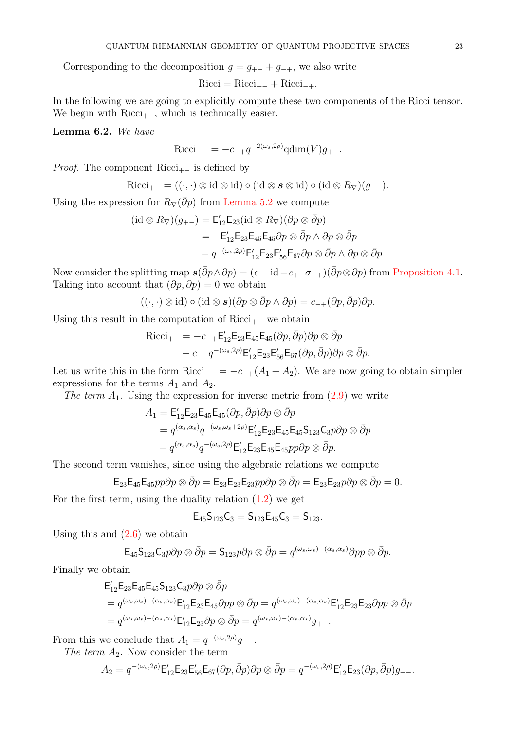Corresponding to the decomposition  $g = g_{+-} + g_{-+}$ , we also write

 $Ricci = Ricci_{+-} + Ricci_{-+}.$ 

<span id="page-22-0"></span>In the following we are going to explicitly compute these two components of the Ricci tensor. We begin with  $Ricci_{+-}$ , which is technically easier.

Lemma 6.2. We have

$$
Ricci_{+-} = -c_{-+}q^{-2(\omega_s, 2\rho)} \text{qdim}(V)g_{+-}.
$$

*Proof.* The component Ricci<sub>+−</sub> is defined by

$$
\mathrm{Ricci}_{+-} = ((\cdot, \cdot) \otimes \mathrm{id} \otimes \mathrm{id}) \circ (\mathrm{id} \otimes \mathbf{s} \otimes \mathrm{id}) \circ (\mathrm{id} \otimes R_{\nabla})(g_{+-}).
$$

Using the expression for  $R_{\nabla}(\bar{\partial}p)$  from [Lemma 5.2](#page-16-1) we compute

$$
(\mathrm{id}\otimes R_{\nabla})(g_{+-})=\mathsf{E}^{\prime}_{12}\mathsf{E}_{23}(\mathrm{id}\otimes R_{\nabla})(\partial p\otimes\bar{\partial}p)
$$
  

$$
=-\mathsf{E}^{\prime}_{12}\mathsf{E}_{23}\mathsf{E}_{45}\mathsf{E}_{45}\partial p\otimes\bar{\partial}p\wedge\partial p\otimes\bar{\partial}p
$$
  

$$
-q^{-(\omega_s,2\rho)}\mathsf{E}^{\prime}_{12}\mathsf{E}_{23}\mathsf{E}^{\prime}_{56}\mathsf{E}_{67}\partial p\otimes\bar{\partial}p\wedge\partial p\otimes\bar{\partial}p.
$$

Now consider the splitting map  $s(\bar{\partial}p \wedge \partial p) = (c_{-+}id - c_{+-}\sigma_{-+})(\bar{\partial}p \otimes \partial p)$  from [Proposition 4.1.](#page-12-1) Taking into account that  $(\partial p, \partial p) = 0$  we obtain

$$
((\cdot,\cdot)\otimes\mathrm{id})\circ(\mathrm{id}\otimes s)(\partial p\otimes\bar{\partial} p\wedge\partial p)=c_{-+}(\partial p,\bar{\partial} p)\partial p.
$$

Using this result in the computation of Ricci<sub>+−</sub> we obtain

$$
\text{Ricci}_{+-} = -c_{-+} \mathsf{E}_{12}' \mathsf{E}_{23} \mathsf{E}_{45} \mathsf{E}_{45} (\partial p, \bar{\partial} p) \partial p \otimes \bar{\partial} p - c_{-+} q^{-(\omega_s, 2\rho)} \mathsf{E}_{12}' \mathsf{E}_{23} \mathsf{E}_{56}' \mathsf{E}_{67} (\partial p, \bar{\partial} p) \partial p \otimes \bar{\partial} p.
$$

Let us write this in the form Ricci<sub>+−</sub> = −c<sub>−+</sub>(A<sub>1</sub> + A<sub>2</sub>). We are now going to obtain simpler expressions for the terms  $A_1$  and  $A_2$ .

The term  $A_1$ . Using the expression for inverse metric from  $(2.9)$  we write

$$
A_1 = \mathsf{E}_{12}' \mathsf{E}_{23} \mathsf{E}_{45} \mathsf{E}_{45} (\partial p, \bar{\partial} p) \partial p \otimes \bar{\partial} p
$$
  
=  $q^{(\alpha_s, \alpha_s)} q^{-(\omega_s, \omega_s + 2\rho)} \mathsf{E}_{12}' \mathsf{E}_{23} \mathsf{E}_{45} \mathsf{E}_{45} \mathsf{S}_{123} \mathsf{C}_{3} p \partial p \otimes \bar{\partial} p$   
-  $q^{(\alpha_s, \alpha_s)} q^{-(\omega_s, 2\rho)} \mathsf{E}_{12}' \mathsf{E}_{23} \mathsf{E}_{45} \mathsf{E}_{45} p p \partial p \otimes \bar{\partial} p.$ 

The second term vanishes, since using the algebraic relations we compute

$$
\mathsf{E}_{23}\mathsf{E}_{45}\mathsf{E}_{45}p p \partial p \otimes \bar{\partial} p = \mathsf{E}_{23}\mathsf{E}_{23}\mathsf{E}_{23}p p \partial p \otimes \bar{\partial} p = \mathsf{E}_{23}\mathsf{E}_{23}p \partial p \otimes \bar{\partial} p = 0.
$$

For the first term, using the duality relation  $(1.2)$  we get

$$
\mathsf{E}_{45} \mathsf{S}_{123} \mathsf{C}_3 = \mathsf{S}_{123} \mathsf{E}_{45} \mathsf{C}_3 = \mathsf{S}_{123}.
$$

Using this and  $(2.6)$  we obtain

$$
\mathsf{E}_{45} \mathsf{S}_{123} \mathsf{C}_{3} p \partial p \otimes \bar{\partial} p = \mathsf{S}_{123} p \partial p \otimes \bar{\partial} p = q^{(\omega_s, \omega_s) - (\alpha_s, \alpha_s)} \partial p p \otimes \bar{\partial} p.
$$

Finally we obtain

$$
\mathsf{E}^{\prime}_{12}\mathsf{E}_{23}\mathsf{E}_{45}\mathsf{E}_{45}\mathsf{S}_{123}\mathsf{C}_{3}p\partial p\otimes \bar{\partial}p
$$
\n
$$
= q^{(\omega_s,\omega_s)-(\alpha_s,\alpha_s)}\mathsf{E}^{\prime}_{12}\mathsf{E}_{23}\mathsf{E}_{45}\partial pp\otimes \bar{\partial}p = q^{(\omega_s,\omega_s)-(\alpha_s,\alpha_s)}\mathsf{E}^{\prime}_{12}\mathsf{E}_{23}\mathsf{E}_{23}\partial pp\otimes \bar{\partial}p
$$
\n
$$
= q^{(\omega_s,\omega_s)-(\alpha_s,\alpha_s)}\mathsf{E}^{\prime}_{12}\mathsf{E}_{23}\partial p\otimes \bar{\partial}p = q^{(\omega_s,\omega_s)-(\alpha_s,\alpha_s)}g_{+-}.
$$

From this we conclude that  $A_1 = q^{-(\omega_s, 2\rho)}g_{+-}$ .

The term  $A_2$ . Now consider the term

$$
A_2 = q^{-(\omega_s,2\rho)} \mathsf{E}_{12}' \mathsf{E}_{23} \mathsf{E}_{56}' \mathsf{E}_{67}(\partial p,\bar{\partial} p)\partial p \otimes \bar{\partial} p = q^{-(\omega_s,2\rho)} \mathsf{E}_{12}' \mathsf{E}_{23}(\partial p,\bar{\partial} p)g_{+-}.
$$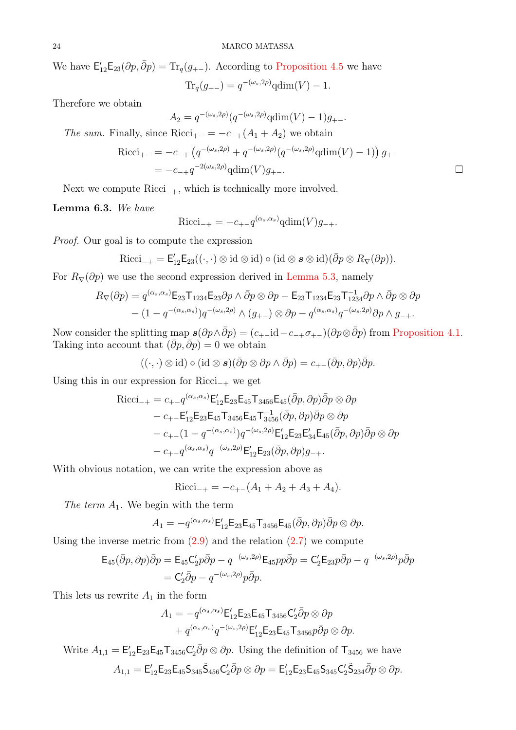We have  $\mathsf{E}_{12}'\mathsf{E}_{23}(\partial p, \bar{\partial} p) = \text{Tr}_q(g_{+-})$ . According to [Proposition 4.5](#page-14-0) we have

$$
Tr_q(g_{+-}) = q^{-(\omega_s, 2\rho)} qdim(V) - 1.
$$

Therefore we obtain

$$
A_2 = q^{-(\omega_s, 2\rho)} (q^{-(\omega_s, 2\rho)} \text{qdim}(V) - 1) g_{+-}.
$$

The sum. Finally, since Ricci<sub>+-</sub> = 
$$
-c_{-+}(A_1 + A_2)
$$
 we obtain

Ricci<sub>+-</sub> = -c<sub>-+</sub> 
$$
(q^{-(\omega_s, 2\rho)} + q^{-(\omega_s, 2\rho)}(q^{-(\omega_s, 2\rho)} \text{qdim}(V) - 1)) g_{+-}
$$
  
= -c<sub>-+</sub>  $q^{-2(\omega_s, 2\rho)} \text{qdim}(V) g_{+-}.$ 

<span id="page-23-0"></span>Next we compute  $Ricci_{-+}$ , which is technically more involved.

Lemma 6.3. We have

$$
Ricci_{-+} = -c_{+-}q^{(\alpha_s, \alpha_s)} \text{qdim}(V)g_{-+}.
$$

Proof. Our goal is to compute the expression

$$
\mathrm{Ricci}_{-+} = \mathsf{E}^{\prime}_{12}\mathsf{E}_{23}((\cdot,\cdot)\otimes\mathrm{id}\otimes\mathrm{id})\circ(\mathrm{id}\otimes\mathbf{s}\otimes\mathrm{id})(\bar{\partial}p\otimes R_{\nabla}(\partial p)).
$$

For  $R_{\nabla}(\partial p)$  we use the second expression derived in [Lemma 5.3,](#page-17-0) namely

$$
R_{\nabla}(\partial p) = q^{(\alpha_s, \alpha_s)} \mathsf{E}_{23} \mathsf{T}_{1234} \mathsf{E}_{23} \partial p \wedge \bar{\partial} p \otimes \partial p - \mathsf{E}_{23} \mathsf{T}_{1234} \mathsf{E}_{23} \mathsf{T}_{1234}^{-1} \partial p \wedge \bar{\partial} p \otimes \partial p - (1 - q^{-(\alpha_s, \alpha_s)}) q^{-(\omega_s, 2\rho)} \wedge (g_{+-}) \otimes \partial p - q^{(\alpha_s, \alpha_s)} q^{-(\omega_s, 2\rho)} \partial p \wedge g_{-+}.
$$

Now consider the splitting map  $s(\partial p \wedge \bar{\partial} p) = (c_{+-}id - c_{-+}\sigma_{+-})(\partial p \otimes \bar{\partial} p)$  from [Proposition 4.1.](#page-12-1) Taking into account that  $(\bar{\partial}p, \bar{\partial}p) = 0$  we obtain

$$
((\cdot,\cdot)\otimes\mathrm{id})\circ(\mathrm{id}\otimes s)(\bar{\partial}p\otimes\partial p\wedge\bar{\partial}p)=c_{+-}(\bar{\partial}p,\partial p)\bar{\partial}p.
$$

Using this in our expression for  $Ricci_{-+}$  we get

$$
Ricci_{-+} = c_{+-}q^{(\alpha_s, \alpha_s)} \mathsf{E}'_{12} \mathsf{E}_{23} \mathsf{E}_{45} \mathsf{T}_{3456} \mathsf{E}_{45} (\bar{\partial}p, \partial p) \bar{\partial}p \otimes \partial p
$$
  
\n
$$
- c_{+-} \mathsf{E}'_{12} \mathsf{E}_{23} \mathsf{E}_{45} \mathsf{T}_{3456} \mathsf{E}_{45} \mathsf{T}_{3456}^{-1} (\bar{\partial}p, \partial p) \bar{\partial}p \otimes \partial p
$$
  
\n
$$
- c_{+-} (1 - q^{-(\alpha_s, \alpha_s)}) q^{-(\omega_s, 2\rho)} \mathsf{E}'_{12} \mathsf{E}_{23} \mathsf{E}'_{34} \mathsf{E}_{45} (\bar{\partial}p, \partial p) \bar{\partial}p \otimes \partial p
$$
  
\n
$$
- c_{+-} q^{(\alpha_s, \alpha_s)} q^{-(\omega_s, 2\rho)} \mathsf{E}'_{12} \mathsf{E}_{23} (\bar{\partial}p, \partial p) g_{-+}.
$$

With obvious notation, we can write the expression above as

$$
Ricci_{-+} = -c_{+-}(A_1 + A_2 + A_3 + A_4).
$$

The term  $A_1$ . We begin with the term

$$
A_1 = -q^{(\alpha_s, \alpha_s)} \mathsf{E}_{12}' \mathsf{E}_{23} \mathsf{E}_{45} \mathsf{T}_{3456} \mathsf{E}_{45} (\bar{\partial}p, \partial p) \bar{\partial}p \otimes \partial p.
$$

Using the inverse metric from  $(2.9)$  and the relation  $(2.7)$  we compute

$$
\mathsf{E}_{45}(\bar{\partial}p,\partial p)\bar{\partial}p = \mathsf{E}_{45}\mathsf{C}'_2p\bar{\partial}p - q^{-(\omega_s,2\rho)}\mathsf{E}_{45}pp\bar{\partial}p = \mathsf{C}'_2\mathsf{E}_{23}p\bar{\partial}p - q^{-(\omega_s,2\rho)}p\bar{\partial}p
$$

$$
= \mathsf{C}'_2\bar{\partial}p - q^{-(\omega_s,2\rho)}p\bar{\partial}p.
$$

This lets us rewrite  $A_1$  in the form

$$
A_1 = -q^{(\alpha_s, \alpha_s)} \mathsf{E}_{12}' \mathsf{E}_{23} \mathsf{E}_{45} \mathsf{T}_{3456} \mathsf{C}_2' \overline{\partial} p \otimes \partial p + q^{(\alpha_s, \alpha_s)} q^{-(\omega_s, 2\rho)} \mathsf{E}_{12}' \mathsf{E}_{23} \mathsf{E}_{45} \mathsf{T}_{3456} p \overline{\partial} p \otimes \partial p.
$$

Write  $A_{1,1} = \mathsf{E}_{12}' \mathsf{E}_{23} \mathsf{E}_{45} \mathsf{T}_{3456} \mathsf{C}_2'$  $\mathcal{Z}_2 \overline{\partial} p \otimes \partial p$ . Using the definition of  $\mathsf{T}_{3456}$  we have  $A_{1,1} = \mathsf{E}_{12}'\mathsf{E}_{23}\mathsf{E}_{45}\mathsf{S}_{345}\tilde{\mathsf{S}}_{456}\mathsf{C}_2'$  $\mathcal{Z}_2 \bar{\partial} p \otimes \partial p = \mathsf{E}_{12}' \mathsf{E}_{23} \mathsf{E}_{45} \mathsf{S}_{345} \mathsf{C}_2' \tilde{\mathsf{S}}_{234} \bar{\partial} p \otimes \partial p.$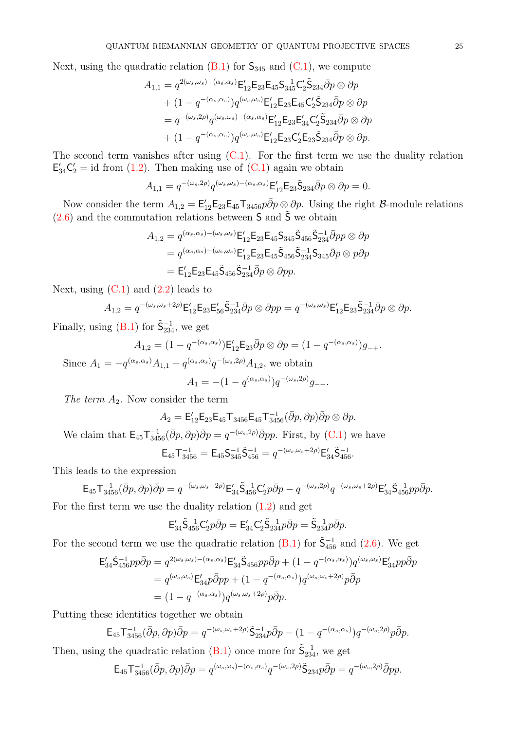Next, using the quadratic relation  $(B.1)$  for  $S_{345}$  and  $(C.1)$ , we compute

$$
A_{1,1} = q^{2(\omega_s, \omega_s) - (\alpha_s, \alpha_s)} \mathsf{E}'_{12} \mathsf{E}_{23} \mathsf{E}_{45} \mathsf{S}_{345}^{-1} \mathsf{C}'_2 \tilde{\mathsf{S}}_{234} \bar{\partial} p \otimes \partial p + (1 - q^{-(\alpha_s, \alpha_s)}) q^{(\omega_s, \omega_s)} \mathsf{E}'_{12} \mathsf{E}_{23} \mathsf{E}_{45} \mathsf{C}'_2 \tilde{\mathsf{S}}_{234} \bar{\partial} p \otimes \partial p = q^{-(\omega_s, 2\rho)} q^{(\omega_s, \omega_s) - (\alpha_s, \alpha_s)} \mathsf{E}'_{12} \mathsf{E}_{23} \mathsf{E}'_3 \mathsf{C}'_2 \tilde{\mathsf{S}}_{234} \bar{\partial} p \otimes \partial p + (1 - q^{-(\alpha_s, \alpha_s)}) q^{(\omega_s, \omega_s)} \mathsf{E}'_{12} \mathsf{E}_{23} \mathsf{C}'_2 \mathsf{E}_{23} \tilde{\mathsf{S}}_{234} \bar{\partial} p \otimes \partial p.
$$

The second term vanishes after using  $(C.1)$ . For the first term we use the duality relation  $E'_{34}C'_{2} = id$  from [\(1.2\)](#page-3-1). Then making use of [\(C.1\)](#page-28-2) again we obtain

$$
A_{1,1} = q^{-(\omega_s, 2\rho)} q^{(\omega_s, \omega_s) - (\alpha_s, \alpha_s)} \mathsf{E}_{12}' \mathsf{E}_{23} \tilde{\mathsf{S}}_{234} \bar{\partial} p \otimes \partial p = 0.
$$

Now consider the term  $A_{1,2} = \mathsf{E}_{12}'\mathsf{E}_{23}\mathsf{E}_{45}\mathsf{T}_{3456}p\bar{\partial}p\otimes\partial p$ . Using the right  $\mathcal{B}\text{-module relations}$  $(2.6)$  and the commutation relations between S and  $\tilde{S}$  we obtain

$$
A_{1,2} = q^{(\alpha_s, \alpha_s) - (\omega_s, \omega_s)} \mathsf{E}_{12}' \mathsf{E}_{23} \mathsf{E}_{45} \mathsf{S}_{345} \tilde{\mathsf{S}}_{456} \tilde{\mathsf{S}}_{234}^{-1} \bar{\partial} pp \otimes \partial p
$$
  
=  $q^{(\alpha_s, \alpha_s) - (\omega_s, \omega_s)} \mathsf{E}_{12}' \mathsf{E}_{23} \mathsf{E}_{45} \tilde{\mathsf{S}}_{456} \tilde{\mathsf{S}}_{234}^{-1} \mathsf{S}_{345} \bar{\partial} p \otimes p \partial p$   
=  $\mathsf{E}_{12}' \mathsf{E}_{23} \mathsf{E}_{45} \tilde{\mathsf{S}}_{456} \tilde{\mathsf{S}}_{234}^{-1} \bar{\partial} p \otimes \partial pp.$ 

Next, using  $(C.1)$  and  $(2.2)$  leads to

$$
A_{1,2} = q^{-(\omega_s,\omega_s+2\rho)} \mathsf{E}_{12}' \mathsf{E}_{23} \mathsf{E}_{56}' \tilde{\mathsf{S}}_{234}^{-1} \bar{\partial} p \otimes \partial pp = q^{-(\omega_s,\omega_s)} \mathsf{E}_{12}' \mathsf{E}_{23} \tilde{\mathsf{S}}_{234}^{-1} \bar{\partial} p \otimes \partial p.
$$

Finally, using  $(B.1)$  for  $\tilde{\mathsf{S}}_{234}^{-1}$ , we get

$$
A_{1,2} = (1 - q^{-(\alpha_s, \alpha_s)}) \mathsf{E}_{12}' \mathsf{E}_{23} \bar{\partial} p \otimes \partial p = (1 - q^{-(\alpha_s, \alpha_s)}) g_{-+}.
$$

Since  $A_1 = -q^{(\alpha_s, \alpha_s)} A_{1,1} + q^{(\alpha_s, \alpha_s)} q^{-(\omega_s, 2\rho)} A_{1,2}$ , we obtain

$$
A_1 = -(1 - q^{(\alpha_s, \alpha_s)}) q^{-(\omega_s, 2\rho)} g_{-+}.
$$

The term  $A_2$ . Now consider the term

$$
A_2 = \mathsf{E}^{\prime}_{12} \mathsf{E}_{23} \mathsf{E}_{45} \mathsf{T}_{3456} \mathsf{E}_{45} \mathsf{T}_{3456}^{-1} (\bar{\partial} p, \partial p) \bar{\partial} p \otimes \partial p.
$$

We claim that  $\mathsf{E}_{45}\mathsf{T}_{3456}^{-1}(\bar{\partial}p,\partial p)\bar{\partial}p = q^{-(\omega_s,2\rho)}\bar{\partial}pp$ . First, by [\(C.1\)](#page-28-2) we have

$$
\mathsf{E}_{45}\mathsf{T}^{-1}_{3456} = \mathsf{E}_{45}\mathsf{S}^{-1}_{345}\mathsf{S}^{-1}_{456} = q^{-(\omega_s,\omega_s+2\rho)}\mathsf{E}'_{34}\mathsf{S}^{-1}_{456}.
$$

This leads to the expression

$$
{\sf E}_{45}{\sf T}^{-1}_{3456}(\bar\partial p,\partial p)\bar\partial p = q^{-(\omega_s,\omega_s+2\rho)}{\sf E}_{34}'\tilde{\sf S}^{-1}_{456}{\sf C}_2'p\bar\partial p - q^{-(\omega_s,2\rho)}q^{-(\omega_s,\omega_s+2\rho)}{\sf E}_{34}'\tilde{\sf S}^{-1}_{456}pp\bar\partial p.
$$

For the first term we use the duality relation [\(1.2\)](#page-3-1) and get

$$
E'_{34}\tilde{S}^{-1}_{456}C'_{2}p\bar{\partial}p = E'_{34}C'_{2}\tilde{S}^{-1}_{234}p\bar{\partial}p = \tilde{S}^{-1}_{234}p\bar{\partial}p.
$$

For the second term we use the quadratic relation [\(B.1\)](#page-28-3) for  $\tilde{\mathsf{S}}_{456}^{-1}$  and [\(2.6\)](#page-5-3). We get

$$
\mathsf{E}_{34}'\tilde{\mathsf{S}}_{456}^{-1}pp\bar{\partial}p = q^{2(\omega_s,\omega_s) - (\alpha_s,\alpha_s)}\mathsf{E}_{34}'\tilde{\mathsf{S}}_{456}pp\bar{\partial}p + (1 - q^{-(\alpha_s,\alpha_s)})q^{(\omega_s,\omega_s)}\mathsf{E}_{34}'pp\bar{\partial}p
$$
  
=  $q^{(\omega_s,\omega_s)}\mathsf{E}_{34}'p\bar{\partial}pp + (1 - q^{-(\alpha_s,\alpha_s)})q^{(\omega_s,\omega_s+2\rho)}p\bar{\partial}p$   
=  $(1 - q^{-(\alpha_s,\alpha_s)})q^{(\omega_s,\omega_s+2\rho)}p\bar{\partial}p.$ 

Putting these identities together we obtain

$$
\mathsf{E}_{45}\mathsf{T}_{3456}^{-1}(\bar{\partial}p,\partial p)\bar{\partial}p = q^{-(\omega_s,\omega_s+2\rho)}\tilde{\mathsf{S}}_{234}^{-1}p\bar{\partial}p - (1-q^{-(\alpha_s,\alpha_s)})q^{-(\omega_s,2\rho)}p\bar{\partial}p.
$$

Then, using the quadratic relation [\(B.1\)](#page-28-3) once more for  $\tilde{\mathsf{S}}^{-1}_{234}$ , we get

$$
\mathsf{E}_{45}\mathsf{T}_{3456}^{-1}(\bar{\partial}p,\partial p)\bar{\partial}p = q^{(\omega_s,\omega_s)-(\alpha_s,\alpha_s)}q^{-(\omega_s,2\rho)}\tilde{\mathsf{S}}_{234}p\bar{\partial}p = q^{-(\omega_s,2\rho)}\bar{\partial}pp.
$$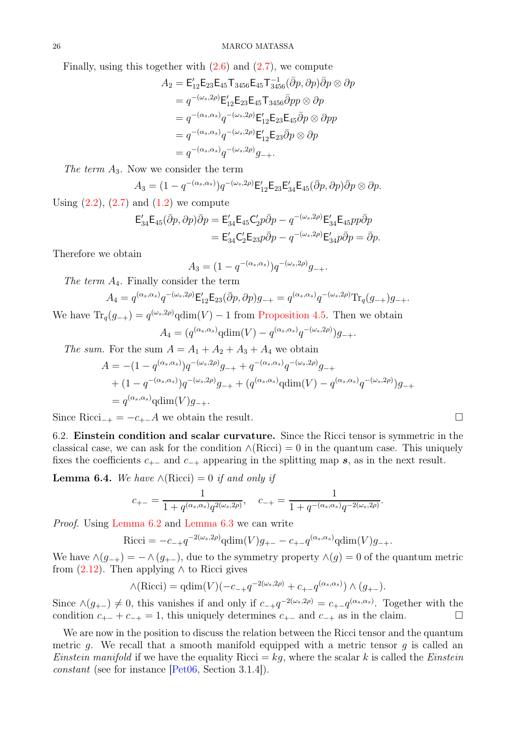Finally, using this together with  $(2.6)$  and  $(2.7)$ , we compute

$$
A_2 = \mathsf{E}_{12}' \mathsf{E}_{23} \mathsf{E}_{45} \mathsf{T}_{3456} \mathsf{E}_{45} \mathsf{T}_{3456}^{-1} (\bar{\partial}p, \partial p) \bar{\partial}p \otimes \partial p
$$
  
\n
$$
= q^{-(\omega_s, 2\rho)} \mathsf{E}_{12}' \mathsf{E}_{23} \mathsf{E}_{45} \mathsf{T}_{3456} \bar{\partial}pp \otimes \partial p
$$
  
\n
$$
= q^{-(\alpha_s, \alpha_s)} q^{-(\omega_s, 2\rho)} \mathsf{E}_{12}' \mathsf{E}_{23} \mathsf{E}_{45} \bar{\partial}p \otimes \partial pp
$$
  
\n
$$
= q^{-(\alpha_s, \alpha_s)} q^{-(\omega_s, 2\rho)} \mathsf{E}_{12}' \mathsf{E}_{23} \bar{\partial}p \otimes \partial p
$$
  
\n
$$
= q^{-(\alpha_s, \alpha_s)} q^{-(\omega_s, 2\rho)} g_{-+}.
$$

The term  $A_3$ . Now we consider the term

$$
A_3 = (1 - q^{-(\alpha_s, \alpha_s)}) q^{-(\omega_s, 2\rho)} \mathsf{E}_{12}' \mathsf{E}_{23} \mathsf{E}_{34}' \mathsf{E}_{45}(\bar{\partial}p, \partial p) \bar{\partial}p \otimes \partial p.
$$

Using  $(2.2)$ ,  $(2.7)$  and  $(1.2)$  we compute

$$
\mathsf{E}_{34}'\mathsf{E}_{45}(\bar{\partial}p,\partial p)\bar{\partial}p = \mathsf{E}_{34}'\mathsf{E}_{45}\mathsf{C}_2'p\bar{\partial}p - q^{-(\omega_s,2\rho)}\mathsf{E}_{34}'\mathsf{E}_{45}pp\bar{\partial}p \n= \mathsf{E}_{34}'\mathsf{C}_2'\mathsf{E}_{23}p\bar{\partial}p - q^{-(\omega_s,2\rho)}\mathsf{E}_{34}'p\bar{\partial}p = \bar{\partial}p.
$$

Therefore we obtain

$$
A_3 = (1 - q^{-(\alpha_s, \alpha_s)}) q^{-(\omega_s, 2\rho)} g_{-+}.
$$

The term  $A_4$ . Finally consider the term

$$
A_4 = q^{(\alpha_s, \alpha_s)} q^{-(\omega_s, 2\rho)} \mathsf{E}_{12}' \mathsf{E}_{23}(\bar{\partial}p, \partial p) g_{-+} = q^{(\alpha_s, \alpha_s)} q^{-(\omega_s, 2\rho)} \text{Tr}_q(g_{-+}) g_{-+}.
$$
  
For  $(g_{-+}) = q^{(\omega_s, 2\rho)} \text{cdim}(V)$  1 from Proposition 4.5. Then we obtain

We have  $\text{Tr}_q(g_{-+}) = q^{(\omega_s, 2\rho)} \text{qdim}(V) - 1$  from [Proposition 4.5.](#page-14-0) Then we obtain

$$
A_4 = (q^{(\alpha_s, \alpha_s)} \text{qdim}(V) - q^{(\alpha_s, \alpha_s)} q^{-(\omega_s, 2\rho)}) g_{-+}.
$$

The sum. For the sum  $A = A_1 + A_2 + A_3 + A_4$  we obtain

$$
A = -(1 - q^{(\alpha_s, \alpha_s)})q^{-(\omega_s, 2\rho)}g_{-+} + q^{-(\alpha_s, \alpha_s)}q^{-(\omega_s, 2\rho)}g_{-+} + (1 - q^{-(\alpha_s, \alpha_s)})q^{-(\omega_s, 2\rho)}g_{-+} + (q^{(\alpha_s, \alpha_s)}q \dim(V) - q^{(\alpha_s, \alpha_s)}q^{-(\omega_s, 2\rho)})g_{-+} = q^{(\alpha_s, \alpha_s)}q \dim(V)g_{-+}.
$$

Since Ricci<sub>−+</sub> =  $-c_{+-}A$  we obtain the result.

6.2. Einstein condition and scalar curvature. Since the Ricci tensor is symmetric in the classical case, we can ask for the condition  $\land$ (Ricci) = 0 in the quantum case. This uniquely fixes the coefficients  $c_{+-}$  and  $c_{-+}$  appearing in the splitting map s, as in the next result.

**Lemma 6.4.** We have  $\land$ (Ricci) = 0 if and only if

$$
c_{+-} = \frac{1}{1 + q^{(\alpha_s, \alpha_s)} q^{2(\omega_s, 2\rho)}}, \quad c_{-+} = \frac{1}{1 + q^{-(\alpha_s, \alpha_s)} q^{-2(\omega_s, 2\rho)}}.
$$

Proof. Using [Lemma 6.2](#page-22-0) and [Lemma 6.3](#page-23-0) we can write

Ricci = 
$$
-c_{-+}q^{-2(\omega_s, 2\rho)} \text{qdim}(V)g_{+-} - c_{+-}q^{(\alpha_s, \alpha_s)} \text{qdim}(V)g_{-+}.
$$

We have  $\wedge(g_{-+}) = - \wedge(g_{+-})$ , due to the symmetry property  $\wedge(g) = 0$  of the quantum metric from  $(2.12)$ . Then applying  $\wedge$  to Ricci gives

$$
\wedge (\text{Ricci}) = \text{qdim}(V)(-c_{-+}q^{-2(\omega_s, 2\rho)} + c_{+-}q^{(\alpha_s, \alpha_s)}) \wedge (g_{+-}).
$$

Since  $\wedge (g_{+-}) \neq 0$ , this vanishes if and only if  $c_{-+}q^{-2(\omega_s, 2\rho)} = c_{+-}q^{(\alpha_s, \alpha_s)}$ . Together with the condition  $c_{+-} + c_{-+} = 1$ , this uniquely determines  $c_{+-}$  and  $c_{-+}$  as in the claim.  $\Box$ 

<span id="page-25-0"></span>We are now in the position to discuss the relation between the Ricci tensor and the quantum metric g. We recall that a smooth manifold equipped with a metric tensor g is called an *Einstein manifold* if we have the equality Ricci =  $kg$ , where the scalar k is called the *Einstein* constant (see for instance [\[Pet06,](#page-32-0) Section 3.1.4]).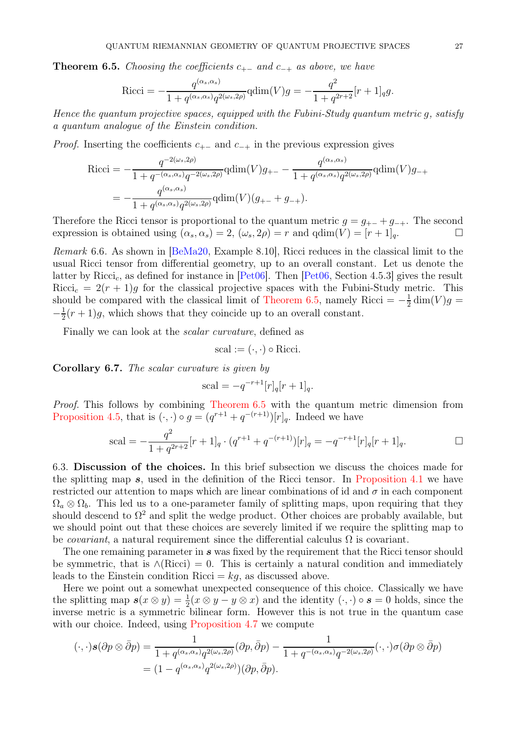**Theorem 6.5.** Choosing the coefficients  $c_{+-}$  and  $c_{-+}$  as above, we have

Ricci = 
$$
-\frac{q^{(\alpha_s, \alpha_s)}}{1 + q^{(\alpha_s, \alpha_s)}q^{2(\omega_s, 2\rho)}} \text{qdim}(V)g = -\frac{q^2}{1 + q^{2r+2}}[r+1]_q g.
$$

Hence the quantum projective spaces, equipped with the Fubini-Study quantum metric g, satisfy a quantum analogue of the Einstein condition.

*Proof.* Inserting the coefficients  $c_{+-}$  and  $c_{-+}$  in the previous expression gives

$$
Ricci = -\frac{q^{-2(\omega_s, 2\rho)}}{1 + q^{-(\alpha_s, \alpha_s)}q^{-2(\omega_s, 2\rho)}} \text{qdim}(V)g_{+-} - \frac{q^{(\alpha_s, \alpha_s)}}{1 + q^{(\alpha_s, \alpha_s)}q^{2(\omega_s, 2\rho)}} \text{qdim}(V)g_{-+}
$$
  
= 
$$
-\frac{q^{(\alpha_s, \alpha_s)}}{1 + q^{(\alpha_s, \alpha_s)}q^{2(\omega_s, 2\rho)}} \text{qdim}(V)(g_{+-} + g_{-+}).
$$

Therefore the Ricci tensor is proportional to the quantum metric  $g = g_{+-} + g_{-+}$ . The second expression is obtained using  $(\alpha_s, \alpha_s) = 2$ ,  $(\omega_s, 2\rho) = r$  and  $qdim(V) = [r + 1]_q$ .

Remark 6.6. As shown in [\[BeMa20,](#page-31-5) Example 8.10], Ricci reduces in the classical limit to the usual Ricci tensor from differential geometry, up to an overall constant. Let us denote the latter by Ricci<sub>c</sub>, as defined for instance in [\[Pet06\]](#page-32-0). Then [\[Pet06,](#page-32-0) Section 4.5.3] gives the result  $Ricci_c = 2(r + 1)g$  for the classical projective spaces with the Fubini-Study metric. This should be compared with the classical limit of [Theorem 6.5,](#page-25-0) namely Ricci =  $-\frac{1}{2}$  $\frac{1}{2}$  dim(V)g =  $-\frac{1}{2}$  $\frac{1}{2}(r+1)g$ , which shows that they coincide up to an overall constant.

Finally we can look at the scalar curvature, defined as

scal := 
$$
(\cdot, \cdot)
$$
 o Ricci.

Corollary 6.7. The scalar curvature is given by

scal = 
$$
-q^{-r+1}[r]_q[r+1]_q
$$
.

Proof. This follows by combining [Theorem 6.5](#page-25-0) with the quantum metric dimension from [Proposition 4.5,](#page-14-0) that is  $(·, ·) \circ g = (q^{r+1} + q^{-(r+1)})[r]_q$ . Indeed we have

scal = 
$$
-\frac{q^2}{1+q^{2r+2}}[r+1]_q \cdot (q^{r+1}+q^{-(r+1)})[r]_q = -q^{-r+1}[r]_q[r+1]_q.
$$

6.3. Discussion of the choices. In this brief subsection we discuss the choices made for the splitting map  $s$ , used in the definition of the Ricci tensor. In [Proposition 4.1](#page-12-1) we have restricted our attention to maps which are linear combinations of id and  $\sigma$  in each component  $\Omega_a \otimes \Omega_b$ . This led us to a one-parameter family of splitting maps, upon requiring that they should descend to  $\Omega^2$  and split the wedge product. Other choices are probably available, but we should point out that these choices are severely limited if we require the splitting map to be *covariant*, a natural requirement since the differential calculus  $\Omega$  is covariant.

The one remaining parameter in s was fixed by the requirement that the Ricci tensor should be symmetric, that is  $\land$ (Ricci) = 0. This is certainly a natural condition and immediately leads to the Einstein condition Ricci  $=kq$ , as discussed above.

Here we point out a somewhat unexpected consequence of this choice. Classically we have the splitting map  $s(x \otimes y) = \frac{1}{2}(x \otimes y - y \otimes x)$  and the identity  $(\cdot, \cdot) \circ s = 0$  holds, since the inverse metric is a symmetric bilinear form. However this is not true in the quantum case with our choice. Indeed, using [Proposition 4.7](#page-15-0) we compute

$$
(\cdot,\cdot)\boldsymbol{s}(\partial p\otimes\bar{\partial}p) = \frac{1}{1+q^{(\alpha_s,\alpha_s)}q^{2(\omega_s,2\rho)}}(\partial p,\bar{\partial}p) - \frac{1}{1+q^{-(\alpha_s,\alpha_s)}q^{-2(\omega_s,2\rho)}}(\cdot,\cdot)\sigma(\partial p\otimes\bar{\partial}p)
$$

$$
= (1-q^{(\alpha_s,\alpha_s)}q^{2(\omega_s,2\rho)})(\partial p,\bar{\partial}p).
$$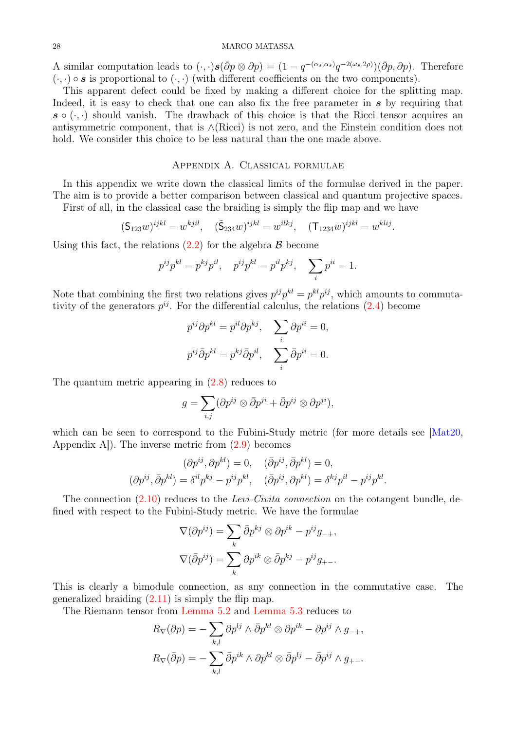#### 28 MARCO MATASSA

A similar computation leads to  $(\cdot, \cdot) \mathbf{s}(\bar{\partial}p \otimes \partial p) = (1 - q^{-(\alpha_s, \alpha_s)} q^{-2(\omega_s, 2\rho)}) (\bar{\partial}p, \partial p)$ . Therefore  $(\cdot, \cdot) \circ s$  is proportional to  $(\cdot, \cdot)$  (with different coefficients on the two components).

This apparent defect could be fixed by making a different choice for the splitting map. Indeed, it is easy to check that one can also fix the free parameter in  $s$  by requiring that  $s \circ (\cdot, \cdot)$  should vanish. The drawback of this choice is that the Ricci tensor acquires an antisymmetric component, that is ∧(Ricci) is not zero, and the Einstein condition does not hold. We consider this choice to be less natural than the one made above.

## Appendix A. Classical formulae

<span id="page-27-0"></span>In this appendix we write down the classical limits of the formulae derived in the paper. The aim is to provide a better comparison between classical and quantum projective spaces.

First of all, in the classical case the braiding is simply the flip map and we have

$$
(\mathsf{S}_{123}w)^{ijkl} = w^{kjil}, \quad (\tilde{\mathsf{S}}_{234}w)^{ijkl} = w^{ilkj}, \quad (\mathsf{T}_{1234}w)^{ijkl} = w^{klij}.
$$

Using this fact, the relations  $(2.2)$  for the algebra  $\beta$  become

$$
p^{ij}p^{kl} = p^{kj}p^{il}, \quad p^{ij}p^{kl} = p^{il}p^{kj}, \quad \sum_i p^{ii} = 1.
$$

Note that combining the first two relations gives  $p^{ij}p^{kl} = p^{kl}p^{ij}$ , which amounts to commutativity of the generators  $p^{ij}$ . For the differential calculus, the relations  $(2.4)$  become

$$
p^{ij}\partial p^{kl} = p^{il}\partial p^{kj}, \quad \sum_{i} \partial p^{ii} = 0,
$$
  

$$
p^{ij}\bar{\partial}p^{kl} = p^{kj}\bar{\partial}p^{il}, \quad \sum_{i} \bar{\partial}p^{ii} = 0.
$$

The quantum metric appearing in [\(2.8\)](#page-6-4) reduces to

$$
g = \sum_{i,j} (\partial p^{ij} \otimes \bar{\partial} p^{ji} + \bar{\partial} p^{ij} \otimes \partial p^{ji}),
$$

which can be seen to correspond to the Fubini-Study metric (for more details see [\[Mat20,](#page-31-1) Appendix A]). The inverse metric from [\(2.9\)](#page-6-2) becomes

$$
(\partial p^{ij}, \partial p^{kl}) = 0, \quad (\bar{\partial} p^{ij}, \bar{\partial} p^{kl}) = 0,
$$
  

$$
(\partial p^{ij}, \bar{\partial} p^{kl}) = \delta^{il} p^{kj} - p^{ij} p^{kl}, \quad (\bar{\partial} p^{ij}, \partial p^{kl}) = \delta^{kj} p^{il} - p^{ij} p^{kl}.
$$

The connection [\(2.10\)](#page-6-3) reduces to the Levi-Civita connection on the cotangent bundle, defined with respect to the Fubini-Study metric. We have the formulae

$$
\nabla(\partial p^{ij}) = \sum_{k} \bar{\partial} p^{kj} \otimes \partial p^{ik} - p^{ij} g_{-+},
$$

$$
\nabla(\bar{\partial} p^{ij}) = \sum_{k} \partial p^{ik} \otimes \bar{\partial} p^{kj} - p^{ij} g_{+-}.
$$

This is clearly a bimodule connection, as any connection in the commutative case. The generalized braiding  $(2.11)$  is simply the flip map.

The Riemann tensor from [Lemma 5.2](#page-16-1) and [Lemma 5.3](#page-17-0) reduces to

$$
R_{\nabla}(\partial p) = -\sum_{k,l} \partial p^{lj} \wedge \bar{\partial} p^{kl} \otimes \partial p^{ik} - \partial p^{ij} \wedge g_{-+},
$$
  

$$
R_{\nabla}(\bar{\partial} p) = -\sum_{k,l} \bar{\partial} p^{ik} \wedge \partial p^{kl} \otimes \bar{\partial} p^{lj} - \bar{\partial} p^{ij} \wedge g_{+-}.
$$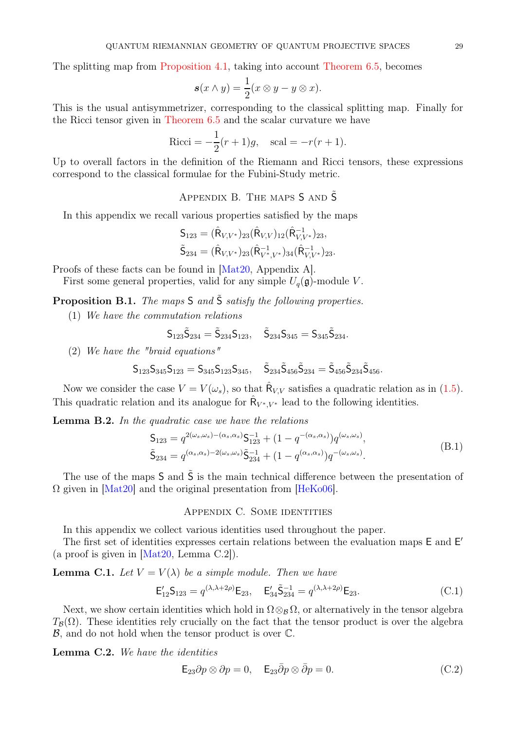The splitting map from [Proposition 4.1,](#page-12-1) taking into account [Theorem 6.5,](#page-25-0) becomes

$$
\mathbf{s}(x \wedge y) = \frac{1}{2}(x \otimes y - y \otimes x).
$$

This is the usual antisymmetrizer, corresponding to the classical splitting map. Finally for the Ricci tensor given in [Theorem 6.5](#page-25-0) and the scalar curvature we have

Ricci = 
$$
-\frac{1}{2}(r+1)g
$$
, scal =  $-r(r+1)$ .

<span id="page-28-0"></span>Up to overall factors in the definition of the Riemann and Ricci tensors, these expressions correspond to the classical formulae for the Fubini-Study metric.

APPENDIX B. THE MAPS  $S$  and  $\tilde{S}$ 

In this appendix we recall various properties satisfied by the maps

$$
\begin{aligned} \mathsf{S}_{123} &= (\hat{\mathsf{R}}_{V,V^*})_{23} (\hat{\mathsf{R}}_{V,V})_{12} (\hat{\mathsf{R}}_{V,V^*}^{-1})_{23}, \\ \tilde{\mathsf{S}}_{234} &= (\hat{\mathsf{R}}_{V,V^*})_{23} (\hat{\mathsf{R}}_{V^*,V^*}^{-1})_{34} (\hat{\mathsf{R}}_{V,V^*}^{-1})_{23}. \end{aligned}
$$

Proofs of these facts can be found in [\[Mat20,](#page-31-1) Appendix A].

<span id="page-28-5"></span>First some general properties, valid for any simple  $U_q(\mathfrak{g})$ -module V.

**Proposition B.1.** The maps  $S$  and  $\tilde{S}$  satisfy the following properties.

(1) We have the commutation relations

$$
\mathsf{S}_{123}\tilde{\mathsf{S}}_{234}=\tilde{\mathsf{S}}_{234}\mathsf{S}_{123},\quad \tilde{\mathsf{S}}_{234}\mathsf{S}_{345}=\mathsf{S}_{345}\tilde{\mathsf{S}}_{234}.
$$

(2) We have the "braid equations"

$$
\mathsf{S}_{123}\mathsf{S}_{345}\mathsf{S}_{123}=\mathsf{S}_{345}\mathsf{S}_{123}\mathsf{S}_{345},\quad\tilde{\mathsf{S}}_{234}\tilde{\mathsf{S}}_{456}\tilde{\mathsf{S}}_{234}=\tilde{\mathsf{S}}_{456}\tilde{\mathsf{S}}_{234}\tilde{\mathsf{S}}_{456}.
$$

Now we consider the case  $V = V(\omega_s)$ , so that  $\hat{\mathsf{R}}_{V,V}$  satisfies a quadratic relation as in [\(1.5\)](#page-4-2). This quadratic relation and its analogue for  $\hat{\mathsf{R}}_{V^*,V^*}$  lead to the following identities.

<span id="page-28-3"></span>**Lemma B.2.** In the quadratic case we have the relations

$$
\mathsf{S}_{123} = q^{2(\omega_s, \omega_s) - (\alpha_s, \alpha_s)} \mathsf{S}_{123}^{-1} + (1 - q^{-(\alpha_s, \alpha_s)}) q^{(\omega_s, \omega_s)},
$$
\n
$$
\tilde{\mathsf{S}}_{234} = q^{(\alpha_s, \alpha_s) - 2(\omega_s, \omega_s)} \tilde{\mathsf{S}}_{234}^{-1} + (1 - q^{(\alpha_s, \alpha_s)}) q^{-(\omega_s, \omega_s)}.
$$
\n(B.1)

<span id="page-28-1"></span>The use of the maps  $S$  and  $\tilde{S}$  is the main technical difference between the presentation of  $\Omega$  given in [\[Mat20\]](#page-31-1) and the original presentation from [\[HeKo06\]](#page-31-11).

## Appendix C. Some identities

In this appendix we collect various identities used throughout the paper.

The first set of identities expresses certain relations between the evaluation maps E and E' (a proof is given in  $[Mat20, Lemma C.2]$ ).

**Lemma C.1.** Let  $V = V(\lambda)$  be a simple module. Then we have

<span id="page-28-2"></span>
$$
\mathsf{E}_{12}'\mathsf{S}_{123} = q^{(\lambda,\lambda+2\rho)}\mathsf{E}_{23}, \quad \mathsf{E}_{34}'\tilde{\mathsf{S}}_{234}^{-1} = q^{(\lambda,\lambda+2\rho)}\mathsf{E}_{23}.\tag{C.1}
$$

Next, we show certain identities which hold in  $\Omega \otimes_B \Omega$ , or alternatively in the tensor algebra  $T_{\mathcal{B}}(\Omega)$ . These identities rely crucially on the fact that the tensor product is over the algebra  $\mathcal{B}$ , and do not hold when the tensor product is over  $\mathbb{C}$ .

Lemma C.2. We have the identities

<span id="page-28-4"></span>
$$
\mathsf{E}_{23}\partial p \otimes \partial p = 0, \quad \mathsf{E}_{23}\bar{\partial} p \otimes \bar{\partial} p = 0. \tag{C.2}
$$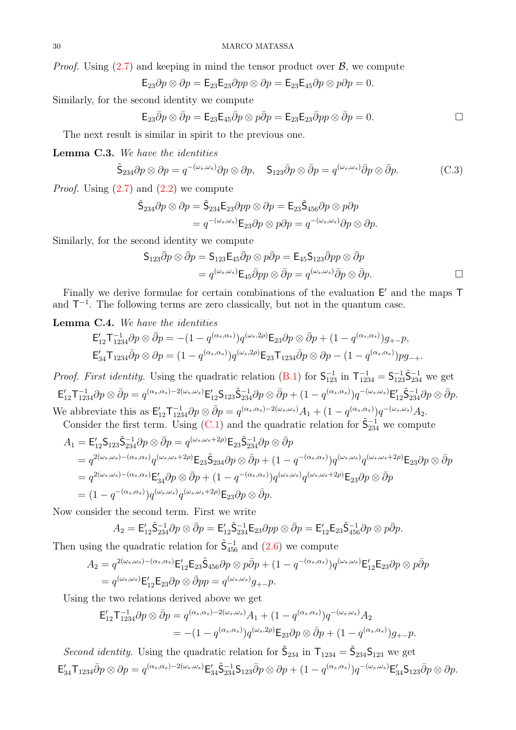*Proof.* Using  $(2.7)$  and keeping in mind the tensor product over  $\mathcal{B}$ , we compute

$$
\mathsf{E}_{23}\partial p\otimes \partial p=\mathsf{E}_{23}\mathsf{E}_{23}\partial pp\otimes \partial p=\mathsf{E}_{23}\mathsf{E}_{45}\partial p\otimes p\partial p=0.
$$

Similarly, for the second identity we compute

$$
\mathsf{E}_{23}\bar{\partial}p\otimes \bar{\partial}p = \mathsf{E}_{23}\mathsf{E}_{45}\bar{\partial}p\otimes p\bar{\partial}p = \mathsf{E}_{23}\mathsf{E}_{23}\bar{\partial}pp\otimes \bar{\partial}p = 0.
$$

The next result is similar in spirit to the previous one.

Lemma C.3. We have the identities

<span id="page-29-0"></span>
$$
\tilde{\mathsf{S}}_{234}\partial p\otimes \partial p = q^{-(\omega_s,\omega_s)}\partial p\otimes \partial p, \quad \mathsf{S}_{123}\bar{\partial} p\otimes \bar{\partial} p = q^{(\omega_s,\omega_s)}\bar{\partial} p\otimes \bar{\partial} p. \tag{C.3}
$$

*Proof.* Using  $(2.7)$  and  $(2.2)$  we compute

$$
\tilde{\mathsf{S}}_{234}\partial p \otimes \partial p = \tilde{\mathsf{S}}_{234}\mathsf{E}_{23}\partial pp \otimes \partial p = \mathsf{E}_{23}\tilde{\mathsf{S}}_{456}\partial p \otimes p\partial p \n= q^{-(\omega_s,\omega_s)}\mathsf{E}_{23}\partial p \otimes p\partial p = q^{-(\omega_s,\omega_s)}\partial p \otimes \partial p.
$$

Similarly, for the second identity we compute

$$
S_{123}\overline{\partial}p \otimes \overline{\partial}p = S_{123}E_{45}\overline{\partial}p \otimes p\overline{\partial}p = E_{45}S_{123}\overline{\partial}pp \otimes \overline{\partial}p
$$
  
=  $q^{(\omega_s, \omega_s)}E_{45}\overline{\partial}pp \otimes \overline{\partial}p = q^{(\omega_s, \omega_s)}\overline{\partial}p \otimes \overline{\partial}p.$ 

<span id="page-29-1"></span>Finally we derive formulae for certain combinations of the evaluation  $E'$  and the maps  $T$ and  $T^{-1}$ . The following terms are zero classically, but not in the quantum case.

Lemma C.4. We have the identities

$$
\mathsf{E}_{12}'\mathsf{T}_{1234}^{-1}\partial p \otimes \bar{\partial} p = -(1-q^{(\alpha_s,\alpha_s)})q^{(\omega_s,2\rho)}\mathsf{E}_{23}\partial p \otimes \bar{\partial} p + (1-q^{(\alpha_s,\alpha_s)})g_{+-}p,
$$
  
\n
$$
\mathsf{E}_{34}'\mathsf{T}_{1234}\bar{\partial} p \otimes \partial p = (1-q^{(\alpha_s,\alpha_s)})q^{(\omega_s,2\rho)}\mathsf{E}_{23}\mathsf{T}_{1234}\bar{\partial} p \otimes \partial p - (1-q^{(\alpha_s,\alpha_s)})pg_{-+}.
$$

*Proof. First identity.* Using the quadratic relation [\(B.1\)](#page-28-3) for  $S_{123}^{-1}$  in  $T_{1234}^{-1} = S_{123}^{-1} \tilde{S}_{234}^{-1}$  we get  $\mathsf{E}^{\prime}_{12}\mathsf{T}^{-1}_{1234}\partial p\otimes \bar{\partial}p = q^{(\alpha_s,\alpha_s)-2(\omega_s,\omega_s)}\mathsf{E}^{\prime}_{12}\mathsf{S}_{123}\tilde{\mathsf{S}}^{-1}_{234}\partial p\otimes \bar{\partial}p + (1-q^{(\alpha_s,\alpha_s)})q^{-(\omega_s,\omega_s)}\mathsf{E}^{\prime}_{12}\tilde{\mathsf{S}}^{-1}_{234}\partial p\otimes \bar{\partial}p.$ We abbreviate this as  $\mathsf{E}_{12}' \mathsf{T}_{1234}^{-1} \partial p \otimes \bar{\partial} p = q^{(\alpha_s, \alpha_s) - 2(\omega_s, \omega_s)} A_1 + (1 - q^{(\alpha_s, \alpha_s)}) q^{-(\omega_s, \omega_s)} A_2.$ 

Consider the first term. Using [\(C.1\)](#page-28-2) and the quadratic relation for  $\tilde{\mathsf{S}}^{-1}_{234}$  we compute

$$
A_1 = \mathsf{E}_{12}'\mathsf{S}_{123}\tilde{\mathsf{S}}_{234}^{-1}\partial p \otimes \bar{\partial} p = q^{(\omega_s, \omega_s + 2\rho)}\mathsf{E}_{23}\tilde{\mathsf{S}}_{234}^{-1}\partial p \otimes \bar{\partial} p
$$
  
\n
$$
= q^{2(\omega_s, \omega_s) - (\alpha_s, \alpha_s)}q^{(\omega_s, \omega_s + 2\rho)}\mathsf{E}_{23}\tilde{\mathsf{S}}_{234}\partial p \otimes \bar{\partial} p + (1 - q^{-(\alpha_s, \alpha_s)})q^{(\omega_s, \omega_s)}q^{(\omega_s, \omega_s + 2\rho)}\mathsf{E}_{23}\partial p \otimes \bar{\partial} p
$$
  
\n
$$
= q^{2(\omega_s, \omega_s) - (\alpha_s, \alpha_s)}\mathsf{E}_{34}'\partial p \otimes \bar{\partial} p + (1 - q^{-(\alpha_s, \alpha_s)})q^{(\omega_s, \omega_s)}q^{(\omega_s, \omega_s + 2\rho)}\mathsf{E}_{23}\partial p \otimes \bar{\partial} p
$$
  
\n
$$
= (1 - q^{-(\alpha_s, \alpha_s)})q^{(\omega_s, \omega_s)}q^{(\omega_s, \omega_s + 2\rho)}\mathsf{E}_{23}\partial p \otimes \bar{\partial} p.
$$

Now consider the second term. First we write

$$
A_2 = \mathsf{E}^{\prime}_{12} \tilde{\mathsf{S}}^{-1}_{234} \partial p \otimes \bar{\partial} p = \mathsf{E}^{\prime}_{12} \tilde{\mathsf{S}}^{-1}_{234} \mathsf{E}_{23} \partial pp \otimes \bar{\partial} p = \mathsf{E}^{\prime}_{12} \mathsf{E}_{23} \tilde{\mathsf{S}}^{-1}_{456} \partial p \otimes p \bar{\partial} p.
$$

Then using the quadratic relation for  $\tilde{\mathsf{S}}^{-1}_{456}$  and  $(2.6)$  we compute

$$
A_2 = q^{2(\omega_s, \omega_s) - (\alpha_s, \alpha_s)} \mathsf{E}_{12}' \mathsf{E}_{23} \tilde{\mathsf{S}}_{456} \partial p \otimes p \bar{\partial} p + (1 - q^{-(\alpha_s, \alpha_s)}) q^{(\omega_s, \omega_s)} \mathsf{E}_{12}' \mathsf{E}_{23} \partial p \otimes p \bar{\partial} p
$$
  
=  $q^{(\omega_s, \omega_s)} \mathsf{E}_{12}' \mathsf{E}_{23} \partial p \otimes \bar{\partial} p p = q^{(\omega_s, \omega_s)} g_{+-} p.$ 

Using the two relations derived above we get

$$
\mathsf{E}_{12}'\mathsf{T}_{1234}^{-1}\partial p \otimes \bar{\partial} p = q^{(\alpha_s,\alpha_s)-2(\omega_s,\omega_s)}A_1 + (1-q^{(\alpha_s,\alpha_s)})q^{-(\omega_s,\omega_s)}A_2
$$
  
= -(1-q^{(\alpha\_s,\alpha\_s)})q^{(\omega\_s,2\rho)}\mathsf{E}\_{23}\partial p \otimes \bar{\partial} p + (1-q^{(\alpha\_s,\alpha\_s)})g\_{+-}p.

Second identity. Using the quadratic relation for  $\tilde{\mathsf{S}}_{234}$  in  $\mathsf{T}_{1234} = \tilde{\mathsf{S}}_{234} \mathsf{S}_{123}$  we get  $\mathsf{E}^\prime_{34}\mathsf{T}_{1234}\bar\partial p\otimes\partial p = q^{(\alpha_s,\alpha_s)-2(\omega_s,\omega_s)}\mathsf{E}^\prime_{34}\tilde{\mathsf{S}}_{234}^{-1}\mathsf{S}_{123}\bar\partial p\otimes\partial p + (1-q^{(\alpha_s,\alpha_s)})q^{-(\omega_s,\omega_s)}\mathsf{E}^\prime_{34}\mathsf{S}_{123}\bar\partial p\otimes\partial p.$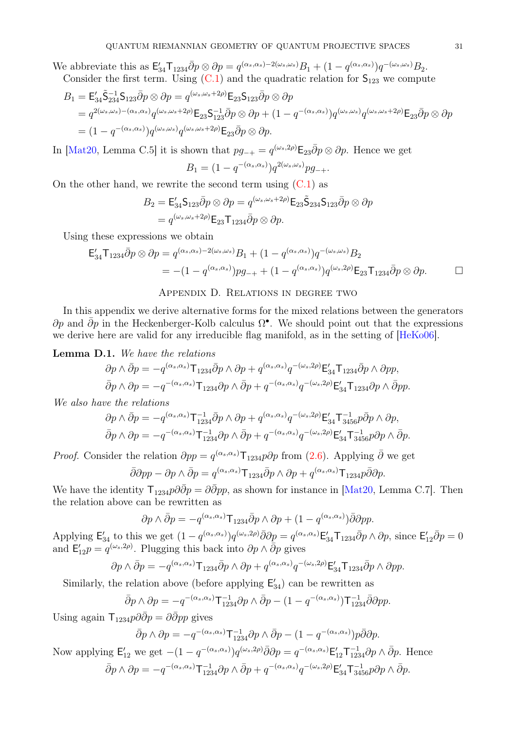We abbreviate this as  $\mathsf{E}_{34}'\mathsf{T}_{1234}\bar{\partial}p\otimes \partial p = q^{(\alpha_s,\alpha_s)-2(\omega_s,\omega_s)}B_1 + (1-q^{(\alpha_s,\alpha_s)})q^{-(\omega_s,\omega_s)}B_2.$ Consider the first term. Using  $(C.1)$  and the quadratic relation for  $S_{123}$  we compute

$$
B_1 = \mathsf{E}_{34}' \tilde{\mathsf{S}}_{234}^{-1} \mathsf{S}_{123} \bar{\partial} p \otimes \partial p = q^{(\omega_s, \omega_s + 2\rho)} \mathsf{E}_{23} \mathsf{S}_{123} \bar{\partial} p \otimes \partial p
$$
  
=  $q^{2(\omega_s, \omega_s) - (\alpha_s, \alpha_s)} q^{(\omega_s, \omega_s + 2\rho)} \mathsf{E}_{23} \mathsf{S}_{123}^{-1} \bar{\partial} p \otimes \partial p + (1 - q^{-(\alpha_s, \alpha_s)}) q^{(\omega_s, \omega_s)} q^{(\omega_s, \omega_s + 2\rho)} \mathsf{E}_{23} \bar{\partial} p \otimes \partial p$   
=  $(1 - q^{-(\alpha_s, \alpha_s)}) q^{(\omega_s, \omega_s)} q^{(\omega_s, \omega_s + 2\rho)} \mathsf{E}_{23} \bar{\partial} p \otimes \partial p.$ 

In [\[Mat20,](#page-31-1) Lemma C.5] it is shown that  $pg_{-+} = q^{(\omega_s, 2\rho)} \mathsf{E}_{23} \bar{\partial} p \otimes \partial p$ . Hence we get

$$
B_1 = (1 - q^{-(\alpha_s, \alpha_s)}) q^{2(\omega_s, \omega_s)} p g_{-+}.
$$

On the other hand, we rewrite the second term using  $(C.1)$  as

$$
B_2 = \mathsf{E}_{34}' \mathsf{S}_{123} \bar{\partial} p \otimes \partial p = q^{(\omega_s, \omega_s + 2\rho)} \mathsf{E}_{23} \tilde{\mathsf{S}}_{234} \mathsf{S}_{123} \bar{\partial} p \otimes \partial p = q^{(\omega_s, \omega_s + 2\rho)} \mathsf{E}_{23} \mathsf{T}_{1234} \bar{\partial} p \otimes \partial p.
$$

Using these expressions we obtain

$$
\mathsf{E}_{34}'\mathsf{T}_{1234}\bar{\partial}p\otimes\partial p = q^{(\alpha_s,\alpha_s)-2(\omega_s,\omega_s)}B_1 + (1-q^{(\alpha_s,\alpha_s)})q^{-(\omega_s,\omega_s)}B_2
$$
  
= -(1-q^{(\alpha\_s,\alpha\_s)})pg\_{-+} + (1-q^{(\alpha\_s,\alpha\_s)})q^{(\omega\_s,2\rho)}\mathsf{E}\_{23}\mathsf{T}\_{1234}\bar{\partial}p\otimes\partial p. \Box

## Appendix D. Relations in degree two

<span id="page-30-0"></span>In this appendix we derive alternative forms for the mixed relations between the generators  $\partial p$  and  $\bar{\partial} p$  in the Heckenberger-Kolb calculus  $\Omega^{\bullet}$ . We should point out that the expressions we derive here are valid for any irreducible flag manifold, as in the setting of [\[HeKo06\]](#page-31-11).

## <span id="page-30-1"></span>Lemma D.1. We have the relations

$$
\partial p \wedge \bar{\partial} p = -q^{(\alpha_s, \alpha_s)} \mathsf{T}_{1234} \bar{\partial} p \wedge \partial p + q^{(\alpha_s, \alpha_s)} q^{-(\omega_s, 2\rho)} \mathsf{E}_{34}' \mathsf{T}_{1234} \bar{\partial} p \wedge \partial pp,
$$
  

$$
\bar{\partial} p \wedge \partial p = -q^{-(\alpha_s, \alpha_s)} \mathsf{T}_{1234} \partial p \wedge \bar{\partial} p + q^{-(\alpha_s, \alpha_s)} q^{-(\omega_s, 2\rho)} \mathsf{E}_{34}' \mathsf{T}_{1234} \partial p \wedge \bar{\partial} pp.
$$

We also have the relations

$$
\partial p \wedge \bar{\partial} p = -q^{(\alpha_s, \alpha_s)} \mathsf{T}_{1234}^{-1} \bar{\partial} p \wedge \partial p + q^{(\alpha_s, \alpha_s)} q^{-(\omega_s, 2\rho)} \mathsf{E}_{34}' \mathsf{T}_{3456}^{-1} p \bar{\partial} p \wedge \partial p,
$$
  

$$
\bar{\partial} p \wedge \partial p = -q^{-(\alpha_s, \alpha_s)} \mathsf{T}_{1234}^{-1} \partial p \wedge \bar{\partial} p + q^{-(\alpha_s, \alpha_s)} q^{-(\omega_s, 2\rho)} \mathsf{E}_{34}' \mathsf{T}_{3456}^{-1} p \partial p \wedge \bar{\partial} p.
$$

*Proof.* Consider the relation  $\partial pp = q^{(\alpha_s, \alpha_s)} \mathsf{T}_{1234} p \partial p$  from [\(2.6\)](#page-5-3). Applying  $\bar{\partial}$  we get

$$
\bar{\partial}\partial pp - \partial p \wedge \bar{\partial}p = q^{(\alpha_s, \alpha_s)}\mathsf{T}_{1234}\bar{\partial}p \wedge \partial p + q^{(\alpha_s, \alpha_s)}\mathsf{T}_{1234}p\bar{\partial}\partial p.
$$

We have the identity  $\mathsf{T}_{1234}p\partial \bar{\partial}p = \partial \bar{\partial}pp$ , as shown for instance in [\[Mat20,](#page-31-1) Lemma C.7]. Then the relation above can be rewritten as

$$
\partial p \wedge \bar{\partial} p = -q^{(\alpha_s, \alpha_s)} \mathsf{T}_{1234} \bar{\partial} p \wedge \partial p + (1 - q^{(\alpha_s, \alpha_s)}) \bar{\partial} \partial p p.
$$

Applying  $\mathsf{E}^{\prime}_{34}$  to this we get  $(1-q^{(\alpha_s,\alpha_s)})q^{(\omega_s,2\rho)}\overline{\partial}\partial\underline{p} = q^{(\alpha_s,\alpha_s)}\mathsf{E}^{\prime}_{34}\mathsf{T}_{1234}\overline{\partial}p\wedge\partial p$ , since  $\mathsf{E}^{\prime}_{123}$  $i_{12}'\bar{\partial}p=0$ and  $E'_{12}p = q^{(\omega_s, 2\rho)}$ . Plugging this back into  $\partial p \wedge \overline{\partial} p$  gives

$$
\partial p \wedge \bar{\partial} p = -q^{(\alpha_s, \alpha_s)} \mathsf{T}_{1234} \bar{\partial} p \wedge \partial p + q^{(\alpha_s, \alpha_s)} q^{-(\omega_s, 2\rho)} \mathsf{E}_{34}' \mathsf{T}_{1234} \bar{\partial} p \wedge \partial pp.
$$

Similarly, the relation above (before applying  $E'_{34}$ ) can be rewritten as

$$
\bar{\partial}p \wedge \partial p = -q^{-(\alpha_s, \alpha_s)} \mathsf{T}_{1234}^{-1} \partial p \wedge \bar{\partial}p - (1 - q^{-(\alpha_s, \alpha_s)}) \mathsf{T}_{1234}^{-1} \bar{\partial} \partial pp.
$$

Using again  $\mathsf{T}_{1234}p\partial\bar{\partial}p = \partial\bar{\partial}pp$  gives

$$
\bar{\partial}p \wedge \partial p = -q^{-(\alpha_s, \alpha_s)} \mathsf{T}_{1234}^{-1} \partial p \wedge \bar{\partial}p - (1 - q^{-(\alpha_s, \alpha_s)}) p \bar{\partial} \partial p.
$$

Now applying  $\mathsf{E}_{12}'$  we get  $-(1-q^{-(\alpha_s,\alpha_s)})q^{(\omega_s,2\rho)}\bar{\partial}\partial p=q^{-(\alpha_s,\alpha_s)}\mathsf{E}_{12}'\mathsf{T}_{1234}^{-1}\partial p\wedge \bar{\partial}p.$  Hence  $\bar{\partial}p \wedge \partial p = -q^{-(\alpha_s,\alpha_s)}\mathsf{T}^{-1}_{1234}\partial p \wedge \bar{\partial}p + q^{-(\alpha_s,\alpha_s)}q^{-(\omega_s,2\rho)}\mathsf{E}^{\prime}_{34}\mathsf{T}^{-1}_{3456}p\partial p \wedge \bar{\partial}p.$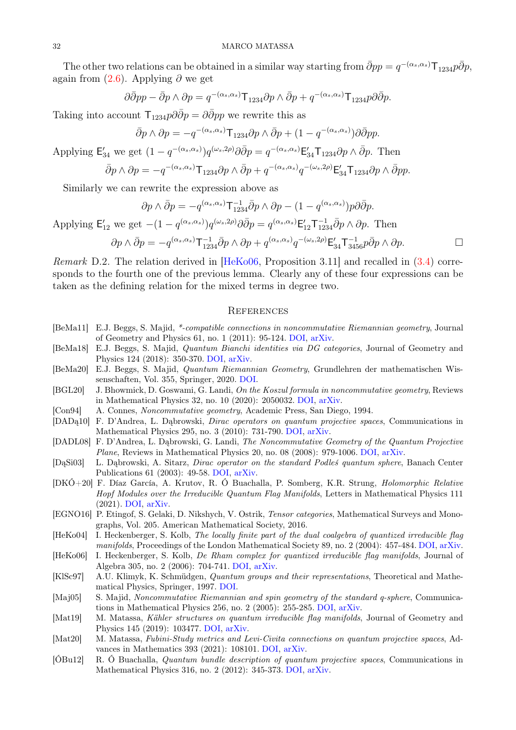The other two relations can be obtained in a similar way starting from  $\bar{\partial}pp = q^{-(\alpha_s,\alpha_s)}\mathsf{T}_{1234}p\bar{\partial}p$ , again from  $(2.6)$ . Applying  $\partial$  we get

$$
\partial \bar{\partial} p p - \bar{\partial} p \wedge \partial p = q^{-(\alpha_s, \alpha_s)} \mathsf{T}_{1234} \partial p \wedge \bar{\partial} p + q^{-(\alpha_s, \alpha_s)} \mathsf{T}_{1234} p \partial \bar{\partial} p.
$$

Taking into account  $\mathsf{T}_{1234}p\partial\bar{\partial}p = \partial\bar{\partial}pp$  we rewrite this as

$$
\bar{\partial}p \wedge \partial p = -q^{-(\alpha_s, \alpha_s)} \mathsf{T}_{1234} \partial p \wedge \bar{\partial}p + (1 - q^{-(\alpha_s, \alpha_s)}) \partial \bar{\partial}p p.
$$

Applying  $\mathsf{E}_{34}'$  we get  $(1-q^{-(\alpha_s,\alpha_s)})q^{(\omega_s,2\rho)}\partial\bar{\partial}p=q^{-(\alpha_s,\alpha_s)}\mathsf{E}_{34}'\mathsf{T}_{1234}\partial p\wedge\bar{\partial}p$ . Then

$$
\bar{\partial}p \wedge \partial p = -q^{-(\alpha_s, \alpha_s)} \mathsf{T}_{1234} \partial p \wedge \bar{\partial}p + q^{-(\alpha_s, \alpha_s)} q^{-(\omega_s, 2\rho)} \mathsf{E}_{34}' \mathsf{T}_{1234} \partial p \wedge \bar{\partial}p p.
$$

Similarly we can rewrite the expression above as

$$
\partial p \wedge \bar{\partial} p = -q^{(\alpha_s, \alpha_s)} \mathsf{T}_{1234}^{-1} \bar{\partial} p \wedge \partial p - (1 - q^{(\alpha_s, \alpha_s)}) p \partial \bar{\partial} p.
$$
\n
$$
\text{Applying } \mathsf{E}_{12}' \text{ we get } -(1 - q^{(\alpha_s, \alpha_s)}) q^{(\omega_s, 2\rho)} \partial \bar{\partial} p = q^{(\alpha_s, \alpha_s)} \mathsf{E}_{12}' \mathsf{T}_{1234}^{-1} \bar{\partial} p \wedge \partial p. \text{ Then}
$$
\n
$$
\partial p \wedge \bar{\partial} p = -q^{(\alpha_s, \alpha_s)} \mathsf{T}_{1234}^{-1} \bar{\partial} p \wedge \partial p + q^{(\alpha_s, \alpha_s)} q^{-(\omega_s, 2\rho)} \mathsf{E}_{34}' \mathsf{T}_{3456}^{-1} p \bar{\partial} p \wedge \partial p. \square
$$

Remark D.2. The relation derived in [\[HeKo06,](#page-31-11) Proposition 3.11] and recalled in [\(3.4\)](#page-10-2) corresponds to the fourth one of the previous lemma. Clearly any of these four expressions can be taken as the defining relation for the mixed terms in degree two.

### **REFERENCES**

- <span id="page-31-3"></span>[BeMa11] E.J. Beggs, S. Majid, \*-compatible connections in noncommutative Riemannian geometry, Journal of Geometry and Physics 61, no. 1 (2011): 95-124. [DOI,](https://doi.org/10.1016/j.geomphys.2010.09.002) [arXiv.](http://arxiv.org/abs/0904.0539)
- <span id="page-31-4"></span>[BeMa18] E.J. Beggs, S. Majid, Quantum Bianchi identities via DG categories, Journal of Geometry and Physics 124 (2018): 350-370. [DOI,](https://doi.org/10.1016/j.geomphys.2017.11.005) [arXiv.](http://arxiv.org/abs/1705.08335)
- <span id="page-31-5"></span>[BeMa20] E.J. Beggs, S. Majid, Quantum Riemannian Geometry, Grundlehren der mathematischen Wissenschaften, Vol. 355, Springer, 2020. [DOI.](https://doi.org/10.1007/978-3-030-30294-8)
- <span id="page-31-16"></span>[BGL20] J. Bhowmick, D. Goswami, G. Landi, On the Koszul formula in noncommutative geometry, Reviews in Mathematical Physics 32, no. 10 (2020): 2050032. [DOI,](https://doi.org/10.1142/S0129055X20500324) [arXiv.](http://arxiv.org/abs/1910.09306)
- <span id="page-31-6"></span>[Con94] A. Connes, Noncommutative geometry, Academic Press, San Diego, 1994.
- <span id="page-31-9"></span>[DADą10] F. D'Andrea, L. Dąbrowski, Dirac operators on quantum projective spaces, Communications in Mathematical Physics 295, no. 3 (2010): 731-790. [DOI,](https://doi.org/10.1007/s00220-010-0989-8) [arXiv.](http://arxiv.org/abs/0901.4735)
- <span id="page-31-8"></span>[DADL08] F. D'Andrea, L. Dąbrowski, G. Landi, The Noncommutative Geometry of the Quantum Projective Plane, Reviews in Mathematical Physics 20, no. 08 (2008): 979-1006. [DOI,](https://doi.org/10.1142/S0129055X08003493) [arXiv.](http://arxiv.org/abs/0712.3401)
- <span id="page-31-7"></span>[DąSi03] L. Dąbrowski, A. Sitarz, Dirac operator on the standard Podleś quantum sphere, Banach Center Publications 61 (2003): 49-58. [DOI,](https://doi.org/10.4064/bc61-0-4) [arXiv.](http://arxiv.org/abs/math/0209048)
- <span id="page-31-14"></span>[DKÓ+20] F. Díaz García, A. Krutov, R. Ó Buachalla, P. Somberg, K.R. Strung, Holomorphic Relative Hopf Modules over the Irreducible Quantum Flag Manifolds, Letters in Mathematical Physics 111 (2021). [DOI,](https://doi.org/10.1007/s11005-020-01340-7) [arXiv.](http://arxiv.org/abs/2005.09652)
- <span id="page-31-12"></span>[EGNO16] P. Etingof, S. Gelaki, D. Nikshych, V. Ostrik, Tensor categories, Mathematical Surveys and Monographs, Vol. 205. American Mathematical Society, 2016.
- <span id="page-31-10"></span>[HeKo04] I. Heckenberger, S. Kolb, The locally finite part of the dual coalgebra of quantized irreducible flag manifolds, Proceedings of the London Mathematical Society 89, no. 2 (2004): 457-484. [DOI,](https://doi.org/10.1112/S0024611504014777) [arXiv.](http://arxiv.org/abs/math/0301244)
- <span id="page-31-11"></span>[HeKo06] I. Heckenberger, S. Kolb, De Rham complex for quantized irreducible flag manifolds, Journal of Algebra 305, no. 2 (2006): 704-741. [DOI,](https://doi.org/10.1016/j.jalgebra.2006.02.001) [arXiv.](http://arxiv.org/abs/math/0307402)
- <span id="page-31-0"></span>[KlSc97] A.U. Klimyk, K. Schmüdgen, Quantum groups and their representations, Theoretical and Mathematical Physics, Springer, 1997. [DOI.](https://doi.org/10.1007/978-3-642-60896-4)
- <span id="page-31-2"></span>[Maj05] S. Majid, Noncommutative Riemannian and spin geometry of the standard q-sphere, Communications in Mathematical Physics 256, no. 2 (2005): 255-285. [DOI,](https://doi.org/10.1007/s00220-005-1295-8) [arXiv.](http://arxiv.org/abs/math/0307351)
- <span id="page-31-13"></span>[Mat19] M. Matassa, Kähler structures on quantum irreducible flag manifolds, Journal of Geometry and Physics 145 (2019): 103477. [DOI,](https://doi.org/10.1016/j.geomphys.2019.07.008) [arXiv.](http://arxiv.org/abs/1901.09544)
- <span id="page-31-1"></span>[Mat20] M. Matassa, Fubini-Study metrics and Levi-Civita connections on quantum projective spaces, Advances in Mathematics 393 (2021): 108101. [DOI,](https://doi.org/10.1016/j.aim.2021.108101) [arXiv.](http://arxiv.org/abs/2010.03291)
- <span id="page-31-15"></span>[ÓBu12] R. Ó Buachalla, Quantum bundle description of quantum projective spaces, Communications in Mathematical Physics 316, no. 2 (2012): 345-373. [DOI,](https://doi.org/10.1007/s00220-012-1577-x) [arXiv.](http://arxiv.org/abs/1105.1768)